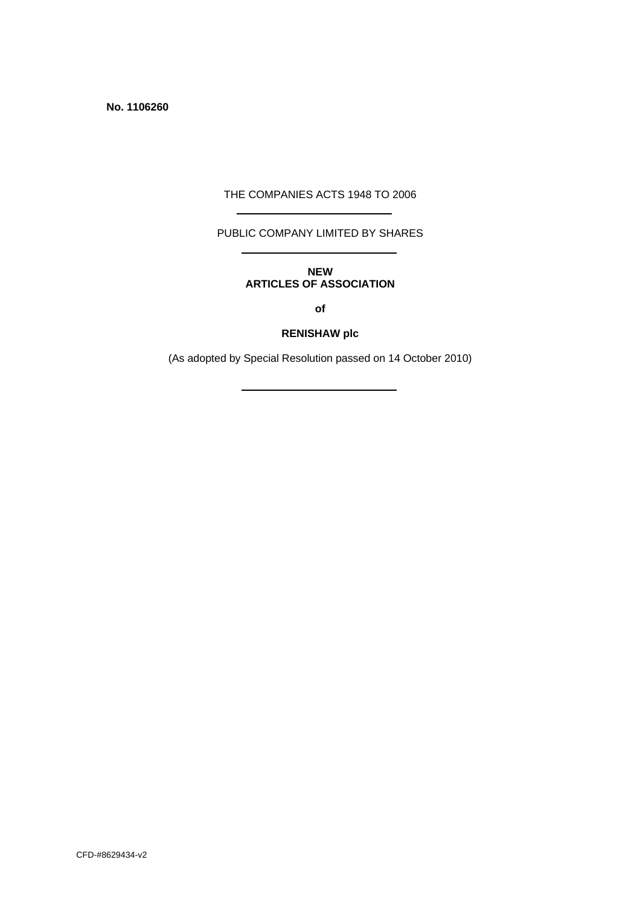**No. 1106260** 

#### THE COMPANIES ACTS 1948 TO 2006

### PUBLIC COMPANY LIMITED BY SHARES

### **NEW ARTICLES OF ASSOCIATION**

**of** 

### **RENISHAW plc**

(As adopted by Special Resolution passed on 14 October 2010)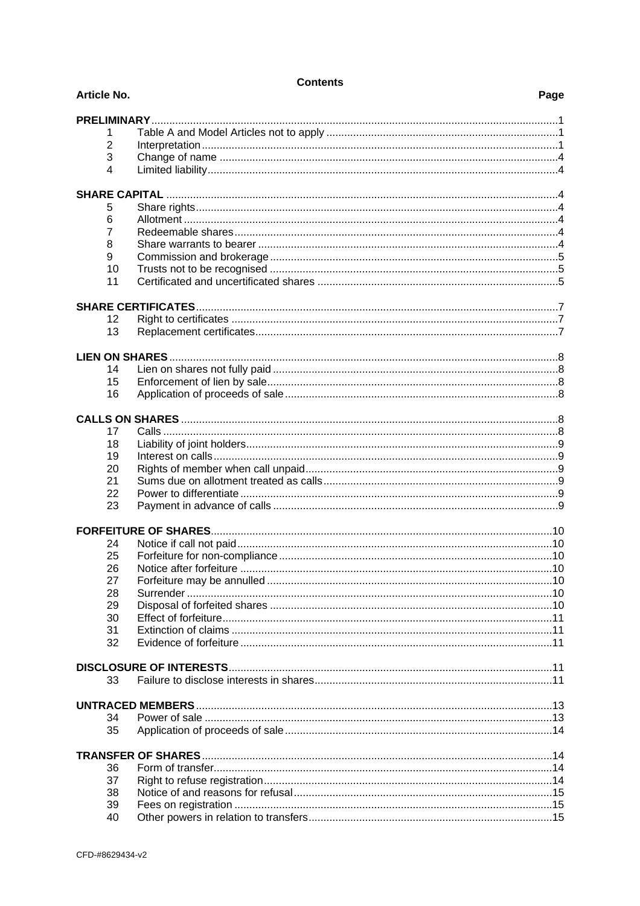| <b>Article No.</b>      |                    | Page |
|-------------------------|--------------------|------|
|                         | <b>PRELIMINARY</b> |      |
| 1                       |                    |      |
| $\overline{2}$          |                    |      |
| 3                       |                    |      |
| $\overline{\mathbf{A}}$ |                    |      |
|                         |                    |      |
| 5                       |                    |      |
| 6                       |                    |      |
| $\overline{7}$          |                    |      |
| 8                       |                    |      |
| 9                       |                    |      |
|                         | 10                 |      |
|                         | 11                 |      |
|                         |                    |      |
|                         | 12                 |      |
|                         | 13                 |      |
|                         |                    |      |
|                         |                    |      |
|                         | 14                 |      |
|                         | 15                 |      |
|                         | 16                 |      |
|                         |                    |      |
|                         |                    |      |
|                         | 17                 |      |
|                         | 18                 |      |
|                         | 19                 |      |
| 20                      |                    |      |
| 21                      |                    |      |
| 22                      |                    |      |
|                         | 23                 |      |
|                         |                    |      |
|                         | 24                 |      |
|                         | 25                 |      |
|                         | 26                 |      |
| 27                      |                    |      |
| 28                      |                    |      |
| 29                      |                    |      |
|                         | 30                 |      |
| 31                      |                    |      |
|                         | 32                 |      |
|                         |                    |      |
|                         | 33                 |      |
|                         |                    |      |
|                         |                    |      |
|                         | 34                 |      |
|                         | 35                 |      |
|                         |                    |      |
|                         | 36                 |      |
| 37                      |                    |      |
| 38                      |                    |      |
|                         | 39                 |      |
|                         | 40                 |      |

**Contents**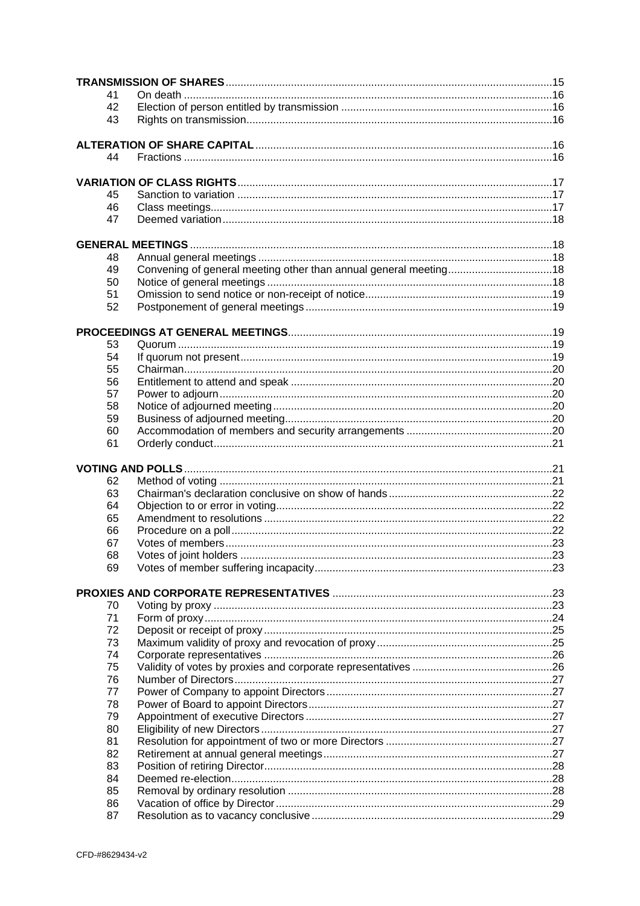| 41       |                                                                  |  |
|----------|------------------------------------------------------------------|--|
| 42       |                                                                  |  |
| 43       |                                                                  |  |
|          |                                                                  |  |
|          |                                                                  |  |
| 44       |                                                                  |  |
|          |                                                                  |  |
|          |                                                                  |  |
| 45       |                                                                  |  |
| 46       |                                                                  |  |
| 47       |                                                                  |  |
|          |                                                                  |  |
|          |                                                                  |  |
| 48       |                                                                  |  |
| 49       | Convening of general meeting other than annual general meeting18 |  |
| 50       |                                                                  |  |
| 51       |                                                                  |  |
| 52       |                                                                  |  |
|          |                                                                  |  |
|          |                                                                  |  |
| 53       |                                                                  |  |
| 54       |                                                                  |  |
| 55       |                                                                  |  |
| 56       |                                                                  |  |
| 57       |                                                                  |  |
| 58       |                                                                  |  |
| 59       |                                                                  |  |
| 60       |                                                                  |  |
| 61       |                                                                  |  |
|          |                                                                  |  |
|          |                                                                  |  |
|          |                                                                  |  |
|          |                                                                  |  |
| 62       |                                                                  |  |
| 63       |                                                                  |  |
| 64       |                                                                  |  |
| 65       |                                                                  |  |
| 66       |                                                                  |  |
| 67       |                                                                  |  |
| 68       |                                                                  |  |
| 69       |                                                                  |  |
|          |                                                                  |  |
|          |                                                                  |  |
| 70       |                                                                  |  |
| 71       |                                                                  |  |
| 72       |                                                                  |  |
| 73       |                                                                  |  |
| 74       |                                                                  |  |
| 75       |                                                                  |  |
| 76       |                                                                  |  |
| 77       |                                                                  |  |
| 78       |                                                                  |  |
| 79       |                                                                  |  |
| 80       |                                                                  |  |
| 81       |                                                                  |  |
| 82       |                                                                  |  |
| 83       |                                                                  |  |
| 84       |                                                                  |  |
| 85       |                                                                  |  |
| 86<br>87 |                                                                  |  |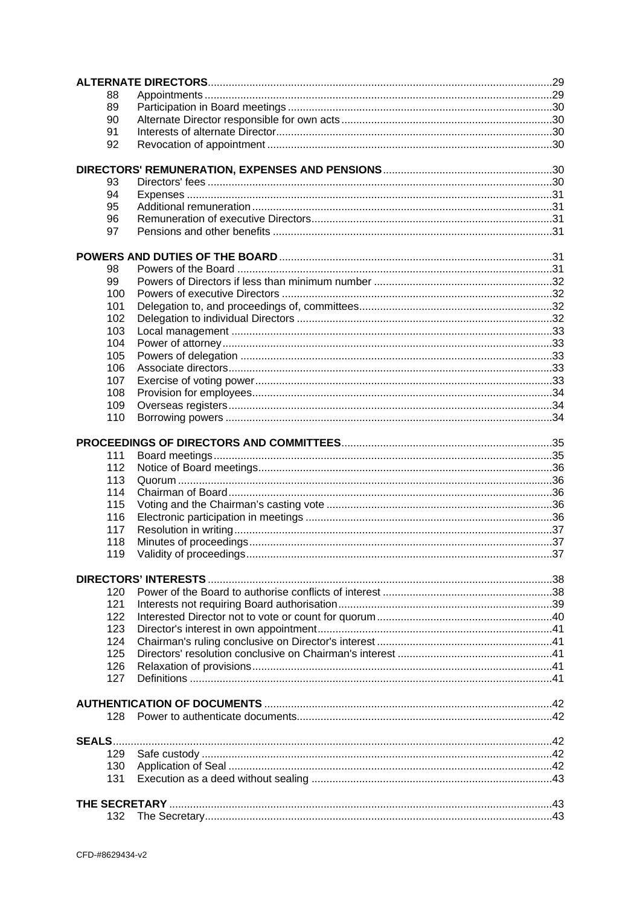|  | 88         |                             |  |  |  |  |
|--|------------|-----------------------------|--|--|--|--|
|  | 89         |                             |  |  |  |  |
|  | 90         |                             |  |  |  |  |
|  | 91         |                             |  |  |  |  |
|  | 92         |                             |  |  |  |  |
|  |            |                             |  |  |  |  |
|  |            |                             |  |  |  |  |
|  | 93         |                             |  |  |  |  |
|  | 94         |                             |  |  |  |  |
|  | 95         |                             |  |  |  |  |
|  | 96         |                             |  |  |  |  |
|  | 97         |                             |  |  |  |  |
|  |            |                             |  |  |  |  |
|  |            |                             |  |  |  |  |
|  | 98         |                             |  |  |  |  |
|  | 99         |                             |  |  |  |  |
|  | 100        |                             |  |  |  |  |
|  | 101        |                             |  |  |  |  |
|  | 102        |                             |  |  |  |  |
|  | 103        |                             |  |  |  |  |
|  | 104        |                             |  |  |  |  |
|  | 105        |                             |  |  |  |  |
|  | 106        |                             |  |  |  |  |
|  | 107<br>108 |                             |  |  |  |  |
|  | 109        |                             |  |  |  |  |
|  | 110        |                             |  |  |  |  |
|  |            |                             |  |  |  |  |
|  |            |                             |  |  |  |  |
|  | 111        |                             |  |  |  |  |
|  | 112        |                             |  |  |  |  |
|  | 113        |                             |  |  |  |  |
|  | 114        |                             |  |  |  |  |
|  | 115        |                             |  |  |  |  |
|  | 116        |                             |  |  |  |  |
|  | 117        |                             |  |  |  |  |
|  | 118        |                             |  |  |  |  |
|  | 119        |                             |  |  |  |  |
|  |            |                             |  |  |  |  |
|  |            | <b>DIRECTORS' INTERESTS</b> |  |  |  |  |
|  | 120        |                             |  |  |  |  |
|  | 121        |                             |  |  |  |  |
|  | 122        |                             |  |  |  |  |
|  | 123        |                             |  |  |  |  |
|  | 124        |                             |  |  |  |  |
|  | 125        |                             |  |  |  |  |
|  | 126        |                             |  |  |  |  |
|  | 127        |                             |  |  |  |  |
|  |            |                             |  |  |  |  |
|  |            |                             |  |  |  |  |
|  | 128.       |                             |  |  |  |  |
|  |            |                             |  |  |  |  |
|  |            |                             |  |  |  |  |
|  | 129        |                             |  |  |  |  |
|  | 130        |                             |  |  |  |  |
|  | 131        |                             |  |  |  |  |
|  |            |                             |  |  |  |  |
|  |            |                             |  |  |  |  |
|  | 132        |                             |  |  |  |  |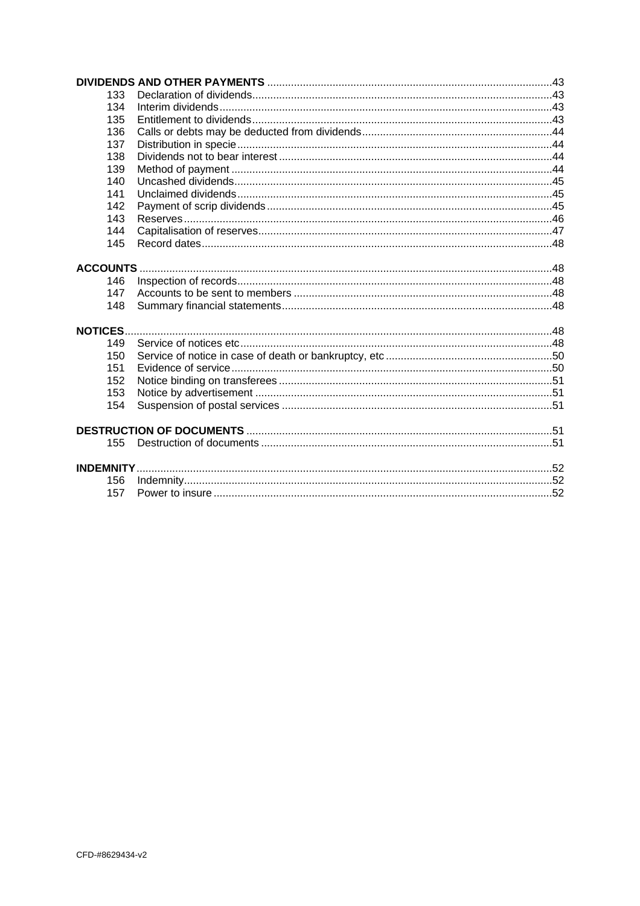|                  | 133 |  |
|------------------|-----|--|
|                  | 134 |  |
|                  | 135 |  |
|                  | 136 |  |
|                  | 137 |  |
|                  | 138 |  |
|                  | 139 |  |
|                  | 140 |  |
|                  | 141 |  |
|                  | 142 |  |
|                  | 143 |  |
|                  | 144 |  |
|                  | 145 |  |
| <b>ACCOUNTS.</b> |     |  |
|                  | 146 |  |
|                  | 147 |  |
|                  | 148 |  |
| <b>NOTICES.</b>  |     |  |
|                  | 149 |  |
|                  | 150 |  |
|                  | 151 |  |
|                  | 152 |  |
|                  | 153 |  |
|                  | 154 |  |
|                  |     |  |
|                  | 155 |  |
|                  |     |  |
|                  | 156 |  |
|                  | 157 |  |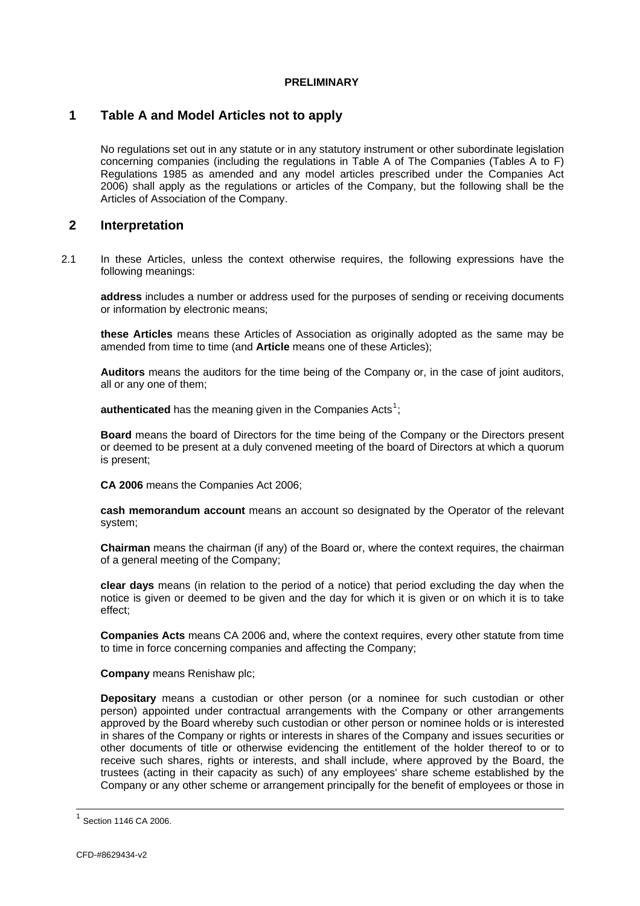#### **PRELIMINARY**

### <span id="page-5-0"></span>**1 Table A and Model Articles not to apply**

No regulations set out in any statute or in any statutory instrument or other subordinate legislation concerning companies (including the regulations in Table A of The Companies (Tables A to F) Regulations 1985 as amended and any model articles prescribed under the Companies Act 2006) shall apply as the regulations or articles of the Company, but the following shall be the Articles of Association of the Company.

### **2 Interpretation**

2.1 In these Articles, unless the context otherwise requires, the following expressions have the following meanings:

**address** includes a number or address used for the purposes of sending or receiving documents or information by electronic means;

**these Articles** means these Articles of Association as originally adopted as the same may be amended from time to time (and **Article** means one of these Articles);

**Auditors** means the auditors for the time being of the Company or, in the case of joint auditors, all or any one of them;

authenticated has the meaning given in the Companies Acts<sup>[1](#page-5-0)</sup>;

**Board** means the board of Directors for the time being of the Company or the Directors present or deemed to be present at a duly convened meeting of the board of Directors at which a quorum is present;

**CA 2006** means the Companies Act 2006;

**cash memorandum account** means an account so designated by the Operator of the relevant system;

**Chairman** means the chairman (if any) of the Board or, where the context requires, the chairman of a general meeting of the Company;

**clear days** means (in relation to the period of a notice) that period excluding the day when the notice is given or deemed to be given and the day for which it is given or on which it is to take effect;

**Companies Acts** means CA 2006 and, where the context requires, every other statute from time to time in force concerning companies and affecting the Company;

**Company** means Renishaw plc;

**Depositary** means a custodian or other person (or a nominee for such custodian or other person) appointed under contractual arrangements with the Company or other arrangements approved by the Board whereby such custodian or other person or nominee holds or is interested in shares of the Company or rights or interests in shares of the Company and issues securities or other documents of title or otherwise evidencing the entitlement of the holder thereof to or to receive such shares, rights or interests, and shall include, where approved by the Board, the trustees (acting in their capacity as such) of any employees' share scheme established by the Company or any other scheme or arrangement principally for the benefit of employees or those in

 $\overline{\phantom{a}}$ 

 $<sup>1</sup>$  Section 1146 CA 2006.</sup>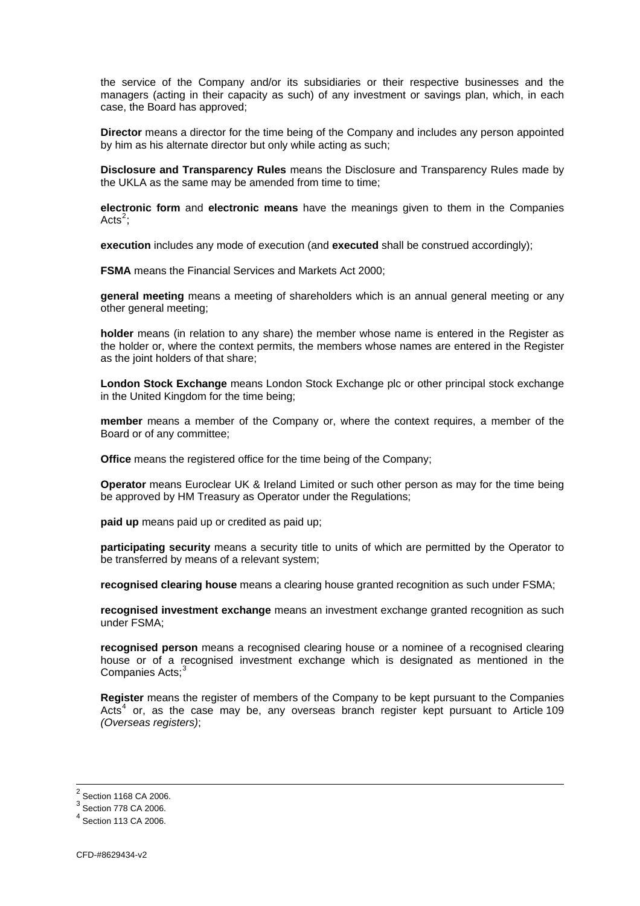<span id="page-6-0"></span>the service of the Company and/or its subsidiaries or their respective businesses and the managers (acting in their capacity as such) of any investment or savings plan, which, in each case, the Board has approved;

**Director** means a director for the time being of the Company and includes any person appointed by him as his alternate director but only while acting as such;

**Disclosure and Transparency Rules** means the Disclosure and Transparency Rules made by the UKLA as the same may be amended from time to time;

**electronic form** and **electronic means** have the meanings given to them in the Companies Acts $2$ ;

**execution** includes any mode of execution (and **executed** shall be construed accordingly);

**FSMA** means the Financial Services and Markets Act 2000;

**general meeting** means a meeting of shareholders which is an annual general meeting or any other general meeting;

**holder** means (in relation to any share) the member whose name is entered in the Register as the holder or, where the context permits, the members whose names are entered in the Register as the joint holders of that share;

**London Stock Exchange** means London Stock Exchange plc or other principal stock exchange in the United Kingdom for the time being;

**member** means a member of the Company or, where the context requires, a member of the Board or of any committee;

**Office** means the registered office for the time being of the Company;

**Operator** means Euroclear UK & Ireland Limited or such other person as may for the time being be approved by HM Treasury as Operator under the Regulations;

**paid up** means paid up or credited as paid up;

**participating security** means a security title to units of which are permitted by the Operator to be transferred by means of a relevant system;

**recognised clearing house** means a clearing house granted recognition as such under FSMA;

**recognised investment exchange** means an investment exchange granted recognition as such under FSMA;

**recognised person** means a recognised clearing house or a nominee of a recognised clearing house or of a recognised investment exchange which is designated as mentioned in the Companies Acts:<sup>[3](#page-6-0)</sup>

**Register** means the register of members of the Company to be kept pursuant to the Companies Acts<sup>[4](#page-6-0)</sup> or, as the case may be, any overseas branch register kept pursuant to Article [109](#page-38-1) *(Overseas registers)*;

<sup>2</sup> Section 1168 CA 2006.

 $3$  Section 778 CA 2006.

 $<sup>4</sup>$  Section 113 CA 2006.</sup>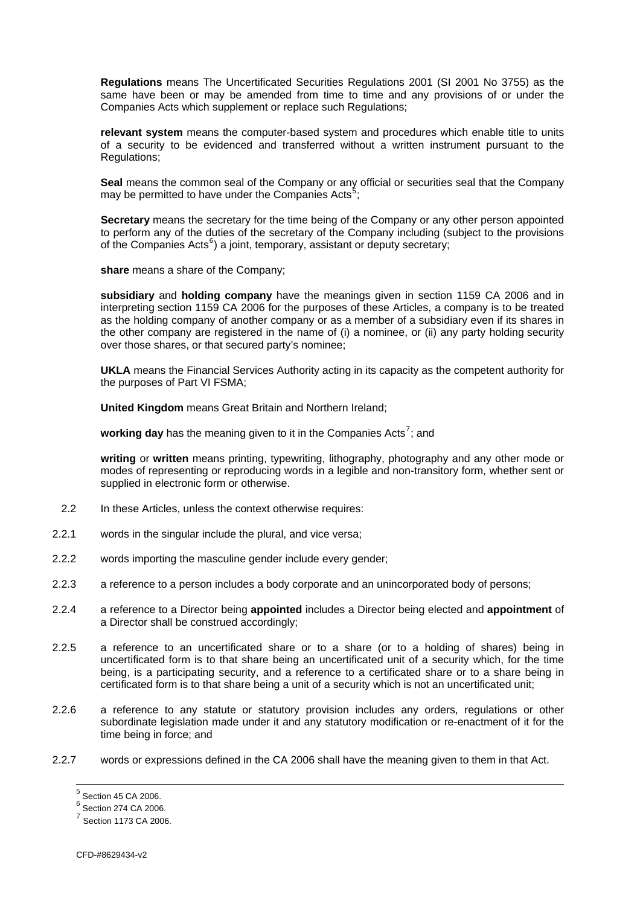<span id="page-7-0"></span>**Regulations** means The Uncertificated Securities Regulations 2001 (SI 2001 No 3755) as the same have been or may be amended from time to time and any provisions of or under the Companies Acts which supplement or replace such Regulations;

**relevant system** means the computer-based system and procedures which enable title to units of a security to be evidenced and transferred without a written instrument pursuant to the Regulations;

**Seal** means the common seal of the Company or any official or securities seal that the Company may be permitted to have under the Companies Acts<sup>[5](#page-7-0)</sup>;

**Secretary** means the secretary for the time being of the Company or any other person appointed to perform any of the duties of the secretary of the Company including (subject to the provisions of the Companies Acts<sup>[6](#page-7-0)</sup>) a joint, temporary, assistant or deputy secretary;

**share** means a share of the Company;

**subsidiary** and **holding company** have the meanings given in section 1159 CA 2006 and in interpreting section 1159 CA 2006 for the purposes of these Articles, a company is to be treated as the holding company of another company or as a member of a subsidiary even if its shares in the other company are registered in the name of (i) a nominee, or (ii) any party holding security over those shares, or that secured party's nominee;

**UKLA** means the Financial Services Authority acting in its capacity as the competent authority for the purposes of Part VI FSMA;

**United Kingdom** means Great Britain and Northern Ireland;

working day has the meaning given to it in the Companies Acts<sup>[7](#page-7-0)</sup>; and

**writing** or **written** means printing, typewriting, lithography, photography and any other mode or modes of representing or reproducing words in a legible and non-transitory form, whether sent or supplied in electronic form or otherwise.

- 2.2 In these Articles, unless the context otherwise requires:
- 2.2.1 words in the singular include the plural, and vice versa;
- 2.2.2 words importing the masculine gender include every gender;
- 2.2.3 a reference to a person includes a body corporate and an unincorporated body of persons;
- 2.2.4 a reference to a Director being **appointed** includes a Director being elected and **appointment** of a Director shall be construed accordingly;
- 2.2.5 a reference to an uncertificated share or to a share (or to a holding of shares) being in uncertificated form is to that share being an uncertificated unit of a security which, for the time being, is a participating security, and a reference to a certificated share or to a share being in certificated form is to that share being a unit of a security which is not an uncertificated unit;
- 2.2.6 a reference to any statute or statutory provision includes any orders, regulations or other subordinate legislation made under it and any statutory modification or re-enactment of it for the time being in force; and
- 2.2.7 words or expressions defined in the CA 2006 shall have the meaning given to them in that Act.

 5 Section 45 CA 2006.

 $^6$  Section 274 CA 2006.

<sup>7</sup> Section 1173 CA 2006.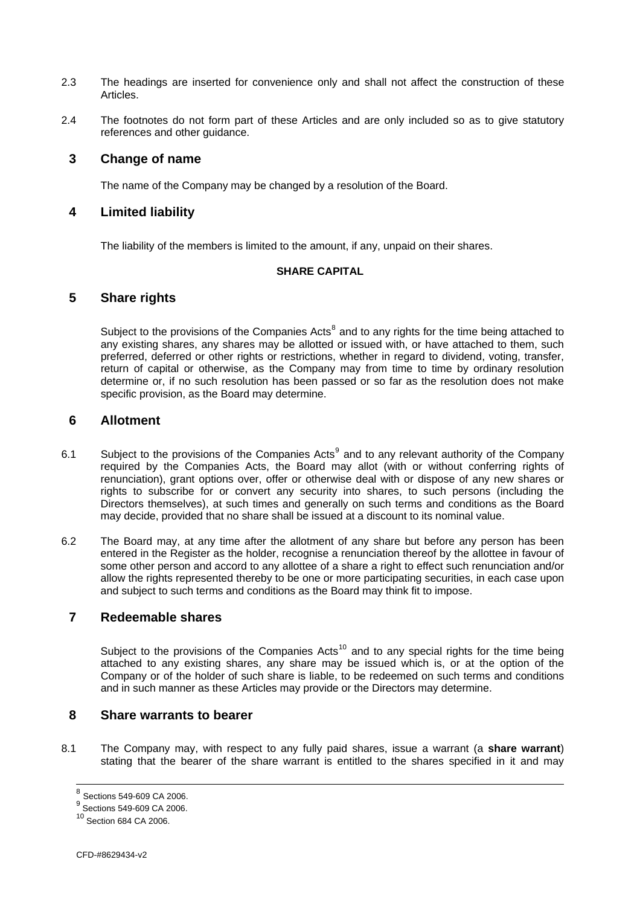- <span id="page-8-0"></span>2.3 The headings are inserted for convenience only and shall not affect the construction of these **Articles**
- 2.4 The footnotes do not form part of these Articles and are only included so as to give statutory references and other guidance.

### **3 Change of name**

The name of the Company may be changed by a resolution of the Board.

### **4 Limited liability**

The liability of the members is limited to the amount, if any, unpaid on their shares.

#### **SHARE CAPITAL**

### **5 Share rights**

Subject to the provisions of the Companies Acts $<sup>8</sup>$  $<sup>8</sup>$  $<sup>8</sup>$  and to any rights for the time being attached to</sup> any existing shares, any shares may be allotted or issued with, or have attached to them, such preferred, deferred or other rights or restrictions, whether in regard to dividend, voting, transfer, return of capital or otherwise, as the Company may from time to time by ordinary resolution determine or, if no such resolution has been passed or so far as the resolution does not make specific provision, as the Board may determine.

### **6 Allotment**

- 6.1 Subject to the provisions of the Companies Acts<sup>[9](#page-8-0)</sup> and to any relevant authority of the Company required by the Companies Acts, the Board may allot (with or without conferring rights of renunciation), grant options over, offer or otherwise deal with or dispose of any new shares or rights to subscribe for or convert any security into shares, to such persons (including the Directors themselves), at such times and generally on such terms and conditions as the Board may decide, provided that no share shall be issued at a discount to its nominal value.
- 6.2 The Board may, at any time after the allotment of any share but before any person has been entered in the Register as the holder, recognise a renunciation thereof by the allottee in favour of some other person and accord to any allottee of a share a right to effect such renunciation and/or allow the rights represented thereby to be one or more participating securities, in each case upon and subject to such terms and conditions as the Board may think fit to impose.

# **7 Redeemable shares**

Subject to the provisions of the Companies Acts<sup>[10](#page-8-0)</sup> and to any special rights for the time being attached to any existing shares, any share may be issued which is, or at the option of the Company or of the holder of such share is liable, to be redeemed on such terms and conditions and in such manner as these Articles may provide or the Directors may determine.

## **8 Share warrants to bearer**

8.1 The Company may, with respect to any fully paid shares, issue a warrant (a **share warrant**) stating that the bearer of the share warrant is entitled to the shares specified in it and may

<sup>8</sup> Sections 549-609 CA 2006.

 $^9$  Sections 549-609 CA 2006.

<sup>10</sup> Section 684 CA 2006.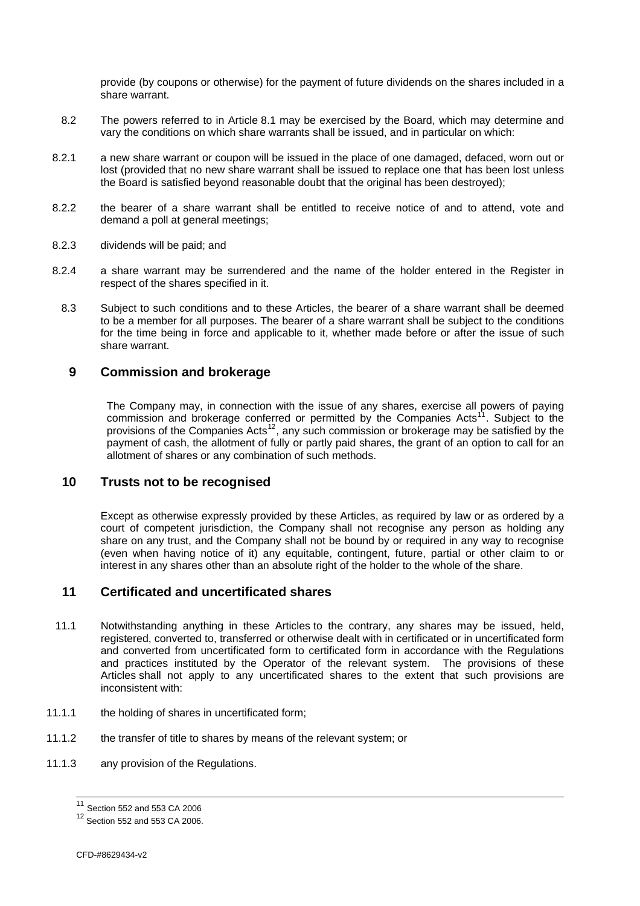<span id="page-9-0"></span>provide (by coupons or otherwise) for the payment of future dividends on the shares included in a share warrant.

- 8.2 The powers referred to in Article [8.1](#page-9-1) may be exercised by the Board, which may determine and vary the conditions on which share warrants shall be issued, and in particular on which:
- 8.2.1 a new share warrant or coupon will be issued in the place of one damaged, defaced, worn out or lost (provided that no new share warrant shall be issued to replace one that has been lost unless the Board is satisfied beyond reasonable doubt that the original has been destroyed);
- 8.2.2 the bearer of a share warrant shall be entitled to receive notice of and to attend, vote and demand a poll at general meetings;
- 8.2.3 dividends will be paid; and
- 8.2.4 a share warrant may be surrendered and the name of the holder entered in the Register in respect of the shares specified in it.
	- 8.3 Subject to such conditions and to these Articles, the bearer of a share warrant shall be deemed to be a member for all purposes. The bearer of a share warrant shall be subject to the conditions for the time being in force and applicable to it, whether made before or after the issue of such share warrant.

### **9 Commission and brokerage**

The Company may, in connection with the issue of any shares, exercise all powers of paying commission and brokerage conferred or permitted by the Companies Acts<sup>[11](#page-9-0)</sup>. Subject to the provisions of the Companies Acts<sup>[12](#page-9-0)</sup>, any such commission or brokerage may be satisfied by the payment of cash, the allotment of fully or partly paid shares, the grant of an option to call for an allotment of shares or any combination of such methods.

### **10 Trusts not to be recognised**

Except as otherwise expressly provided by these Articles, as required by law or as ordered by a court of competent jurisdiction, the Company shall not recognise any person as holding any share on any trust, and the Company shall not be bound by or required in any way to recognise (even when having notice of it) any equitable, contingent, future, partial or other claim to or interest in any shares other than an absolute right of the holder to the whole of the share.

### **11 Certificated and uncertificated shares**

- 11.1 Notwithstanding anything in these Articles to the contrary, any shares may be issued, held, registered, converted to, transferred or otherwise dealt with in certificated or in uncertificated form and converted from uncertificated form to certificated form in accordance with the Regulations and practices instituted by the Operator of the relevant system. The provisions of these Articles shall not apply to any uncertificated shares to the extent that such provisions are inconsistent with:
- 11.1.1 the holding of shares in uncertificated form;
- <span id="page-9-1"></span>11.1.2 the transfer of title to shares by means of the relevant system; or
- 11.1.3 any provision of the Regulations.

 $11$  Section 552 and 553 CA 2006

<sup>12</sup> Section 552 and 553 CA 2006.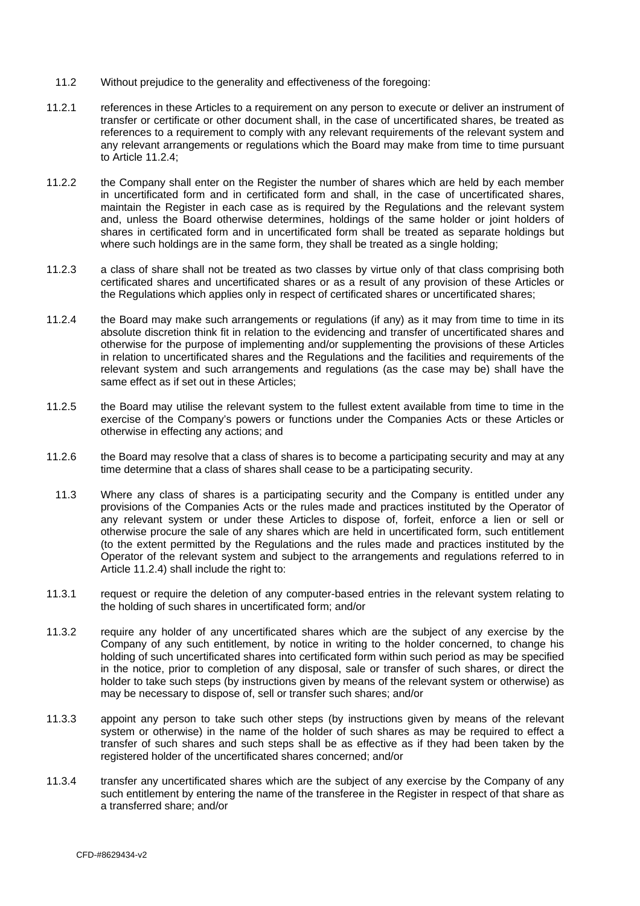- 11.2 Without prejudice to the generality and effectiveness of the foregoing:
- 11.2.1 references in these Articles to a requirement on any person to execute or deliver an instrument of transfer or certificate or other document shall, in the case of uncertificated shares, be treated as references to a requirement to comply with any relevant requirements of the relevant system and any relevant arrangements or regulations which the Board may make from time to time pursuant to Article [11.2.4](#page-10-0);
- 11.2.2 the Company shall enter on the Register the number of shares which are held by each member in uncertificated form and in certificated form and shall, in the case of uncertificated shares, maintain the Register in each case as is required by the Regulations and the relevant system and, unless the Board otherwise determines, holdings of the same holder or joint holders of shares in certificated form and in uncertificated form shall be treated as separate holdings but where such holdings are in the same form, they shall be treated as a single holding:
- 11.2.3 a class of share shall not be treated as two classes by virtue only of that class comprising both certificated shares and uncertificated shares or as a result of any provision of these Articles or the Regulations which applies only in respect of certificated shares or uncertificated shares;
- <span id="page-10-0"></span>11.2.4 the Board may make such arrangements or regulations (if any) as it may from time to time in its absolute discretion think fit in relation to the evidencing and transfer of uncertificated shares and otherwise for the purpose of implementing and/or supplementing the provisions of these Articles in relation to uncertificated shares and the Regulations and the facilities and requirements of the relevant system and such arrangements and regulations (as the case may be) shall have the same effect as if set out in these Articles;
- 11.2.5 the Board may utilise the relevant system to the fullest extent available from time to time in the exercise of the Company's powers or functions under the Companies Acts or these Articles or otherwise in effecting any actions; and
- 11.2.6 the Board may resolve that a class of shares is to become a participating security and may at any time determine that a class of shares shall cease to be a participating security.
- 11.3 Where any class of shares is a participating security and the Company is entitled under any provisions of the Companies Acts or the rules made and practices instituted by the Operator of any relevant system or under these Articles to dispose of, forfeit, enforce a lien or sell or otherwise procure the sale of any shares which are held in uncertificated form, such entitlement (to the extent permitted by the Regulations and the rules made and practices instituted by the Operator of the relevant system and subject to the arrangements and regulations referred to in Article [11.2.4\)](#page-10-0) shall include the right to:
- 11.3.1 request or require the deletion of any computer-based entries in the relevant system relating to the holding of such shares in uncertificated form; and/or
- 11.3.2 require any holder of any uncertificated shares which are the subject of any exercise by the Company of any such entitlement, by notice in writing to the holder concerned, to change his holding of such uncertificated shares into certificated form within such period as may be specified in the notice, prior to completion of any disposal, sale or transfer of such shares, or direct the holder to take such steps (by instructions given by means of the relevant system or otherwise) as may be necessary to dispose of, sell or transfer such shares; and/or
- 11.3.3 appoint any person to take such other steps (by instructions given by means of the relevant system or otherwise) in the name of the holder of such shares as may be required to effect a transfer of such shares and such steps shall be as effective as if they had been taken by the registered holder of the uncertificated shares concerned; and/or
- 11.3.4 transfer any uncertificated shares which are the subject of any exercise by the Company of any such entitlement by entering the name of the transferee in the Register in respect of that share as a transferred share; and/or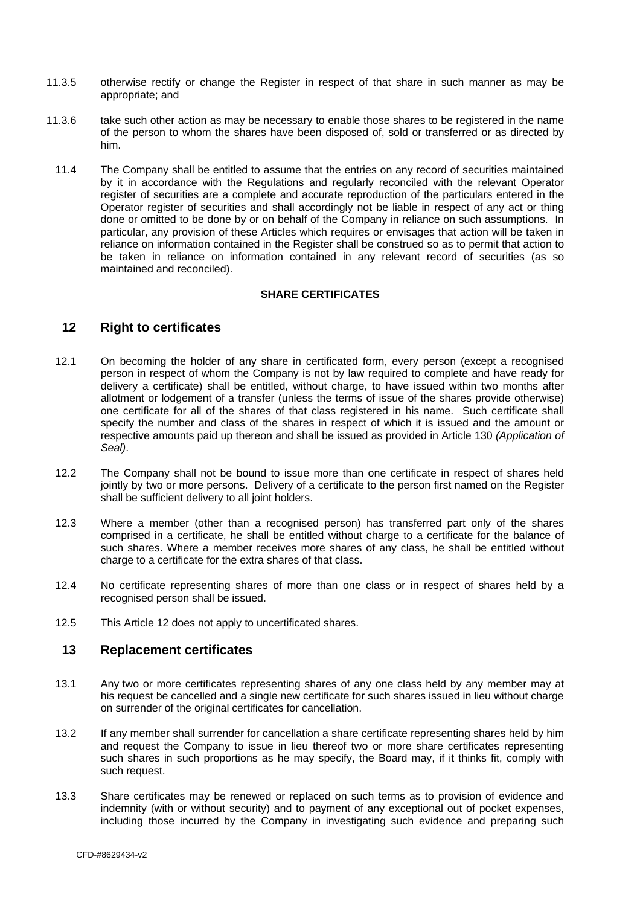- <span id="page-11-0"></span>11.3.5 otherwise rectify or change the Register in respect of that share in such manner as may be appropriate; and
- 11.3.6 take such other action as may be necessary to enable those shares to be registered in the name of the person to whom the shares have been disposed of, sold or transferred or as directed by him.
	- 11.4 The Company shall be entitled to assume that the entries on any record of securities maintained by it in accordance with the Regulations and regularly reconciled with the relevant Operator register of securities are a complete and accurate reproduction of the particulars entered in the Operator register of securities and shall accordingly not be liable in respect of any act or thing done or omitted to be done by or on behalf of the Company in reliance on such assumptions. In particular, any provision of these Articles which requires or envisages that action will be taken in reliance on information contained in the Register shall be construed so as to permit that action to be taken in reliance on information contained in any relevant record of securities (as so maintained and reconciled).

#### **SHARE CERTIFICATES**

### <span id="page-11-1"></span>**12 Right to certificates**

- 12.1 On becoming the holder of any share in certificated form, every person (except a recognised person in respect of whom the Company is not by law required to complete and have ready for delivery a certificate) shall be entitled, without charge, to have issued within two months after allotment or lodgement of a transfer (unless the terms of issue of the shares provide otherwise) one certificate for all of the shares of that class registered in his name. Such certificate shall specify the number and class of the shares in respect of which it is issued and the amount or respective amounts paid up thereon and shall be issued as provided in Article [130](#page-46-1) *(Application of Seal)*.
- 12.2 The Company shall not be bound to issue more than one certificate in respect of shares held jointly by two or more persons. Delivery of a certificate to the person first named on the Register shall be sufficient delivery to all joint holders.
- 12.3 Where a member (other than a recognised person) has transferred part only of the shares comprised in a certificate, he shall be entitled without charge to a certificate for the balance of such shares. Where a member receives more shares of any class, he shall be entitled without charge to a certificate for the extra shares of that class.
- 12.4 No certificate representing shares of more than one class or in respect of shares held by a recognised person shall be issued.
- 12.5 This Article [12](#page-11-1) does not apply to uncertificated shares.

#### <span id="page-11-2"></span>**13 Replacement certificates**

- 13.1 Any two or more certificates representing shares of any one class held by any member may at his request be cancelled and a single new certificate for such shares issued in lieu without charge on surrender of the original certificates for cancellation.
- 13.2 If any member shall surrender for cancellation a share certificate representing shares held by him and request the Company to issue in lieu thereof two or more share certificates representing such shares in such proportions as he may specify, the Board may, if it thinks fit, comply with such request.
- 13.3 Share certificates may be renewed or replaced on such terms as to provision of evidence and indemnity (with or without security) and to payment of any exceptional out of pocket expenses, including those incurred by the Company in investigating such evidence and preparing such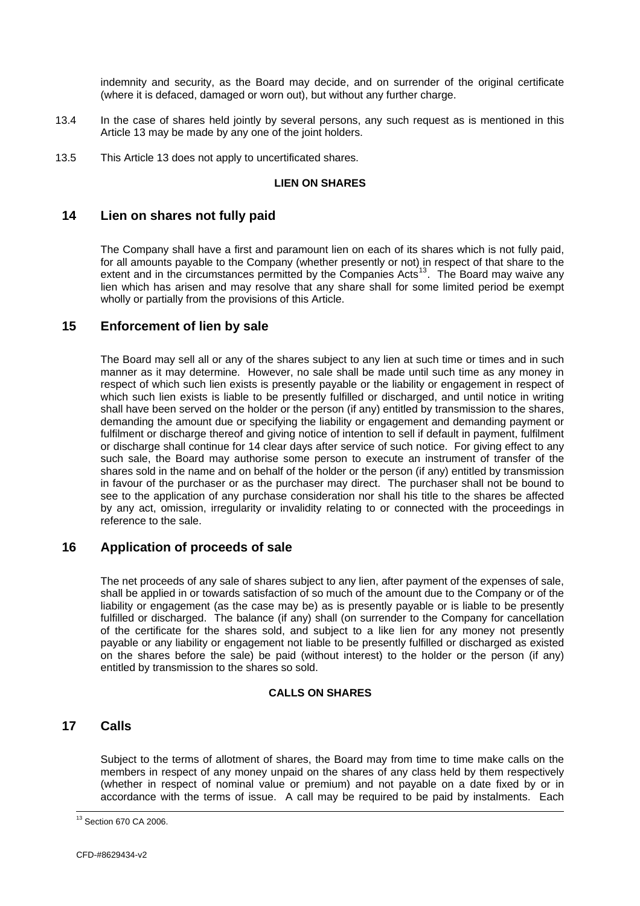<span id="page-12-0"></span>indemnity and security, as the Board may decide, and on surrender of the original certificate (where it is defaced, damaged or worn out), but without any further charge.

- 13.4 In the case of shares held jointly by several persons, any such request as is mentioned in this Article [13](#page-11-2) may be made by any one of the joint holders.
- 13.5 This Article [13](#page-11-2) does not apply to uncertificated shares.

#### **LIEN ON SHARES**

# **14 Lien on shares not fully paid**

The Company shall have a first and paramount lien on each of its shares which is not fully paid, for all amounts payable to the Company (whether presently or not) in respect of that share to the extent and in the circumstances permitted by the Companies  $Acts<sup>13</sup>$  $Acts<sup>13</sup>$  $Acts<sup>13</sup>$ . The Board may waive any lien which has arisen and may resolve that any share shall for some limited period be exempt wholly or partially from the provisions of this Article.

## <span id="page-12-1"></span>**15 Enforcement of lien by sale**

The Board may sell all or any of the shares subject to any lien at such time or times and in such manner as it may determine. However, no sale shall be made until such time as any money in respect of which such lien exists is presently payable or the liability or engagement in respect of which such lien exists is liable to be presently fulfilled or discharged, and until notice in writing shall have been served on the holder or the person (if any) entitled by transmission to the shares, demanding the amount due or specifying the liability or engagement and demanding payment or fulfilment or discharge thereof and giving notice of intention to sell if default in payment, fulfilment or discharge shall continue for 14 clear days after service of such notice. For giving effect to any such sale, the Board may authorise some person to execute an instrument of transfer of the shares sold in the name and on behalf of the holder or the person (if any) entitled by transmission in favour of the purchaser or as the purchaser may direct. The purchaser shall not be bound to see to the application of any purchase consideration nor shall his title to the shares be affected by any act, omission, irregularity or invalidity relating to or connected with the proceedings in reference to the sale.

# **16 Application of proceeds of sale**

The net proceeds of any sale of shares subject to any lien, after payment of the expenses of sale, shall be applied in or towards satisfaction of so much of the amount due to the Company or of the liability or engagement (as the case may be) as is presently payable or is liable to be presently fulfilled or discharged. The balance (if any) shall (on surrender to the Company for cancellation of the certificate for the shares sold, and subject to a like lien for any money not presently payable or any liability or engagement not liable to be presently fulfilled or discharged as existed on the shares before the sale) be paid (without interest) to the holder or the person (if any) entitled by transmission to the shares so sold.

#### **CALLS ON SHARES**

# **17 Calls**

l

Subject to the terms of allotment of shares, the Board may from time to time make calls on the members in respect of any money unpaid on the shares of any class held by them respectively (whether in respect of nominal value or premium) and not payable on a date fixed by or in accordance with the terms of issue. A call may be required to be paid by instalments. Each

<sup>&</sup>lt;sup>13</sup> Section 670 CA 2006.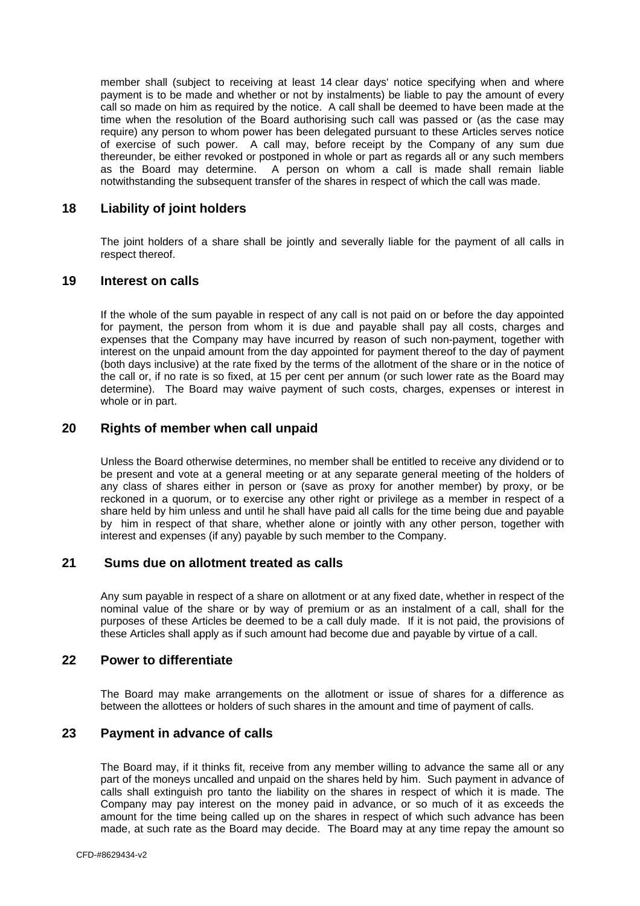<span id="page-13-0"></span>member shall (subject to receiving at least 14 clear days' notice specifying when and where payment is to be made and whether or not by instalments) be liable to pay the amount of every call so made on him as required by the notice. A call shall be deemed to have been made at the time when the resolution of the Board authorising such call was passed or (as the case may require) any person to whom power has been delegated pursuant to these Articles serves notice of exercise of such power. A call may, before receipt by the Company of any sum due thereunder, be either revoked or postponed in whole or part as regards all or any such members as the Board may determine. A person on whom a call is made shall remain liable notwithstanding the subsequent transfer of the shares in respect of which the call was made.

### **18 Liability of joint holders**

The joint holders of a share shall be jointly and severally liable for the payment of all calls in respect thereof.

### **19 Interest on calls**

If the whole of the sum payable in respect of any call is not paid on or before the day appointed for payment, the person from whom it is due and payable shall pay all costs, charges and expenses that the Company may have incurred by reason of such non-payment, together with interest on the unpaid amount from the day appointed for payment thereof to the day of payment (both days inclusive) at the rate fixed by the terms of the allotment of the share or in the notice of the call or, if no rate is so fixed, at 15 per cent per annum (or such lower rate as the Board may determine). The Board may waive payment of such costs, charges, expenses or interest in whole or in part.

### **20 Rights of member when call unpaid**

Unless the Board otherwise determines, no member shall be entitled to receive any dividend or to be present and vote at a general meeting or at any separate general meeting of the holders of any class of shares either in person or (save as proxy for another member) by proxy, or be reckoned in a quorum, or to exercise any other right or privilege as a member in respect of a share held by him unless and until he shall have paid all calls for the time being due and payable by him in respect of that share, whether alone or jointly with any other person, together with interest and expenses (if any) payable by such member to the Company.

### **21 Sums due on allotment treated as calls**

Any sum payable in respect of a share on allotment or at any fixed date, whether in respect of the nominal value of the share or by way of premium or as an instalment of a call, shall for the purposes of these Articles be deemed to be a call duly made. If it is not paid, the provisions of these Articles shall apply as if such amount had become due and payable by virtue of a call.

### **22 Power to differentiate**

The Board may make arrangements on the allotment or issue of shares for a difference as between the allottees or holders of such shares in the amount and time of payment of calls.

#### **23 Payment in advance of calls**

The Board may, if it thinks fit, receive from any member willing to advance the same all or any part of the moneys uncalled and unpaid on the shares held by him. Such payment in advance of calls shall extinguish pro tanto the liability on the shares in respect of which it is made. The Company may pay interest on the money paid in advance, or so much of it as exceeds the amount for the time being called up on the shares in respect of which such advance has been made, at such rate as the Board may decide. The Board may at any time repay the amount so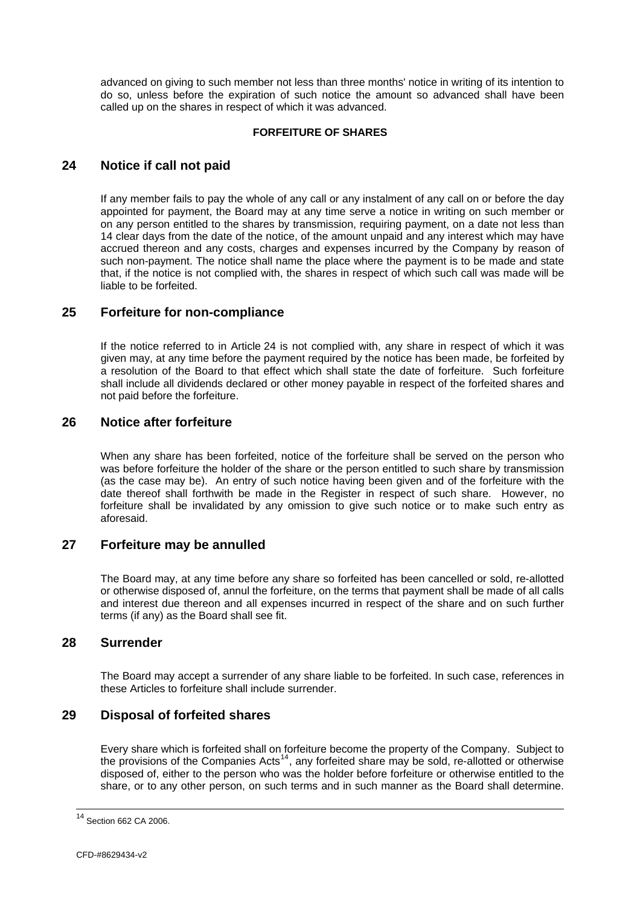<span id="page-14-0"></span>advanced on giving to such member not less than three months' notice in writing of its intention to do so, unless before the expiration of such notice the amount so advanced shall have been called up on the shares in respect of which it was advanced.

#### **FORFEITURE OF SHARES**

# <span id="page-14-1"></span>**24 Notice if call not paid**

If any member fails to pay the whole of any call or any instalment of any call on or before the day appointed for payment, the Board may at any time serve a notice in writing on such member or on any person entitled to the shares by transmission, requiring payment, on a date not less than 14 clear days from the date of the notice, of the amount unpaid and any interest which may have accrued thereon and any costs, charges and expenses incurred by the Company by reason of such non-payment. The notice shall name the place where the payment is to be made and state that, if the notice is not complied with, the shares in respect of which such call was made will be liable to be forfeited.

### **25 Forfeiture for non-compliance**

If the notice referred to in Article [24](#page-14-1) is not complied with, any share in respect of which it was given may, at any time before the payment required by the notice has been made, be forfeited by a resolution of the Board to that effect which shall state the date of forfeiture. Such forfeiture shall include all dividends declared or other money payable in respect of the forfeited shares and not paid before the forfeiture.

### **26 Notice after forfeiture**

When any share has been forfeited, notice of the forfeiture shall be served on the person who was before forfeiture the holder of the share or the person entitled to such share by transmission (as the case may be). An entry of such notice having been given and of the forfeiture with the date thereof shall forthwith be made in the Register in respect of such share. However, no forfeiture shall be invalidated by any omission to give such notice or to make such entry as aforesaid.

#### **27 Forfeiture may be annulled**

The Board may, at any time before any share so forfeited has been cancelled or sold, re-allotted or otherwise disposed of, annul the forfeiture, on the terms that payment shall be made of all calls and interest due thereon and all expenses incurred in respect of the share and on such further terms (if any) as the Board shall see fit.

#### **28 Surrender**

The Board may accept a surrender of any share liable to be forfeited. In such case, references in these Articles to forfeiture shall include surrender.

## **29 Disposal of forfeited shares**

Every share which is forfeited shall on forfeiture become the property of the Company. Subject to the provisions of the Companies Acts<sup>[14](#page-14-0)</sup>, any forfeited share may be sold, re-allotted or otherwise disposed of, either to the person who was the holder before forfeiture or otherwise entitled to the share, or to any other person, on such terms and in such manner as the Board shall determine.

 $\overline{\phantom{a}}$ 

<sup>&</sup>lt;sup>14</sup> Section 662 CA 2006.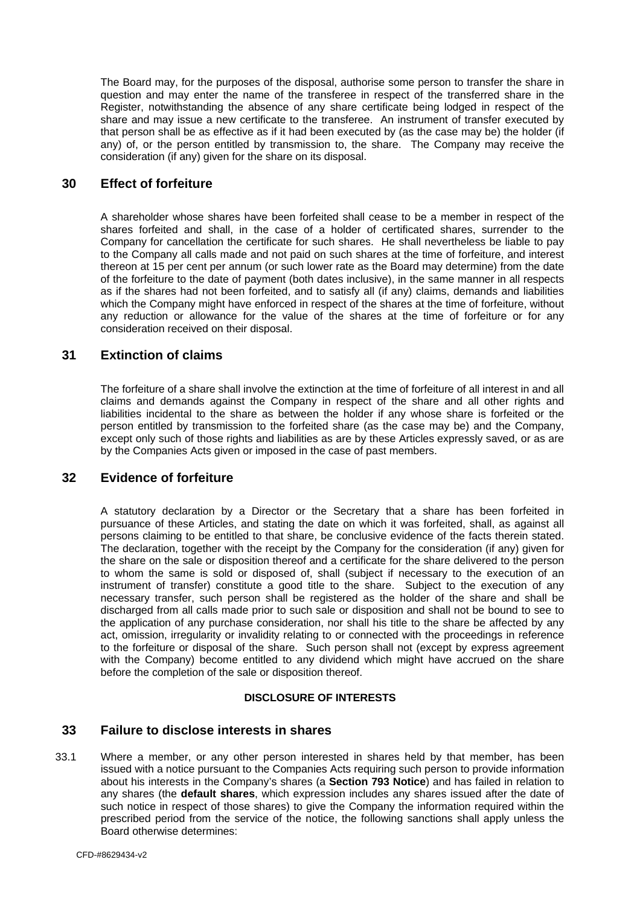<span id="page-15-0"></span>The Board may, for the purposes of the disposal, authorise some person to transfer the share in question and may enter the name of the transferee in respect of the transferred share in the Register, notwithstanding the absence of any share certificate being lodged in respect of the share and may issue a new certificate to the transferee. An instrument of transfer executed by that person shall be as effective as if it had been executed by (as the case may be) the holder (if any) of, or the person entitled by transmission to, the share. The Company may receive the consideration (if any) given for the share on its disposal.

### **30 Effect of forfeiture**

A shareholder whose shares have been forfeited shall cease to be a member in respect of the shares forfeited and shall, in the case of a holder of certificated shares, surrender to the Company for cancellation the certificate for such shares. He shall nevertheless be liable to pay to the Company all calls made and not paid on such shares at the time of forfeiture, and interest thereon at 15 per cent per annum (or such lower rate as the Board may determine) from the date of the forfeiture to the date of payment (both dates inclusive), in the same manner in all respects as if the shares had not been forfeited, and to satisfy all (if any) claims, demands and liabilities which the Company might have enforced in respect of the shares at the time of forfeiture, without any reduction or allowance for the value of the shares at the time of forfeiture or for any consideration received on their disposal.

### **31 Extinction of claims**

The forfeiture of a share shall involve the extinction at the time of forfeiture of all interest in and all claims and demands against the Company in respect of the share and all other rights and liabilities incidental to the share as between the holder if any whose share is forfeited or the person entitled by transmission to the forfeited share (as the case may be) and the Company, except only such of those rights and liabilities as are by these Articles expressly saved, or as are by the Companies Acts given or imposed in the case of past members.

### **32 Evidence of forfeiture**

A statutory declaration by a Director or the Secretary that a share has been forfeited in pursuance of these Articles, and stating the date on which it was forfeited, shall, as against all persons claiming to be entitled to that share, be conclusive evidence of the facts therein stated. The declaration, together with the receipt by the Company for the consideration (if any) given for the share on the sale or disposition thereof and a certificate for the share delivered to the person to whom the same is sold or disposed of, shall (subject if necessary to the execution of an instrument of transfer) constitute a good title to the share. Subject to the execution of any necessary transfer, such person shall be registered as the holder of the share and shall be discharged from all calls made prior to such sale or disposition and shall not be bound to see to the application of any purchase consideration, nor shall his title to the share be affected by any act, omission, irregularity or invalidity relating to or connected with the proceedings in reference to the forfeiture or disposal of the share. Such person shall not (except by express agreement with the Company) become entitled to any dividend which might have accrued on the share before the completion of the sale or disposition thereof.

#### **DISCLOSURE OF INTERESTS**

# <span id="page-15-2"></span>**33 Failure to disclose interests in shares**

<span id="page-15-1"></span>33.1 Where a member, or any other person interested in shares held by that member, has been issued with a notice pursuant to the Companies Acts requiring such person to provide information about his interests in the Company's shares (a **Section 793 Notice**) and has failed in relation to any shares (the **default shares**, which expression includes any shares issued after the date of such notice in respect of those shares) to give the Company the information required within the prescribed period from the service of the notice, the following sanctions shall apply unless the Board otherwise determines: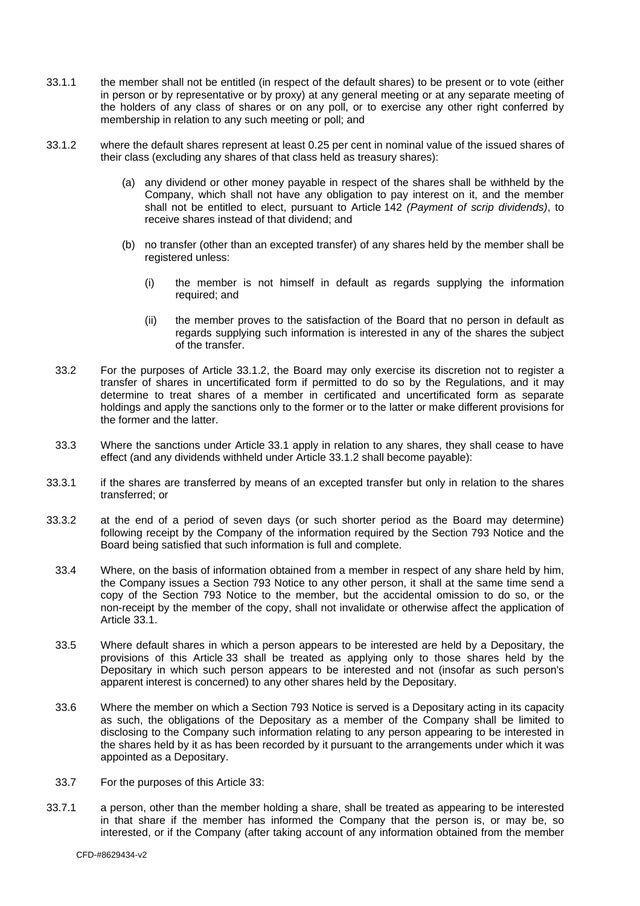- 33.1.1 the member shall not be entitled (in respect of the default shares) to be present or to vote (either in person or by representative or by proxy) at any general meeting or at any separate meeting of the holders of any class of shares or on any poll, or to exercise any other right conferred by membership in relation to any such meeting or poll; and
- <span id="page-16-0"></span>33.1.2 where the default shares represent at least 0.25 per cent in nominal value of the issued shares of their class (excluding any shares of that class held as treasury shares):
	- (a) any dividend or other money payable in respect of the shares shall be withheld by the Company, which shall not have any obligation to pay interest on it, and the member shall not be entitled to elect, pursuant to Article [142](#page-49-1) *(Payment of scrip dividends)*, to receive shares instead of that dividend; and
	- (b) no transfer (other than an excepted transfer) of any shares held by the member shall be registered unless:
		- (i) the member is not himself in default as regards supplying the information required; and
		- (ii) the member proves to the satisfaction of the Board that no person in default as regards supplying such information is interested in any of the shares the subject of the transfer.
	- 33.2 For the purposes of Article [33.1.2,](#page-16-0) the Board may only exercise its discretion not to register a transfer of shares in uncertificated form if permitted to do so by the Regulations, and it may determine to treat shares of a member in certificated and uncertificated form as separate holdings and apply the sanctions only to the former or to the latter or make different provisions for the former and the latter.
- 33.3 Where the sanctions under Article [33.1](#page-15-1) apply in relation to any shares, they shall cease to have effect (and any dividends withheld under Article [33.1.2](#page-16-0) shall become payable):
- 33.3.1 if the shares are transferred by means of an excepted transfer but only in relation to the shares transferred; or
- 33.3.2 at the end of a period of seven days (or such shorter period as the Board may determine) following receipt by the Company of the information required by the Section 793 Notice and the Board being satisfied that such information is full and complete.
	- 33.4 Where, on the basis of information obtained from a member in respect of any share held by him, the Company issues a Section 793 Notice to any other person, it shall at the same time send a copy of the Section 793 Notice to the member, but the accidental omission to do so, or the non-receipt by the member of the copy, shall not invalidate or otherwise affect the application of Article [33.1.](#page-15-1)
	- 33.5 Where default shares in which a person appears to be interested are held by a Depositary, the provisions of this Article [33](#page-15-2) shall be treated as applying only to those shares held by the Depositary in which such person appears to be interested and not (insofar as such person's apparent interest is concerned) to any other shares held by the Depositary.
	- 33.6 Where the member on which a Section 793 Notice is served is a Depositary acting in its capacity as such, the obligations of the Depositary as a member of the Company shall be limited to disclosing to the Company such information relating to any person appearing to be interested in the shares held by it as has been recorded by it pursuant to the arrangements under which it was appointed as a Depositary.
- 33.7 For the purposes of this Article [33](#page-15-2):
- 33.7.1 a person, other than the member holding a share, shall be treated as appearing to be interested in that share if the member has informed the Company that the person is, or may be, so interested, or if the Company (after taking account of any information obtained from the member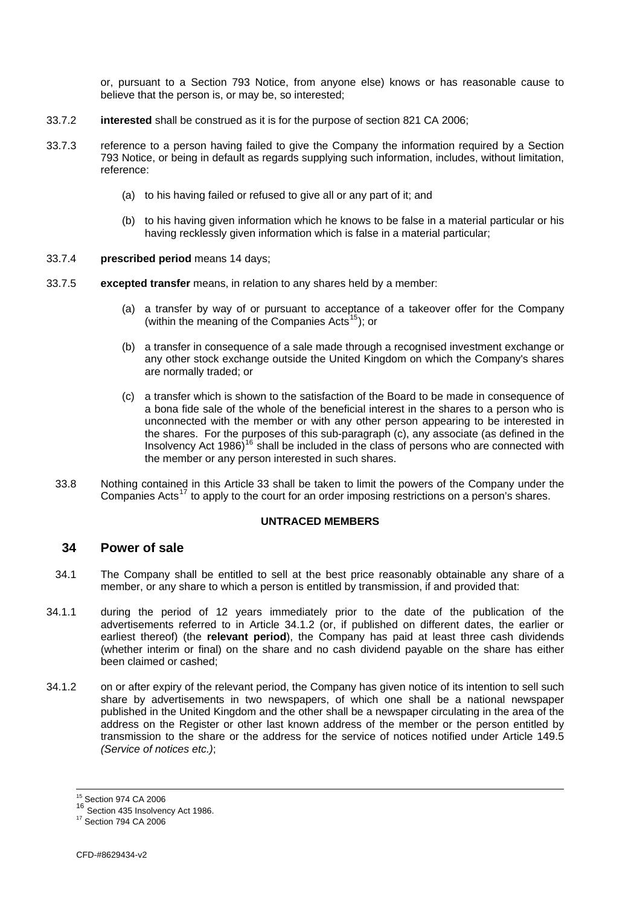or, pursuant to a Section 793 Notice, from anyone else) knows or has reasonable cause to believe that the person is, or may be, so interested;

- <span id="page-17-0"></span>33.7.2 **interested** shall be construed as it is for the purpose of section 821 CA 2006;
- 33.7.3 reference to a person having failed to give the Company the information required by a Section 793 Notice, or being in default as regards supplying such information, includes, without limitation, reference:
	- (a) to his having failed or refused to give all or any part of it; and
	- (b) to his having given information which he knows to be false in a material particular or his having recklessly given information which is false in a material particular;
- 33.7.4 **prescribed period** means 14 days;
- 33.7.5 **excepted transfer** means, in relation to any shares held by a member:
	- (a) a transfer by way of or pursuant to acceptance of a takeover offer for the Company (within the meaning of the Companies Acts<sup>[15](#page-17-0)</sup>); or
	- (b) a transfer in consequence of a sale made through a recognised investment exchange or any other stock exchange outside the United Kingdom on which the Company's shares are normally traded; or
	- (c) a transfer which is shown to the satisfaction of the Board to be made in consequence of a bona fide sale of the whole of the beneficial interest in the shares to a person who is unconnected with the member or with any other person appearing to be interested in the shares. For the purposes of this sub-paragraph (c), any associate (as defined in the Insolvency Act  $1986$ <sup>[16](#page-17-0)</sup> shall be included in the class of persons who are connected with the member or any person interested in such shares.
	- 33.8 Nothing contained in this Article [33](#page-15-2) shall be taken to limit the powers of the Company under the Companies Acts<sup>[17](#page-17-0)</sup> to apply to the court for an order imposing restrictions on a person's shares.

#### **UNTRACED MEMBERS**

# **34 Power of sale**

- <span id="page-17-2"></span>34.1 The Company shall be entitled to sell at the best price reasonably obtainable any share of a member, or any share to which a person is entitled by transmission, if and provided that:
- <span id="page-17-3"></span>34.1.1 during the period of 12 years immediately prior to the date of the publication of the advertisements referred to in Article [34.1.2](#page-17-1) (or, if published on different dates, the earlier or earliest thereof) (the **relevant period**), the Company has paid at least three cash dividends (whether interim or final) on the share and no cash dividend payable on the share has either been claimed or cashed;
- <span id="page-17-1"></span>34.1.2 on or after expiry of the relevant period, the Company has given notice of its intention to sell such share by advertisements in two newspapers, of which one shall be a national newspaper published in the United Kingdom and the other shall be a newspaper circulating in the area of the address on the Register or other last known address of the member or the person entitled by transmission to the share or the address for the service of notices notified under Article [149.5](#page-53-0) *(Service of notices etc.)*;

l 15 Section 974 CA 2006

<sup>16&</sup>lt;br>
<sup>16</sup> Section 435 Insolvency Act 1986.<br>
<sup>17</sup> Section 794 CA 2006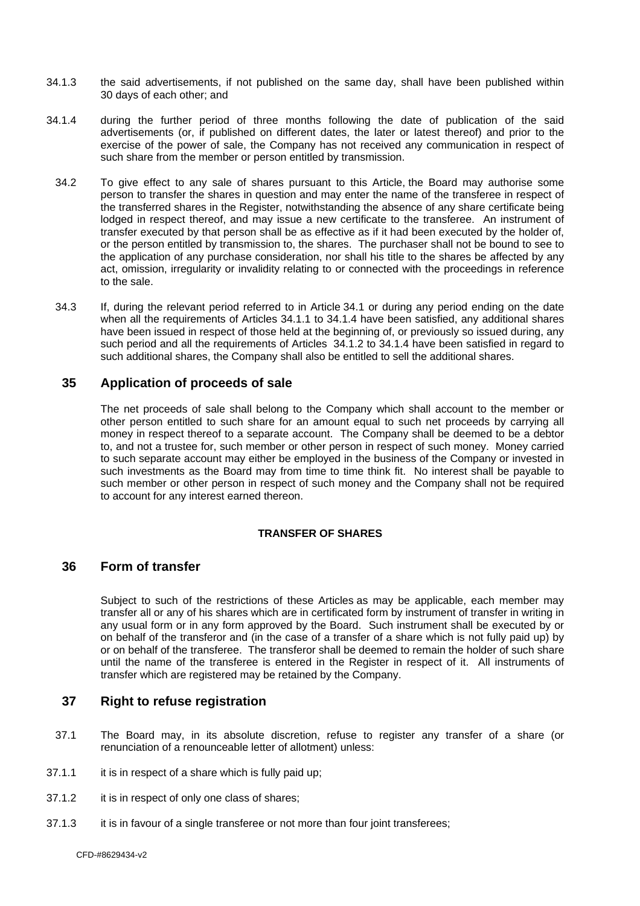- <span id="page-18-0"></span>34.1.3 the said advertisements, if not published on the same day, shall have been published within 30 days of each other; and
- <span id="page-18-1"></span>34.1.4 during the further period of three months following the date of publication of the said advertisements (or, if published on different dates, the later or latest thereof) and prior to the exercise of the power of sale, the Company has not received any communication in respect of such share from the member or person entitled by transmission.
	- 34.2 To give effect to any sale of shares pursuant to this Article, the Board may authorise some person to transfer the shares in question and may enter the name of the transferee in respect of the transferred shares in the Register, notwithstanding the absence of any share certificate being lodged in respect thereof, and may issue a new certificate to the transferee. An instrument of transfer executed by that person shall be as effective as if it had been executed by the holder of, or the person entitled by transmission to, the shares. The purchaser shall not be bound to see to the application of any purchase consideration, nor shall his title to the shares be affected by any act, omission, irregularity or invalidity relating to or connected with the proceedings in reference to the sale.
	- 34.3 If, during the relevant period referred to in Article [34.1](#page-17-2) or during any period ending on the date when all the requirements of Articles [34.1.1](#page-17-3) to [34.1.4](#page-18-1) have been satisfied, any additional shares have been issued in respect of those held at the beginning of, or previously so issued during, any such period and all the requirements of Articles [34.1.2](#page-17-1) to [34.1.4](#page-18-1) have been satisfied in regard to such additional shares, the Company shall also be entitled to sell the additional shares.

#### **35 Application of proceeds of sale**

The net proceeds of sale shall belong to the Company which shall account to the member or other person entitled to such share for an amount equal to such net proceeds by carrying all money in respect thereof to a separate account. The Company shall be deemed to be a debtor to, and not a trustee for, such member or other person in respect of such money. Money carried to such separate account may either be employed in the business of the Company or invested in such investments as the Board may from time to time think fit. No interest shall be payable to such member or other person in respect of such money and the Company shall not be required to account for any interest earned thereon.

#### **TRANSFER OF SHARES**

#### **36 Form of transfer**

Subject to such of the restrictions of these Articles as may be applicable, each member may transfer all or any of his shares which are in certificated form by instrument of transfer in writing in any usual form or in any form approved by the Board. Such instrument shall be executed by or on behalf of the transferor and (in the case of a transfer of a share which is not fully paid up) by or on behalf of the transferee. The transferor shall be deemed to remain the holder of such share until the name of the transferee is entered in the Register in respect of it. All instruments of transfer which are registered may be retained by the Company.

## **37 Right to refuse registration**

- <span id="page-18-2"></span>37.1 The Board may, in its absolute discretion, refuse to register any transfer of a share (or renunciation of a renounceable letter of allotment) unless:
- 37.1.1 it is in respect of a share which is fully paid up:
- 37.1.2 it is in respect of only one class of shares;
- 37.1.3 it is in favour of a single transferee or not more than four joint transferees;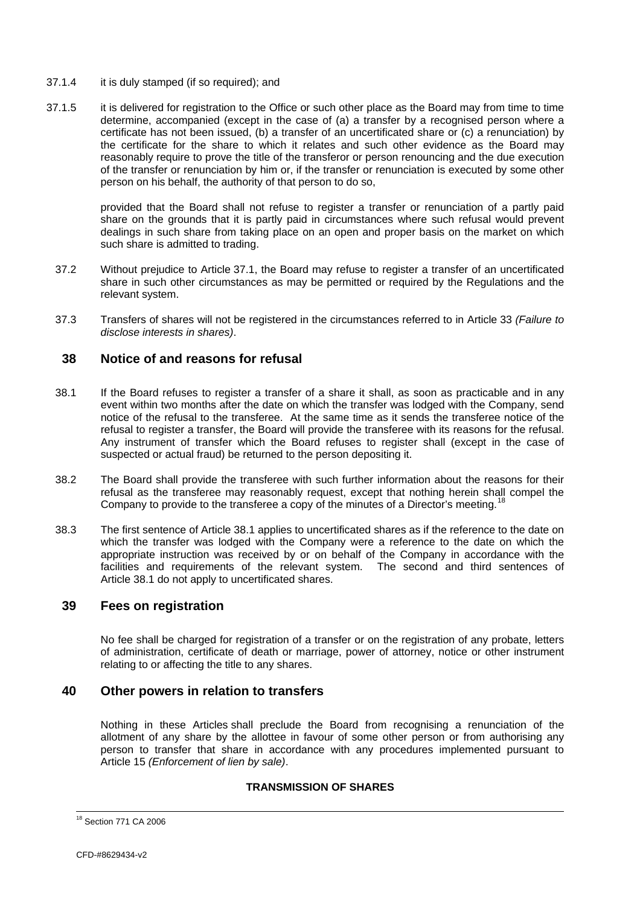- <span id="page-19-0"></span>37.1.4 it is duly stamped (if so required); and
- 37.1.5 it is delivered for registration to the Office or such other place as the Board may from time to time determine, accompanied (except in the case of (a) a transfer by a recognised person where a certificate has not been issued, (b) a transfer of an uncertificated share or (c) a renunciation) by the certificate for the share to which it relates and such other evidence as the Board may reasonably require to prove the title of the transferor or person renouncing and the due execution of the transfer or renunciation by him or, if the transfer or renunciation is executed by some other person on his behalf, the authority of that person to do so,

provided that the Board shall not refuse to register a transfer or renunciation of a partly paid share on the grounds that it is partly paid in circumstances where such refusal would prevent dealings in such share from taking place on an open and proper basis on the market on which such share is admitted to trading.

- 37.2 Without prejudice to Article [37.1,](#page-18-2) the Board may refuse to register a transfer of an uncertificated share in such other circumstances as may be permitted or required by the Regulations and the relevant system.
- 37.3 Transfers of shares will not be registered in the circumstances referred to in Article [33](#page-15-2) *(Failure to disclose interests in shares)*.

### **38 Notice of and reasons for refusal**

- <span id="page-19-1"></span>38.1 If the Board refuses to register a transfer of a share it shall, as soon as practicable and in any event within two months after the date on which the transfer was lodged with the Company, send notice of the refusal to the transferee. At the same time as it sends the transferee notice of the refusal to register a transfer, the Board will provide the transferee with its reasons for the refusal. Any instrument of transfer which the Board refuses to register shall (except in the case of suspected or actual fraud) be returned to the person depositing it.
- 38.2 The Board shall provide the transferee with such further information about the reasons for their refusal as the transferee may reasonably request, except that nothing herein shall compel the Company to provide to the transferee a copy of the minutes of a Director's meeting.
- 38.3 The first sentence of Article [38.1](#page-19-1) applies to uncertificated shares as if the reference to the date on which the transfer was lodged with the Company were a reference to the date on which the appropriate instruction was received by or on behalf of the Company in accordance with the facilities and requirements of the relevant system. The second and third sentences of Article [38.1](#page-19-1) do not apply to uncertificated shares.

### **39 Fees on registration**

No fee shall be charged for registration of a transfer or on the registration of any probate, letters of administration, certificate of death or marriage, power of attorney, notice or other instrument relating to or affecting the title to any shares.

# **40 Other powers in relation to transfers**

Nothing in these Articles shall preclude the Board from recognising a renunciation of the allotment of any share by the allottee in favour of some other person or from authorising any person to transfer that share in accordance with any procedures implemented pursuant to Article [15](#page-12-1) *(Enforcement of lien by sale)*.

#### **TRANSMISSION OF SHARES**

l <sup>18</sup> Section 771 CA 2006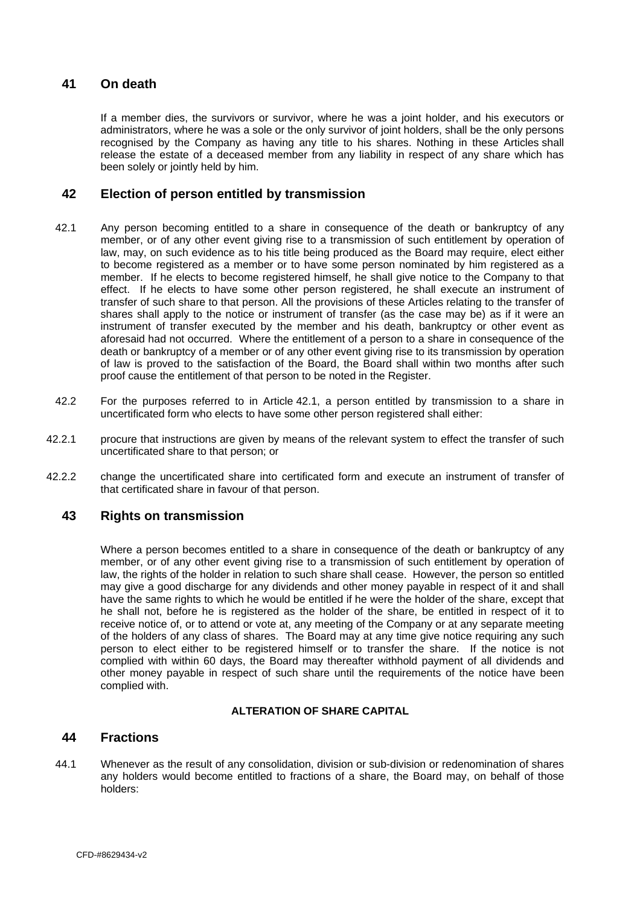# <span id="page-20-0"></span>**41 On death**

If a member dies, the survivors or survivor, where he was a joint holder, and his executors or administrators, where he was a sole or the only survivor of joint holders, shall be the only persons recognised by the Company as having any title to his shares. Nothing in these Articles shall release the estate of a deceased member from any liability in respect of any share which has been solely or jointly held by him.

### **42 Election of person entitled by transmission**

- <span id="page-20-1"></span>42.1 Any person becoming entitled to a share in consequence of the death or bankruptcy of any member, or of any other event giving rise to a transmission of such entitlement by operation of law, may, on such evidence as to his title being produced as the Board may require, elect either to become registered as a member or to have some person nominated by him registered as a member. If he elects to become registered himself, he shall give notice to the Company to that effect. If he elects to have some other person registered, he shall execute an instrument of transfer of such share to that person. All the provisions of these Articles relating to the transfer of shares shall apply to the notice or instrument of transfer (as the case may be) as if it were an instrument of transfer executed by the member and his death, bankruptcy or other event as aforesaid had not occurred. Where the entitlement of a person to a share in consequence of the death or bankruptcy of a member or of any other event giving rise to its transmission by operation of law is proved to the satisfaction of the Board, the Board shall within two months after such proof cause the entitlement of that person to be noted in the Register.
- 42.2 For the purposes referred to in Article [42.1,](#page-20-1) a person entitled by transmission to a share in uncertificated form who elects to have some other person registered shall either:
- 42.2.1 procure that instructions are given by means of the relevant system to effect the transfer of such uncertificated share to that person; or
- 42.2.2 change the uncertificated share into certificated form and execute an instrument of transfer of that certificated share in favour of that person.

# **43 Rights on transmission**

Where a person becomes entitled to a share in consequence of the death or bankruptcy of any member, or of any other event giving rise to a transmission of such entitlement by operation of law, the rights of the holder in relation to such share shall cease. However, the person so entitled may give a good discharge for any dividends and other money payable in respect of it and shall have the same rights to which he would be entitled if he were the holder of the share, except that he shall not, before he is registered as the holder of the share, be entitled in respect of it to receive notice of, or to attend or vote at, any meeting of the Company or at any separate meeting of the holders of any class of shares. The Board may at any time give notice requiring any such person to elect either to be registered himself or to transfer the share. If the notice is not complied with within 60 days, the Board may thereafter withhold payment of all dividends and other money payable in respect of such share until the requirements of the notice have been complied with.

#### **ALTERATION OF SHARE CAPITAL**

#### **44 Fractions**

<span id="page-20-2"></span>44.1 Whenever as the result of any consolidation, division or sub-division or redenomination of shares any holders would become entitled to fractions of a share, the Board may, on behalf of those holders: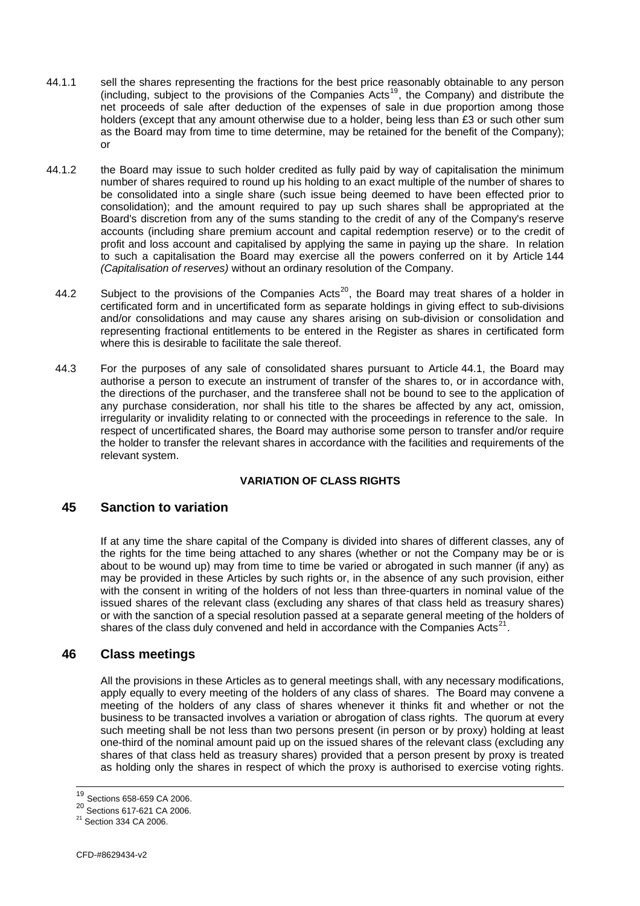- <span id="page-21-0"></span>44.1.1 sell the shares representing the fractions for the best price reasonably obtainable to any person (including, subject to the provisions of the Companies Acts<sup>[19](#page-21-0)</sup>, the Company) and distribute the net proceeds of sale after deduction of the expenses of sale in due proportion among those holders (except that any amount otherwise due to a holder, being less than £3 or such other sum as the Board may from time to time determine, may be retained for the benefit of the Company); or
- 44.1.2 to such a capitalisation the Board may exercise all the powers conferred on it by Article 144 *(Capitalisation of reserves)* without an ordinary resolution of the Company. the Board may issue to such holder credited as fully paid by way of capitalisation the minimum number of shares required to round up his holding to an exact multiple of the number of shares to be consolidated into a single share (such issue being deemed to have been effected prior to consolidation); and the amount required to pay up such shares shall be appropriated at the Board's discretion from any of the sums standing to the credit of any of the Company's reserve accounts (including share premium account and capital redemption reserve) or to the credit of profit and loss account and capitalised by applying the same in paying up the share. In relation
	- representing fractional entitlements to be entered in the Register as shares in certificated form where this is desirable to facilitate the sale thereof. 44.2 Subject to the provisions of the Companies Acts<sup>[20](#page-21-0)</sup>, the Board may treat shares of a holder in certificated form and in uncertificated form as separate holdings in giving effect to sub-divisions and/or consolidations and may cause any shares arising on sub-division or consolidation and
	- the holder to transfer the relevant shares in accordance with the facilities and requirements of the relevant system. 44.3 For the purposes of any sale of consolidated shares pursuant to Article [44.1](#page-20-2), the Board may authorise a person to execute an instrument of transfer of the shares to, or in accordance with, the directions of the purchaser, and the transferee shall not be bound to see to the application of any purchase consideration, nor shall his title to the shares be affected by any act, omission, irregularity or invalidity relating to or connected with the proceedings in reference to the sale. In respect of uncertificated shares, the Board may authorise some person to transfer and/or require

#### **VARIATION OF CLASS RIGHTS**

### **45 Sanction to variation**

or with the sanction of a special resolution passed at a separate general meeting of the holders of shares of the class duly convened and held in accordance with the Companies  $\text{Acts}^{21}$ . If at any time the share capital of the Company is divided into shares of different classes, any of the rights for the time being attached to any shares (whether or not the Company may be or is about to be wound up) may from time to time be varied or abrogated in such manner (if any) as may be provided in these Articles by such rights or, in the absence of any such provision, either with the consent in writing of the holders of not less than three-quarters in nominal value of the issued shares of the relevant class (excluding any shares of that class held as treasury shares)

# **46 Class meetings**

All the provisions in these Articles as to general meetings shall, with any necessary modifications, apply equally to every meeting of the holders of any class of shares. The Board may convene a meeting of the holders of any class of shares whenever it thinks fit and whether or not the business to be transacted involves a variation or abrogation of class rights. The quorum at every such meeting shall be not less than two persons present (in person or by proxy) holding at least one-third of the nominal amount paid up on the issued shares of the relevant class (excluding any shares of that class held as treasury shares) provided that a person present by proxy is treated as holding only the shares in respect of which the proxy is authorised to exercise voting rights.

<sup>&</sup>lt;sup>19</sup> Sections 658-659 CA 2006.

<sup>20</sup> Sections 617-621 CA 2006.<br>
<sup>21</sup> Section 334 CA 2006.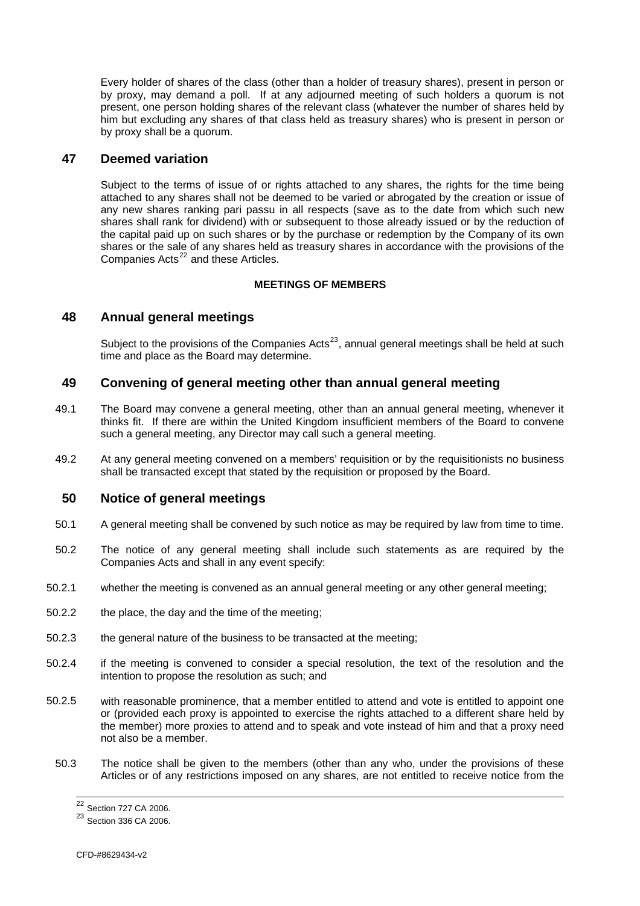<span id="page-22-0"></span>Every holder of shares of the class (other than a holder of treasury shares), present in person or by proxy, may demand a poll. If at any adjourned meeting of such holders a quorum is not present, one person holding shares of the relevant class (whatever the number of shares held by him but excluding any shares of that class held as treasury shares) who is present in person or by proxy shall be a quorum.

### **47 Deemed variation**

shares or the sale of any shares held as treasury shares in accordance with the provisions of the Companies Acts<sup>22</sup> and these Articles. Subject to the terms of issue of or rights attached to any shares, the rights for the time being attached to any shares shall not be deemed to be varied or abrogated by the creation or issue of any new shares ranking pari passu in all respects (save as to the date from which such new shares shall rank for dividend) with or subsequent to those already issued or by the reduction of the capital paid up on such shares or by the purchase or redemption by the Company of its own

#### **MEETINGS OF MEMBERS**

#### **48 Annual general meetings**

Subject to the provisions of the Companies Acts<sup>23</sup>, annual general meetings shall be held at such time and place as the Board may determine.

### **49 Convening of general meeting other than annual general meeting**

- thinks fit. If there are within the United Kingdom insufficient members of the Board to convene such a general meeting, any Director may call such a general meeting. 49.1 The Board may convene a general meeting, other than an annual general meeting, whenever it
- 49.2 At any general meeting convened on a members' requisition or by the requisitionists no business shall be transacted except that stated by the requisition or proposed by the Board.

#### **50 Notice of general meetings**

- 50.1 A general meeting shall be convened by such notice as may be required by law from time to time.
- 50.2 The notice of any general meeting shall include such statements as are required by the Companies Acts and shall in any event specify:
- 50.2.1 whether the meeting is convened as an annual general meeting or any other general meeting;
- 50.2.2 the place, the day and the time of the meeting;
- 50.2.3 the general nature of the business to be transacted at the meeting;
- 50.2.4 if the meeting is convened to consider a special resolution, the text of the resolution and the intention to propose the resolution as such; and
- 50.2.5 the member) more proxies to attend and to speak and vote instead of him and that a proxy need not also be a member. with reasonable prominence, that a member entitled to attend and vote is entitled to appoint one or (provided each proxy is appointed to exercise the rights attached to a different share held by
	- Articles or of any restrictions imposed on any shares, are not entitled to receive notice from the 50.3 The notice shall be given to the members (other than any who, under the provisions of these

<sup>&</sup>lt;sup>22</sup> Section 727 CA 2006.

<sup>23</sup> Section 336 CA 2006.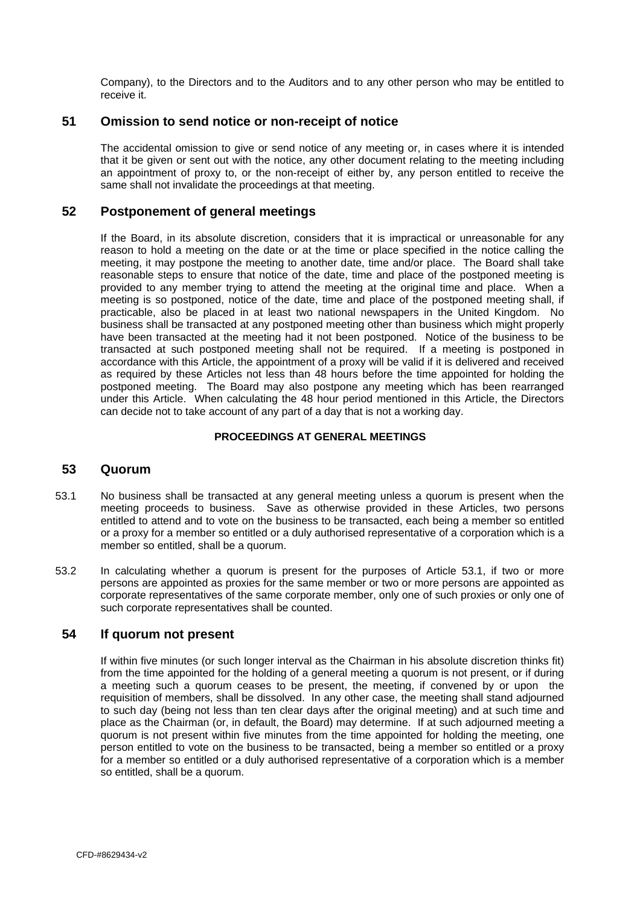<span id="page-23-0"></span>Company), to the Directors and to the Auditors and to any other person who may be entitled to receive it.

### **51 Omission to send notice or non-receipt of notice**

The accidental omission to give or send notice of any meeting or, in cases where it is intended that it be given or sent out with the notice, any other document relating to the meeting including an appointment of proxy to, or the non-receipt of either by, any person entitled to receive the same shall not invalidate the proceedings at that meeting.

### **52 Postponement of general meetings**

If the Board, in its absolute discretion, considers that it is impractical or unreasonable for any reason to hold a meeting on the date or at the time or place specified in the notice calling the meeting, it may postpone the meeting to another date, time and/or place. The Board shall take reasonable steps to ensure that notice of the date, time and place of the postponed meeting is provided to any member trying to attend the meeting at the original time and place. When a meeting is so postponed, notice of the date, time and place of the postponed meeting shall, if practicable, also be placed in at least two national newspapers in the United Kingdom. No business shall be transacted at any postponed meeting other than business which might properly have been transacted at the meeting had it not been postponed. Notice of the business to be transacted at such postponed meeting shall not be required. If a meeting is postponed in accordance with this Article, the appointment of a proxy will be valid if it is delivered and received as required by these Articles not less than 48 hours before the time appointed for holding the postponed meeting. The Board may also postpone any meeting which has been rearranged under this Article. When calculating the 48 hour period mentioned in this Article, the Directors can decide not to take account of any part of a day that is not a working day.

#### **PROCEEDINGS AT GENERAL MEETINGS**

#### **53 Quorum**

- <span id="page-23-1"></span>53.1 No business shall be transacted at any general meeting unless a quorum is present when the meeting proceeds to business. Save as otherwise provided in these Articles, two persons entitled to attend and to vote on the business to be transacted, each being a member so entitled or a proxy for a member so entitled or a duly authorised representative of a corporation which is a member so entitled, shall be a quorum.
- 53.2 In calculating whether a quorum is present for the purposes of Article [53.1,](#page-23-1) if two or more persons are appointed as proxies for the same member or two or more persons are appointed as corporate representatives of the same corporate member, only one of such proxies or only one of such corporate representatives shall be counted.

### **54 If quorum not present**

If within five minutes (or such longer interval as the Chairman in his absolute discretion thinks fit) from the time appointed for the holding of a general meeting a quorum is not present, or if during a meeting such a quorum ceases to be present, the meeting, if convened by or upon the requisition of members, shall be dissolved. In any other case, the meeting shall stand adjourned to such day (being not less than ten clear days after the original meeting) and at such time and place as the Chairman (or, in default, the Board) may determine. If at such adjourned meeting a quorum is not present within five minutes from the time appointed for holding the meeting, one person entitled to vote on the business to be transacted, being a member so entitled or a proxy for a member so entitled or a duly authorised representative of a corporation which is a member so entitled, shall be a quorum.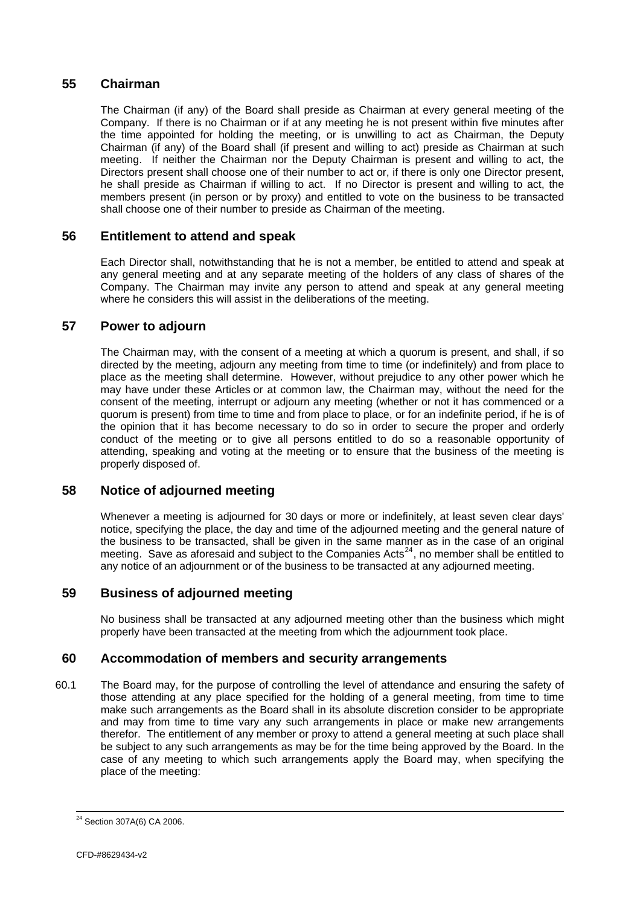## <span id="page-24-0"></span>**55 Chairman**

The Chairman (if any) of the Board shall preside as Chairman at every general meeting of the Company. If there is no Chairman or if at any meeting he is not present within five minutes after the time appointed for holding the meeting, or is unwilling to act as Chairman, the Deputy Chairman (if any) of the Board shall (if present and willing to act) preside as Chairman at such meeting. If neither the Chairman nor the Deputy Chairman is present and willing to act, the Directors present shall choose one of their number to act or, if there is only one Director present, he shall preside as Chairman if willing to act. If no Director is present and willing to act, the members present (in person or by proxy) and entitled to vote on the business to be transacted shall choose one of their number to preside as Chairman of the meeting.

# **56 Entitlement to attend and speak**

Each Director shall, notwithstanding that he is not a member, be entitled to attend and speak at any general meeting and at any separate meeting of the holders of any class of shares of the Company. The Chairman may invite any person to attend and speak at any general meeting where he considers this will assist in the deliberations of the meeting.

# **57 Power to adjourn**

The Chairman may, with the consent of a meeting at which a quorum is present, and shall, if so directed by the meeting, adjourn any meeting from time to time (or indefinitely) and from place to place as the meeting shall determine. However, without prejudice to any other power which he may have under these Articles or at common law, the Chairman may, without the need for the consent of the meeting, interrupt or adjourn any meeting (whether or not it has commenced or a quorum is present) from time to time and from place to place, or for an indefinite period, if he is of the opinion that it has become necessary to do so in order to secure the proper and orderly conduct of the meeting or to give all persons entitled to do so a reasonable opportunity of attending, speaking and voting at the meeting or to ensure that the business of the meeting is properly disposed of.

# **58 Notice of adjourned meeting**

Whenever a meeting is adjourned for 30 days or more or indefinitely, at least seven clear days' notice, specifying the place, the day and time of the adjourned meeting and the general nature of the business to be transacted, shall be given in the same manner as in the case of an original meeting. Save as aforesaid and subject to the Companies Acts<sup>[24](#page-24-0)</sup>, no member shall be entitled to any notice of an adjournment or of the business to be transacted at any adjourned meeting.

# **59 Business of adjourned meeting**

No business shall be transacted at any adjourned meeting other than the business which might properly have been transacted at the meeting from which the adjournment took place.

### **60 Accommodation of members and security arrangements**

60.1 The Board may, for the purpose of controlling the level of attendance and ensuring the safety of those attending at any place specified for the holding of a general meeting, from time to time make such arrangements as the Board shall in its absolute discretion consider to be appropriate and may from time to time vary any such arrangements in place or make new arrangements therefor. The entitlement of any member or proxy to attend a general meeting at such place shall be subject to any such arrangements as may be for the time being approved by the Board. In the case of any meeting to which such arrangements apply the Board may, when specifying the place of the meeting:

 $24$  Section 307A(6) CA 2006.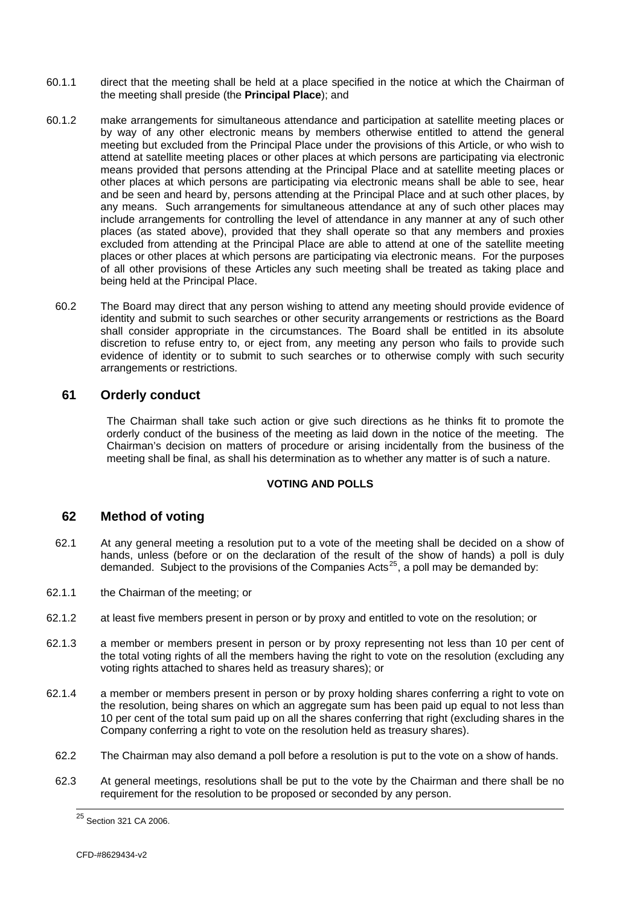- <span id="page-25-0"></span>60.1.1 direct that the meeting shall be held at a place specified in the notice at which the Chairman of the meeting shall preside (the **Principal Place**); and
- 60.1.2 make arrangements for simultaneous attendance and participation at satellite meeting places or by way of any other electronic means by members otherwise entitled to attend the general meeting but excluded from the Principal Place under the provisions of this Article, or who wish to attend at satellite meeting places or other places at which persons are participating via electronic means provided that persons attending at the Principal Place and at satellite meeting places or other places at which persons are participating via electronic means shall be able to see, hear and be seen and heard by, persons attending at the Principal Place and at such other places, by any means. Such arrangements for simultaneous attendance at any of such other places may include arrangements for controlling the level of attendance in any manner at any of such other places (as stated above), provided that they shall operate so that any members and proxies excluded from attending at the Principal Place are able to attend at one of the satellite meeting places or other places at which persons are participating via electronic means. For the purposes of all other provisions of these Articles any such meeting shall be treated as taking place and being held at the Principal Place.
	- 60.2 The Board may direct that any person wishing to attend any meeting should provide evidence of identity and submit to such searches or other security arrangements or restrictions as the Board shall consider appropriate in the circumstances. The Board shall be entitled in its absolute discretion to refuse entry to, or eject from, any meeting any person who fails to provide such evidence of identity or to submit to such searches or to otherwise comply with such security arrangements or restrictions.

# **61 Orderly conduct**

The Chairman shall take such action or give such directions as he thinks fit to promote the orderly conduct of the business of the meeting as laid down in the notice of the meeting. The Chairman's decision on matters of procedure or arising incidentally from the business of the meeting shall be final, as shall his determination as to whether any matter is of such a nature.

#### **VOTING AND POLLS**

# **62 Method of voting**

- 62.1 At any general meeting a resolution put to a vote of the meeting shall be decided on a show of hands, unless (before or on the declaration of the result of the show of hands) a poll is duly demanded. Subject to the provisions of the Companies Acts<sup>[25](#page-25-0)</sup>, a poll may be demanded by:
- 62.1.1 the Chairman of the meeting; or
- 62.1.2 at least five members present in person or by proxy and entitled to vote on the resolution; or
- 62.1.3 a member or members present in person or by proxy representing not less than 10 per cent of the total voting rights of all the members having the right to vote on the resolution (excluding any voting rights attached to shares held as treasury shares); or
- 62.1.4 a member or members present in person or by proxy holding shares conferring a right to vote on the resolution, being shares on which an aggregate sum has been paid up equal to not less than 10 per cent of the total sum paid up on all the shares conferring that right (excluding shares in the Company conferring a right to vote on the resolution held as treasury shares).
- 62.2 The Chairman may also demand a poll before a resolution is put to the vote on a show of hands.
- 62.3 At general meetings, resolutions shall be put to the vote by the Chairman and there shall be no requirement for the resolution to be proposed or seconded by any person.

 $\overline{a}$ <sup>25</sup> Section 321 CA 2006.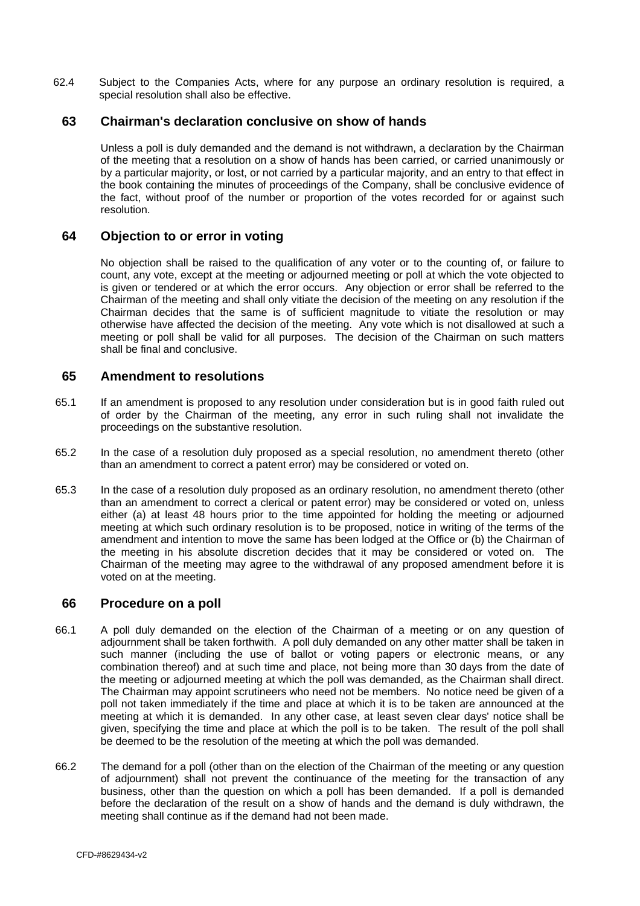<span id="page-26-0"></span>62.4 Subject to the Companies Acts, where for any purpose an ordinary resolution is required, a special resolution shall also be effective.

### **63 Chairman's declaration conclusive on show of hands**

Unless a poll is duly demanded and the demand is not withdrawn, a declaration by the Chairman of the meeting that a resolution on a show of hands has been carried, or carried unanimously or by a particular majority, or lost, or not carried by a particular majority, and an entry to that effect in the book containing the minutes of proceedings of the Company, shall be conclusive evidence of the fact, without proof of the number or proportion of the votes recorded for or against such resolution.

#### **64 Objection to or error in voting**

No objection shall be raised to the qualification of any voter or to the counting of, or failure to count, any vote, except at the meeting or adjourned meeting or poll at which the vote objected to is given or tendered or at which the error occurs. Any objection or error shall be referred to the Chairman of the meeting and shall only vitiate the decision of the meeting on any resolution if the Chairman decides that the same is of sufficient magnitude to vitiate the resolution or may otherwise have affected the decision of the meeting. Any vote which is not disallowed at such a meeting or poll shall be valid for all purposes. The decision of the Chairman on such matters shall be final and conclusive.

### **65 Amendment to resolutions**

- 65.1 If an amendment is proposed to any resolution under consideration but is in good faith ruled out of order by the Chairman of the meeting, any error in such ruling shall not invalidate the proceedings on the substantive resolution.
- 65.2 In the case of a resolution duly proposed as a special resolution, no amendment thereto (other than an amendment to correct a patent error) may be considered or voted on.
- 65.3 In the case of a resolution duly proposed as an ordinary resolution, no amendment thereto (other than an amendment to correct a clerical or patent error) may be considered or voted on, unless either (a) at least 48 hours prior to the time appointed for holding the meeting or adjourned meeting at which such ordinary resolution is to be proposed, notice in writing of the terms of the amendment and intention to move the same has been lodged at the Office or (b) the Chairman of the meeting in his absolute discretion decides that it may be considered or voted on. The Chairman of the meeting may agree to the withdrawal of any proposed amendment before it is voted on at the meeting.

#### **66 Procedure on a poll**

- 66.1 A poll duly demanded on the election of the Chairman of a meeting or on any question of adjournment shall be taken forthwith. A poll duly demanded on any other matter shall be taken in such manner (including the use of ballot or voting papers or electronic means, or any combination thereof) and at such time and place, not being more than 30 days from the date of the meeting or adjourned meeting at which the poll was demanded, as the Chairman shall direct. The Chairman may appoint scrutineers who need not be members. No notice need be given of a poll not taken immediately if the time and place at which it is to be taken are announced at the meeting at which it is demanded. In any other case, at least seven clear days' notice shall be given, specifying the time and place at which the poll is to be taken. The result of the poll shall be deemed to be the resolution of the meeting at which the poll was demanded.
- 66.2 The demand for a poll (other than on the election of the Chairman of the meeting or any question of adjournment) shall not prevent the continuance of the meeting for the transaction of any business, other than the question on which a poll has been demanded. If a poll is demanded before the declaration of the result on a show of hands and the demand is duly withdrawn, the meeting shall continue as if the demand had not been made.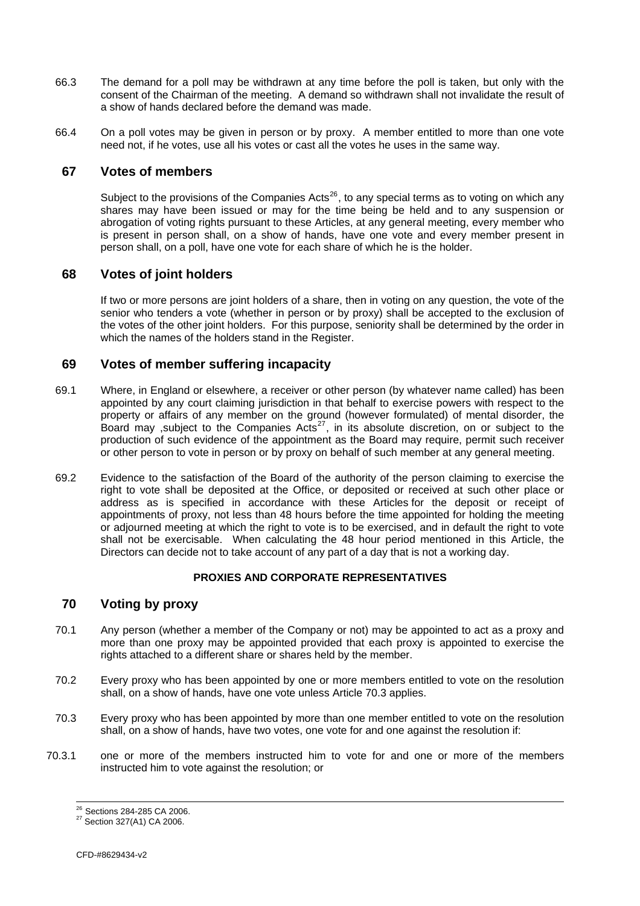- <span id="page-27-0"></span>66.3 The demand for a poll may be withdrawn at any time before the poll is taken, but only with the consent of the Chairman of the meeting. A demand so withdrawn shall not invalidate the result of a show of hands declared before the demand was made.
- 66.4 On a poll votes may be given in person or by proxy. A member entitled to more than one vote need not, if he votes, use all his votes or cast all the votes he uses in the same way.

### **67 Votes of members**

Subject to the provisions of the Companies Acts<sup>[26](#page-27-0)</sup>, to any special terms as to voting on which any shares may have been issued or may for the time being be held and to any suspension or abrogation of voting rights pursuant to these Articles, at any general meeting, every member who is present in person shall, on a show of hands, have one vote and every member present in person shall, on a poll, have one vote for each share of which he is the holder.

# **68 Votes of joint holders**

If two or more persons are joint holders of a share, then in voting on any question, the vote of the senior who tenders a vote (whether in person or by proxy) shall be accepted to the exclusion of the votes of the other joint holders. For this purpose, seniority shall be determined by the order in which the names of the holders stand in the Register.

### **69 Votes of member suffering incapacity**

- 69.1 Where, in England or elsewhere, a receiver or other person (by whatever name called) has been appointed by any court claiming jurisdiction in that behalf to exercise powers with respect to the property or affairs of any member on the ground (however formulated) of mental disorder, the Board may , subject to the Companies Acts<sup>[27](#page-27-0)</sup>, in its absolute discretion, on or subject to the production of such evidence of the appointment as the Board may require, permit such receiver or other person to vote in person or by proxy on behalf of such member at any general meeting.
- 69.2 Evidence to the satisfaction of the Board of the authority of the person claiming to exercise the right to vote shall be deposited at the Office, or deposited or received at such other place or address as is specified in accordance with these Articles for the deposit or receipt of appointments of proxy, not less than 48 hours before the time appointed for holding the meeting or adjourned meeting at which the right to vote is to be exercised, and in default the right to vote shall not be exercisable. When calculating the 48 hour period mentioned in this Article, the Directors can decide not to take account of any part of a day that is not a working day.

#### **PROXIES AND CORPORATE REPRESENTATIVES**

# **70 Voting by proxy**

- 70.1 Any person (whether a member of the Company or not) may be appointed to act as a proxy and more than one proxy may be appointed provided that each proxy is appointed to exercise the rights attached to a different share or shares held by the member.
- 70.2 Every proxy who has been appointed by one or more members entitled to vote on the resolution shall, on a show of hands, have one vote unless Article [70.3](#page-27-1) applies.
- <span id="page-27-1"></span>70.3 Every proxy who has been appointed by more than one member entitled to vote on the resolution shall, on a show of hands, have two votes, one vote for and one against the resolution if:
- 70.3.1 one or more of the members instructed him to vote for and one or more of the members instructed him to vote against the resolution; or

<sup>&</sup>lt;sup>26</sup> Sections 284-285 CA 2006.

<sup>&</sup>lt;sup>27</sup> Section 327(A1) CA 2006.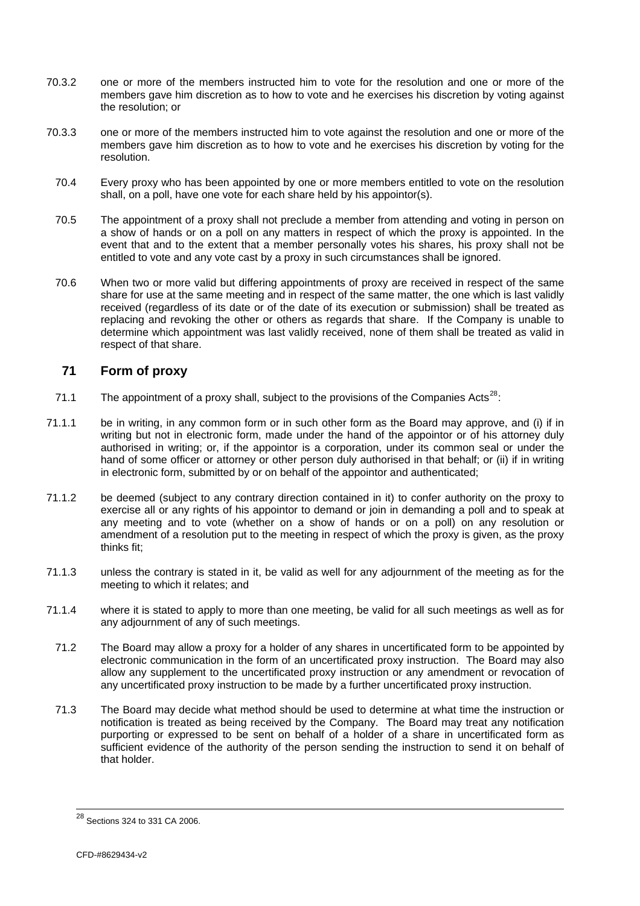- <span id="page-28-0"></span>70.3.2 one or more of the members instructed him to vote for the resolution and one or more of the members gave him discretion as to how to vote and he exercises his discretion by voting against the resolution; or
- 70.3.3 one or more of the members instructed him to vote against the resolution and one or more of the members gave him discretion as to how to vote and he exercises his discretion by voting for the resolution.
	- 70.4 Every proxy who has been appointed by one or more members entitled to vote on the resolution shall, on a poll, have one vote for each share held by his appointor(s).
	- 70.5 The appointment of a proxy shall not preclude a member from attending and voting in person on a show of hands or on a poll on any matters in respect of which the proxy is appointed. In the event that and to the extent that a member personally votes his shares, his proxy shall not be entitled to vote and any vote cast by a proxy in such circumstances shall be ignored.
	- 70.6 When two or more valid but differing appointments of proxy are received in respect of the same share for use at the same meeting and in respect of the same matter, the one which is last validly received (regardless of its date or of the date of its execution or submission) shall be treated as replacing and revoking the other or others as regards that share. If the Company is unable to determine which appointment was last validly received, none of them shall be treated as valid in respect of that share.

# <span id="page-28-1"></span>**71 Form of proxy**

- 71.1 The appointment of a proxy shall, subject to the provisions of the Companies Acts<sup>[28](#page-28-0)</sup>:
- 71.1.1 be in writing, in any common form or in such other form as the Board may approve, and (i) if in writing but not in electronic form, made under the hand of the appointor or of his attorney duly authorised in writing; or, if the appointor is a corporation, under its common seal or under the hand of some officer or attorney or other person duly authorised in that behalf; or (ii) if in writing in electronic form, submitted by or on behalf of the appointor and authenticated;
- 71.1.2 be deemed (subject to any contrary direction contained in it) to confer authority on the proxy to exercise all or any rights of his appointor to demand or join in demanding a poll and to speak at any meeting and to vote (whether on a show of hands or on a poll) on any resolution or amendment of a resolution put to the meeting in respect of which the proxy is given, as the proxy thinks fit;
- 71.1.3 unless the contrary is stated in it, be valid as well for any adjournment of the meeting as for the meeting to which it relates; and
- 71.1.4 where it is stated to apply to more than one meeting, be valid for all such meetings as well as for any adjournment of any of such meetings.
- 71.2 The Board may allow a proxy for a holder of any shares in uncertificated form to be appointed by electronic communication in the form of an uncertificated proxy instruction. The Board may also allow any supplement to the uncertificated proxy instruction or any amendment or revocation of any uncertificated proxy instruction to be made by a further uncertificated proxy instruction.
- 71.3 The Board may decide what method should be used to determine at what time the instruction or notification is treated as being received by the Company. The Board may treat any notification purporting or expressed to be sent on behalf of a holder of a share in uncertificated form as sufficient evidence of the authority of the person sending the instruction to send it on behalf of that holder.

 $\overline{a}$ 

 $^{28}$  Sections 324 to 331 CA 2006.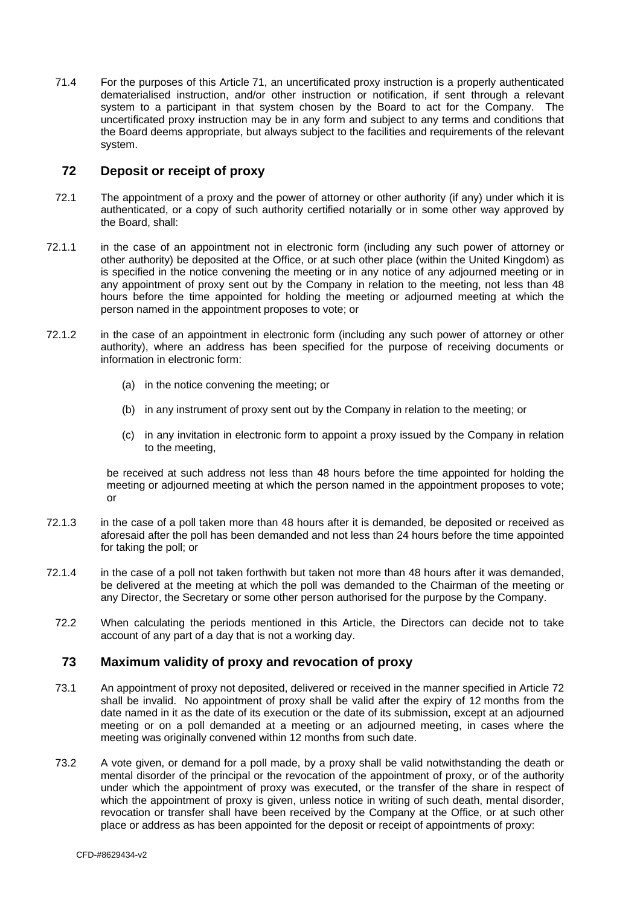<span id="page-29-0"></span>71.4 For the purposes of this Article [71,](#page-28-1) an uncertificated proxy instruction is a properly authenticated dematerialised instruction, and/or other instruction or notification, if sent through a relevant system to a participant in that system chosen by the Board to act for the Company. The uncertificated proxy instruction may be in any form and subject to any terms and conditions that the Board deems appropriate, but always subject to the facilities and requirements of the relevant system.

### **72 Deposit or receipt of proxy**

- <span id="page-29-1"></span>72.1 The appointment of a proxy and the power of attorney or other authority (if any) under which it is authenticated, or a copy of such authority certified notarially or in some other way approved by the Board, shall:
- 72.1.1 in the case of an appointment not in electronic form (including any such power of attorney or other authority) be deposited at the Office, or at such other place (within the United Kingdom) as is specified in the notice convening the meeting or in any notice of any adjourned meeting or in any appointment of proxy sent out by the Company in relation to the meeting, not less than 48 hours before the time appointed for holding the meeting or adjourned meeting at which the person named in the appointment proposes to vote; or
- 72.1.2 in the case of an appointment in electronic form (including any such power of attorney or other authority), where an address has been specified for the purpose of receiving documents or information in electronic form:
	- (a) in the notice convening the meeting; or
	- (b) in any instrument of proxy sent out by the Company in relation to the meeting; or
	- (c) in any invitation in electronic form to appoint a proxy issued by the Company in relation to the meeting,

be received at such address not less than 48 hours before the time appointed for holding the meeting or adjourned meeting at which the person named in the appointment proposes to vote; or

- 72.1.3 in the case of a poll taken more than 48 hours after it is demanded, be deposited or received as aforesaid after the poll has been demanded and not less than 24 hours before the time appointed for taking the poll; or
- 72.1.4 in the case of a poll not taken forthwith but taken not more than 48 hours after it was demanded, be delivered at the meeting at which the poll was demanded to the Chairman of the meeting or any Director, the Secretary or some other person authorised for the purpose by the Company.
	- 72.2 When calculating the periods mentioned in this Article, the Directors can decide not to take account of any part of a day that is not a working day.

# **73 Maximum validity of proxy and revocation of proxy**

- 73.1 An appointment of proxy not deposited, delivered or received in the manner specified in Article [72](#page-29-1) shall be invalid. No appointment of proxy shall be valid after the expiry of 12 months from the date named in it as the date of its execution or the date of its submission, except at an adjourned meeting or on a poll demanded at a meeting or an adjourned meeting, in cases where the meeting was originally convened within 12 months from such date.
- 73.2 A vote given, or demand for a poll made, by a proxy shall be valid notwithstanding the death or mental disorder of the principal or the revocation of the appointment of proxy, or of the authority under which the appointment of proxy was executed, or the transfer of the share in respect of which the appointment of proxy is given, unless notice in writing of such death, mental disorder, revocation or transfer shall have been received by the Company at the Office, or at such other place or address as has been appointed for the deposit or receipt of appointments of proxy: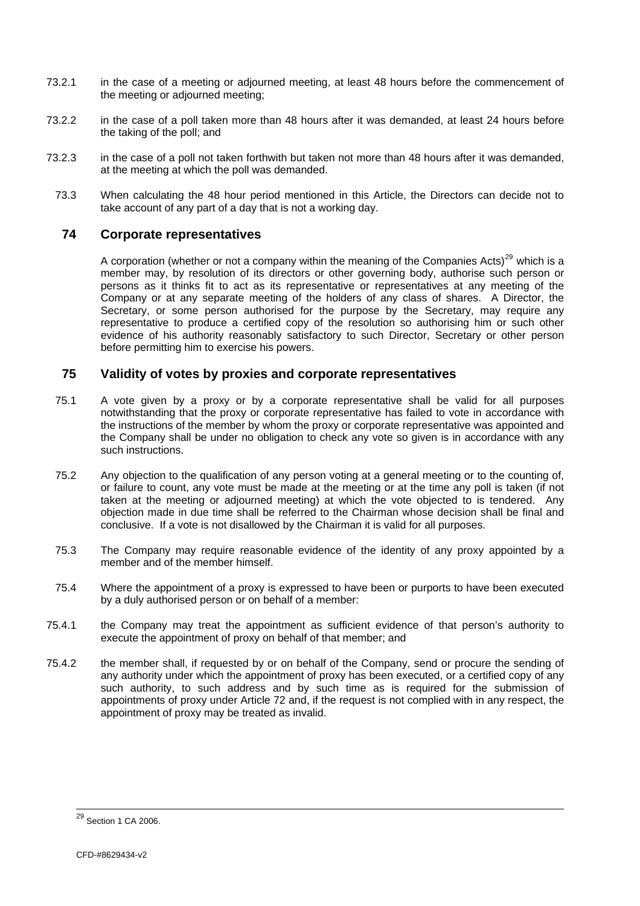- <span id="page-30-0"></span>73.2.1 in the case of a meeting or adjourned meeting, at least 48 hours before the commencement of the meeting or adjourned meeting;
- 73.2.2 in the case of a poll taken more than 48 hours after it was demanded, at least 24 hours before the taking of the poll; and
- 73.2.3 in the case of a poll not taken forthwith but taken not more than 48 hours after it was demanded, at the meeting at which the poll was demanded.
- 73.3 When calculating the 48 hour period mentioned in this Article, the Directors can decide not to take account of any part of a day that is not a working day.

### **74 Corporate representatives**

A corporation (whether or not a company within the meaning of the Companies Acts)<sup>[29](#page-30-0)</sup> which is a member may, by resolution of its directors or other governing body, authorise such person or persons as it thinks fit to act as its representative or representatives at any meeting of the Company or at any separate meeting of the holders of any class of shares. A Director, the Secretary, or some person authorised for the purpose by the Secretary, may require any representative to produce a certified copy of the resolution so authorising him or such other evidence of his authority reasonably satisfactory to such Director, Secretary or other person before permitting him to exercise his powers.

# **75 Validity of votes by proxies and corporate representatives**

- 75.1 A vote given by a proxy or by a corporate representative shall be valid for all purposes notwithstanding that the proxy or corporate representative has failed to vote in accordance with the instructions of the member by whom the proxy or corporate representative was appointed and the Company shall be under no obligation to check any vote so given is in accordance with any such instructions.
- 75.2 Any objection to the qualification of any person voting at a general meeting or to the counting of, or failure to count, any vote must be made at the meeting or at the time any poll is taken (if not taken at the meeting or adjourned meeting) at which the vote objected to is tendered. Any objection made in due time shall be referred to the Chairman whose decision shall be final and conclusive. If a vote is not disallowed by the Chairman it is valid for all purposes.
- 75.3 The Company may require reasonable evidence of the identity of any proxy appointed by a member and of the member himself.
- 75.4 Where the appointment of a proxy is expressed to have been or purports to have been executed by a duly authorised person or on behalf of a member:
- 75.4.1 the Company may treat the appointment as sufficient evidence of that person's authority to execute the appointment of proxy on behalf of that member; and
- 75.4.2 the member shall, if requested by or on behalf of the Company, send or procure the sending of any authority under which the appointment of proxy has been executed, or a certified copy of any such authority, to such address and by such time as is required for the submission of appointments of proxy under Article [72](#page-29-1) and, if the request is not complied with in any respect, the appointment of proxy may be treated as invalid.

 $\overline{a}$ 

<sup>&</sup>lt;sup>29</sup> Section 1 CA 2006.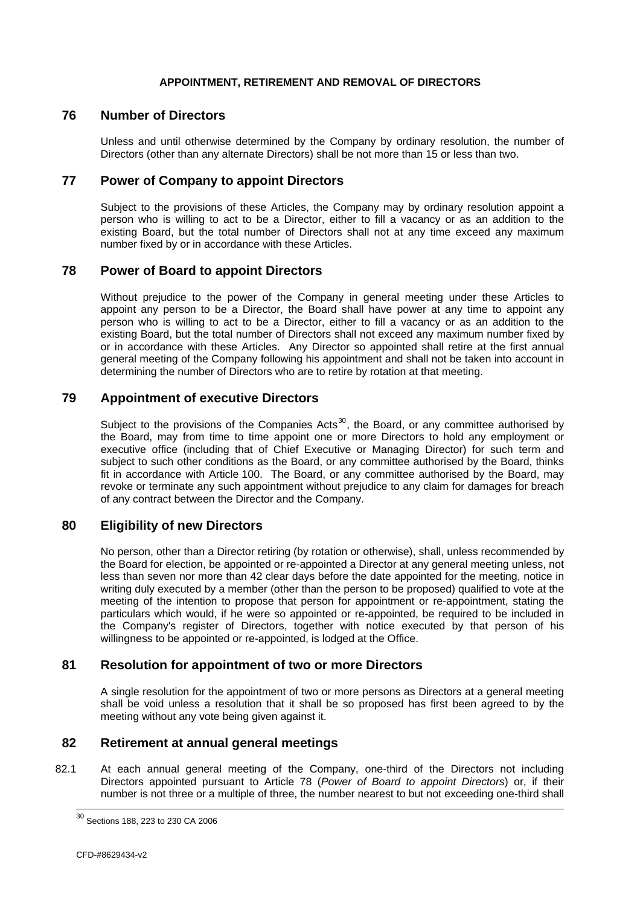#### **APPOINTMENT, RETIREMENT AND REMOVAL OF DIRECTORS**

### <span id="page-31-0"></span>**76 Number of Directors**

Unless and until otherwise determined by the Company by ordinary resolution, the number of Directors (other than any alternate Directors) shall be not more than 15 or less than two.

### **77 Power of Company to appoint Directors**

Subject to the provisions of these Articles, the Company may by ordinary resolution appoint a person who is willing to act to be a Director, either to fill a vacancy or as an addition to the existing Board, but the total number of Directors shall not at any time exceed any maximum number fixed by or in accordance with these Articles.

### **78 Power of Board to appoint Directors**

Without prejudice to the power of the Company in general meeting under these Articles to appoint any person to be a Director, the Board shall have power at any time to appoint any person who is willing to act to be a Director, either to fill a vacancy or as an addition to the existing Board, but the total number of Directors shall not exceed any maximum number fixed by or in accordance with these Articles. Any Director so appointed shall retire at the first annual general meeting of the Company following his appointment and shall not be taken into account in determining the number of Directors who are to retire by rotation at that meeting.

### **79 Appointment of executive Directors**

Subject to the provisions of the Companies Acts<sup>[30](#page-31-0)</sup>, the Board, or any committee authorised by the Board, may from time to time appoint one or more Directors to hold any employment or executive office (including that of Chief Executive or Managing Director) for such term and subject to such other conditions as the Board, or any committee authorised by the Board, thinks fit in accordance with Article [100](#page-36-1). The Board, or any committee authorised by the Board, may revoke or terminate any such appointment without prejudice to any claim for damages for breach of any contract between the Director and the Company.

#### **80 Eligibility of new Directors**

No person, other than a Director retiring (by rotation or otherwise), shall, unless recommended by the Board for election, be appointed or re-appointed a Director at any general meeting unless, not less than seven nor more than 42 clear days before the date appointed for the meeting, notice in writing duly executed by a member (other than the person to be proposed) qualified to vote at the meeting of the intention to propose that person for appointment or re-appointment, stating the particulars which would, if he were so appointed or re-appointed, be required to be included in the Company's register of Directors, together with notice executed by that person of his willingness to be appointed or re-appointed, is lodged at the Office.

# **81 Resolution for appointment of two or more Directors**

A single resolution for the appointment of two or more persons as Directors at a general meeting shall be void unless a resolution that it shall be so proposed has first been agreed to by the meeting without any vote being given against it.

# **82 Retirement at annual general meetings**

82.1 At each annual general meeting of the Company, one-third of the Directors not including Directors appointed pursuant to Article 78 (*Power of Board to appoint Directors*) or, if their number is not three or a multiple of three, the number nearest to but not exceeding one-third shall

 $\overline{\phantom{a}}$ 

 $^{30}$  Sections 188, 223 to 230 CA 2006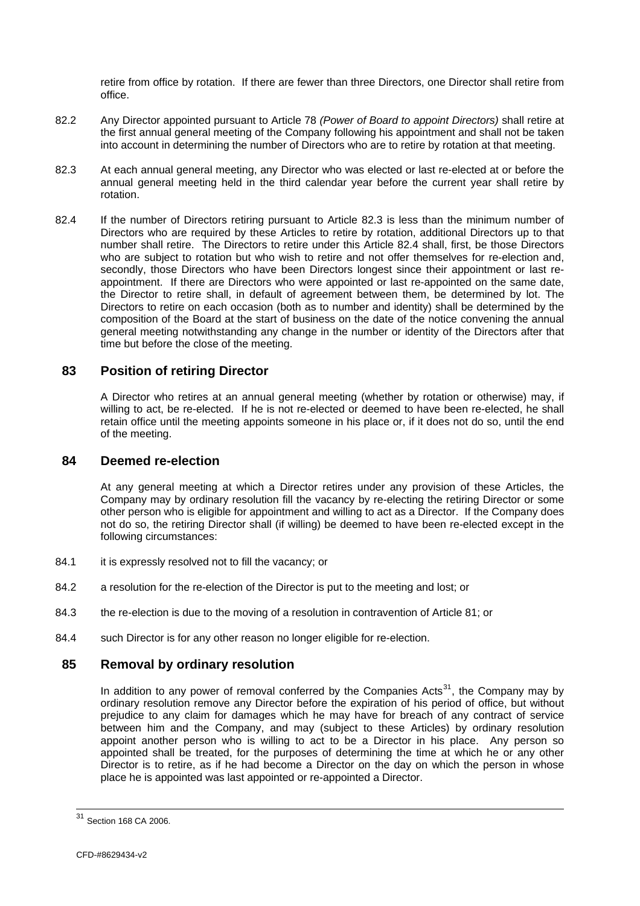<span id="page-32-0"></span>retire from office by rotation. If there are fewer than three Directors, one Director shall retire from office.

- 82.2 Any Director appointed pursuant to Article 78 *(Power of Board to appoint Directors)* shall retire at the first annual general meeting of the Company following his appointment and shall not be taken into account in determining the number of Directors who are to retire by rotation at that meeting.
- <span id="page-32-1"></span>82.3 At each annual general meeting, any Director who was elected or last re-elected at or before the annual general meeting held in the third calendar year before the current year shall retire by rotation.
- <span id="page-32-2"></span>82.4 If the number of Directors retiring pursuant to Article [82.3](#page-32-1) is less than the minimum number of Directors who are required by these Articles to retire by rotation, additional Directors up to that number shall retire. The Directors to retire under this Article [82.4](#page-32-2) shall, first, be those Directors who are subject to rotation but who wish to retire and not offer themselves for re-election and, secondly, those Directors who have been Directors longest since their appointment or last reappointment. If there are Directors who were appointed or last re-appointed on the same date, the Director to retire shall, in default of agreement between them, be determined by lot. The Directors to retire on each occasion (both as to number and identity) shall be determined by the composition of the Board at the start of business on the date of the notice convening the annual general meeting notwithstanding any change in the number or identity of the Directors after that time but before the close of the meeting.

### **83 Position of retiring Director**

A Director who retires at an annual general meeting (whether by rotation or otherwise) may, if willing to act, be re-elected. If he is not re-elected or deemed to have been re-elected, he shall retain office until the meeting appoints someone in his place or, if it does not do so, until the end of the meeting.

#### **84 Deemed re-election**

At any general meeting at which a Director retires under any provision of these Articles, the Company may by ordinary resolution fill the vacancy by re-electing the retiring Director or some other person who is eligible for appointment and willing to act as a Director. If the Company does not do so, the retiring Director shall (if willing) be deemed to have been re-elected except in the following circumstances:

- 84.1 it is expressly resolved not to fill the vacancy; or
- 84.2 a resolution for the re-election of the Director is put to the meeting and lost; or
- 84.3 the re-election is due to the moving of a resolution in contravention of Article 81; or
- 84.4 such Director is for any other reason no longer eligible for re-election.

### **85 Removal by ordinary resolution**

In addition to any power of removal conferred by the Companies Acts<sup>[31](#page-32-0)</sup>, the Company may by ordinary resolution remove any Director before the expiration of his period of office, but without prejudice to any claim for damages which he may have for breach of any contract of service between him and the Company, and may (subject to these Articles) by ordinary resolution appoint another person who is willing to act to be a Director in his place. Any person so appointed shall be treated, for the purposes of determining the time at which he or any other Director is to retire, as if he had become a Director on the day on which the person in whose place he is appointed was last appointed or re-appointed a Director.

 $\overline{\phantom{a}}$ 

 $31$  Section 168 CA 2006.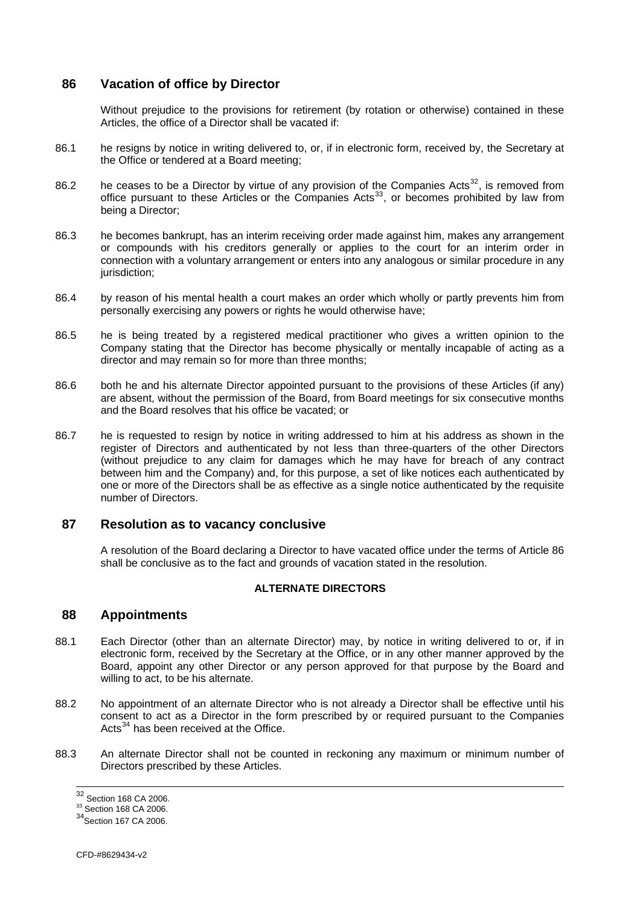### <span id="page-33-1"></span><span id="page-33-0"></span>**86 Vacation of office by Director**

Without prejudice to the provisions for retirement (by rotation or otherwise) contained in these Articles, the office of a Director shall be vacated if:

- 86.1 he resigns by notice in writing delivered to, or, if in electronic form, received by, the Secretary at the Office or tendered at a Board meeting;
- 86.2 he ceases to be a Director by virtue of any provision of the Companies Acts<sup>[32](#page-33-0)</sup>, is removed from office pursuant to these Articles or the Companies Acts<sup>[33](#page-33-0)</sup>, or becomes prohibited by law from being a Director;
- 86.3 he becomes bankrupt, has an interim receiving order made against him, makes any arrangement or compounds with his creditors generally or applies to the court for an interim order in connection with a voluntary arrangement or enters into any analogous or similar procedure in any jurisdiction:
- 86.4 by reason of his mental health a court makes an order which wholly or partly prevents him from personally exercising any powers or rights he would otherwise have;
- 86.5 he is being treated by a registered medical practitioner who gives a written opinion to the Company stating that the Director has become physically or mentally incapable of acting as a director and may remain so for more than three months;
- 86.6 both he and his alternate Director appointed pursuant to the provisions of these Articles (if any) are absent, without the permission of the Board, from Board meetings for six consecutive months and the Board resolves that his office be vacated; or
- 86.7 he is requested to resign by notice in writing addressed to him at his address as shown in the register of Directors and authenticated by not less than three-quarters of the other Directors (without prejudice to any claim for damages which he may have for breach of any contract between him and the Company) and, for this purpose, a set of like notices each authenticated by one or more of the Directors shall be as effective as a single notice authenticated by the requisite number of Directors.

### **87 Resolution as to vacancy conclusive**

A resolution of the Board declaring a Director to have vacated office under the terms of Article [86](#page-33-1) shall be conclusive as to the fact and grounds of vacation stated in the resolution.

#### **ALTERNATE DIRECTORS**

#### **88 Appointments**

- 88.1 Each Director (other than an alternate Director) may, by notice in writing delivered to or, if in electronic form, received by the Secretary at the Office, or in any other manner approved by the Board, appoint any other Director or any person approved for that purpose by the Board and willing to act, to be his alternate.
- 88.2 No appointment of an alternate Director who is not already a Director shall be effective until his consent to act as a Director in the form prescribed by or required pursuant to the Companies Acts $34$  has been received at the Office.
- 88.3 An alternate Director shall not be counted in reckoning any maximum or minimum number of Directors prescribed by these Articles.

 $^{32}$  Section 168 CA 2006.<br> $^{33}$  Section 168 CA 2006.

<sup>33</sup> Section 168 CA 2006.<br>34 Section 167 CA 2006.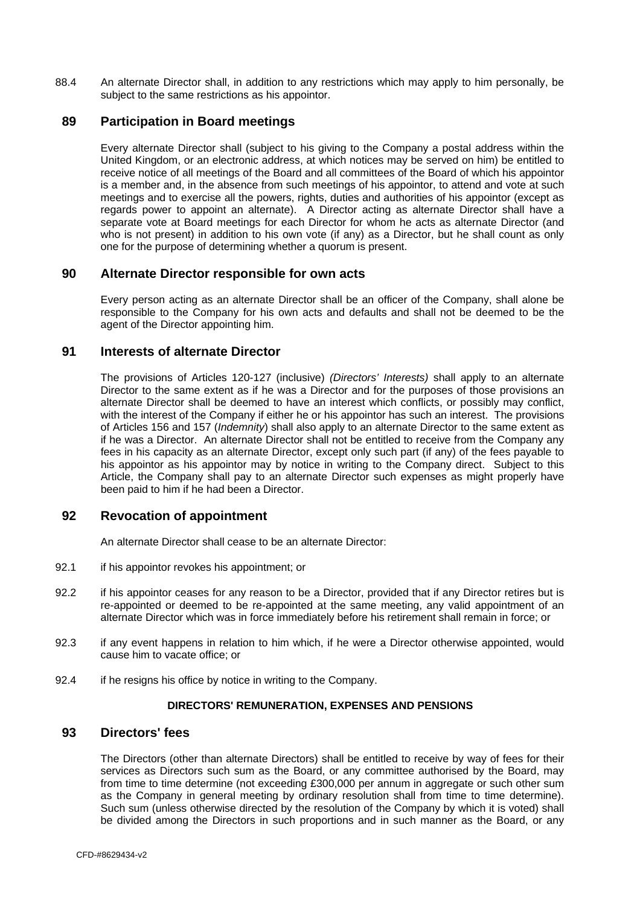<span id="page-34-0"></span>88.4 An alternate Director shall, in addition to any restrictions which may apply to him personally, be subject to the same restrictions as his appointor.

### **89 Participation in Board meetings**

Every alternate Director shall (subject to his giving to the Company a postal address within the United Kingdom, or an electronic address, at which notices may be served on him) be entitled to receive notice of all meetings of the Board and all committees of the Board of which his appointor is a member and, in the absence from such meetings of his appointor, to attend and vote at such meetings and to exercise all the powers, rights, duties and authorities of his appointor (except as regards power to appoint an alternate). A Director acting as alternate Director shall have a separate vote at Board meetings for each Director for whom he acts as alternate Director (and who is not present) in addition to his own vote (if any) as a Director, but he shall count as only one for the purpose of determining whether a quorum is present.

### **90 Alternate Director responsible for own acts**

Every person acting as an alternate Director shall be an officer of the Company, shall alone be responsible to the Company for his own acts and defaults and shall not be deemed to be the agent of the Director appointing him.

# **91 Interests of alternate Director**

The provisions of Articles [120](#page-42-1)-[127](#page-45-1) (inclusive) *(Directors' Interests)* shall apply to an alternate Director to the same extent as if he was a Director and for the purposes of those provisions an alternate Director shall be deemed to have an interest which conflicts, or possibly may conflict, with the interest of the Company if either he or his appointor has such an interest. The provisions of Articles [156](#page-56-1) and [157](#page-56-2) (*Indemnity*) shall also apply to an alternate Director to the same extent as if he was a Director. An alternate Director shall not be entitled to receive from the Company any fees in his capacity as an alternate Director, except only such part (if any) of the fees payable to his appointor as his appointor may by notice in writing to the Company direct. Subject to this Article, the Company shall pay to an alternate Director such expenses as might properly have been paid to him if he had been a Director.

#### **92 Revocation of appointment**

An alternate Director shall cease to be an alternate Director:

- 92.1 if his appointor revokes his appointment; or
- 92.2 if his appointor ceases for any reason to be a Director, provided that if any Director retires but is re-appointed or deemed to be re-appointed at the same meeting, any valid appointment of an alternate Director which was in force immediately before his retirement shall remain in force; or
- 92.3 if any event happens in relation to him which, if he were a Director otherwise appointed, would cause him to vacate office; or
- 92.4 if he resigns his office by notice in writing to the Company.

#### **DIRECTORS' REMUNERATION, EXPENSES AND PENSIONS**

#### **93 Directors' fees**

The Directors (other than alternate Directors) shall be entitled to receive by way of fees for their services as Directors such sum as the Board, or any committee authorised by the Board, may from time to time determine (not exceeding £300,000 per annum in aggregate or such other sum as the Company in general meeting by ordinary resolution shall from time to time determine). Such sum (unless otherwise directed by the resolution of the Company by which it is voted) shall be divided among the Directors in such proportions and in such manner as the Board, or any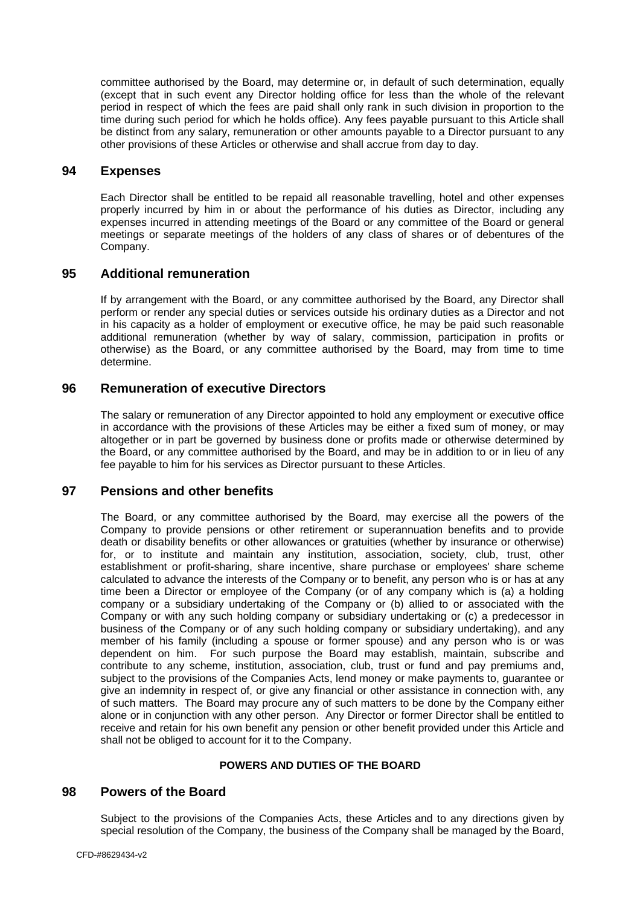<span id="page-35-0"></span>committee authorised by the Board, may determine or, in default of such determination, equally (except that in such event any Director holding office for less than the whole of the relevant period in respect of which the fees are paid shall only rank in such division in proportion to the time during such period for which he holds office). Any fees payable pursuant to this Article shall be distinct from any salary, remuneration or other amounts payable to a Director pursuant to any other provisions of these Articles or otherwise and shall accrue from day to day.

#### **94 Expenses**

Each Director shall be entitled to be repaid all reasonable travelling, hotel and other expenses properly incurred by him in or about the performance of his duties as Director, including any expenses incurred in attending meetings of the Board or any committee of the Board or general meetings or separate meetings of the holders of any class of shares or of debentures of the Company.

### **95 Additional remuneration**

If by arrangement with the Board, or any committee authorised by the Board, any Director shall perform or render any special duties or services outside his ordinary duties as a Director and not in his capacity as a holder of employment or executive office, he may be paid such reasonable additional remuneration (whether by way of salary, commission, participation in profits or otherwise) as the Board, or any committee authorised by the Board, may from time to time determine.

### **96 Remuneration of executive Directors**

The salary or remuneration of any Director appointed to hold any employment or executive office in accordance with the provisions of these Articles may be either a fixed sum of money, or may altogether or in part be governed by business done or profits made or otherwise determined by the Board, or any committee authorised by the Board, and may be in addition to or in lieu of any fee payable to him for his services as Director pursuant to these Articles.

### **97 Pensions and other benefits**

The Board, or any committee authorised by the Board, may exercise all the powers of the Company to provide pensions or other retirement or superannuation benefits and to provide death or disability benefits or other allowances or gratuities (whether by insurance or otherwise) for, or to institute and maintain any institution, association, society, club, trust, other establishment or profit-sharing, share incentive, share purchase or employees' share scheme calculated to advance the interests of the Company or to benefit, any person who is or has at any time been a Director or employee of the Company (or of any company which is (a) a holding company or a subsidiary undertaking of the Company or (b) allied to or associated with the Company or with any such holding company or subsidiary undertaking or (c) a predecessor in business of the Company or of any such holding company or subsidiary undertaking), and any member of his family (including a spouse or former spouse) and any person who is or was dependent on him. For such purpose the Board may establish, maintain, subscribe and contribute to any scheme, institution, association, club, trust or fund and pay premiums and, subject to the provisions of the Companies Acts, lend money or make payments to, guarantee or give an indemnity in respect of, or give any financial or other assistance in connection with, any of such matters. The Board may procure any of such matters to be done by the Company either alone or in conjunction with any other person. Any Director or former Director shall be entitled to receive and retain for his own benefit any pension or other benefit provided under this Article and shall not be obliged to account for it to the Company.

#### **POWERS AND DUTIES OF THE BOARD**

#### **98 Powers of the Board**

Subject to the provisions of the Companies Acts, these Articles and to any directions given by special resolution of the Company, the business of the Company shall be managed by the Board,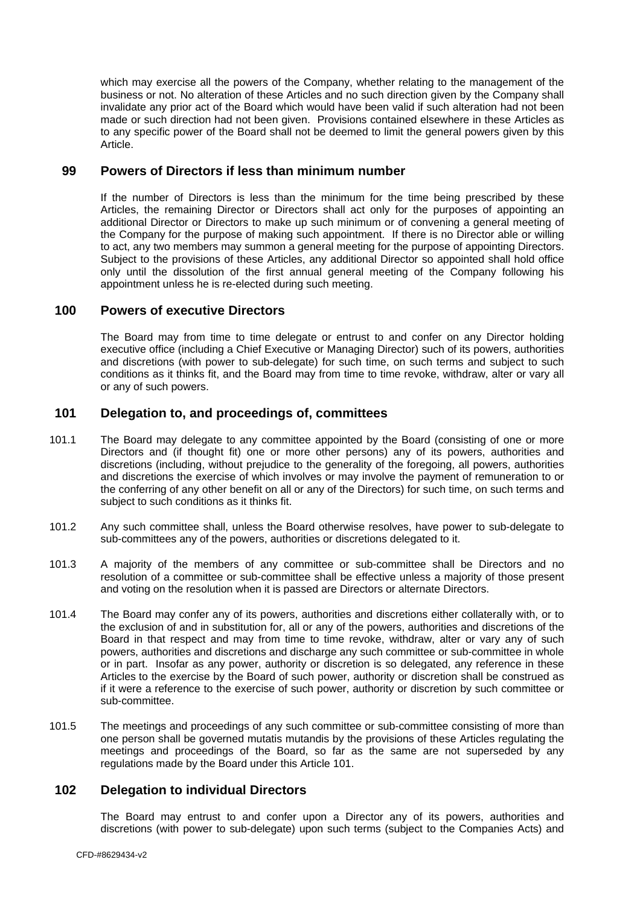<span id="page-36-0"></span>which may exercise all the powers of the Company, whether relating to the management of the business or not. No alteration of these Articles and no such direction given by the Company shall invalidate any prior act of the Board which would have been valid if such alteration had not been made or such direction had not been given. Provisions contained elsewhere in these Articles as to any specific power of the Board shall not be deemed to limit the general powers given by this Article.

# **99 Powers of Directors if less than minimum number**

If the number of Directors is less than the minimum for the time being prescribed by these Articles, the remaining Director or Directors shall act only for the purposes of appointing an additional Director or Directors to make up such minimum or of convening a general meeting of the Company for the purpose of making such appointment. If there is no Director able or willing to act, any two members may summon a general meeting for the purpose of appointing Directors. Subject to the provisions of these Articles, any additional Director so appointed shall hold office only until the dissolution of the first annual general meeting of the Company following his appointment unless he is re-elected during such meeting.

### <span id="page-36-1"></span>**100 Powers of executive Directors**

The Board may from time to time delegate or entrust to and confer on any Director holding executive office (including a Chief Executive or Managing Director) such of its powers, authorities and discretions (with power to sub-delegate) for such time, on such terms and subject to such conditions as it thinks fit, and the Board may from time to time revoke, withdraw, alter or vary all or any of such powers.

### <span id="page-36-2"></span>**101 Delegation to, and proceedings of, committees**

- 101.1 The Board may delegate to any committee appointed by the Board (consisting of one or more Directors and (if thought fit) one or more other persons) any of its powers, authorities and discretions (including, without prejudice to the generality of the foregoing, all powers, authorities and discretions the exercise of which involves or may involve the payment of remuneration to or the conferring of any other benefit on all or any of the Directors) for such time, on such terms and subject to such conditions as it thinks fit.
- 101.2 Any such committee shall, unless the Board otherwise resolves, have power to sub-delegate to sub-committees any of the powers, authorities or discretions delegated to it.
- 101.3 A majority of the members of any committee or sub-committee shall be Directors and no resolution of a committee or sub-committee shall be effective unless a majority of those present and voting on the resolution when it is passed are Directors or alternate Directors.
- <span id="page-36-3"></span>101.4 The Board may confer any of its powers, authorities and discretions either collaterally with, or to the exclusion of and in substitution for, all or any of the powers, authorities and discretions of the Board in that respect and may from time to time revoke, withdraw, alter or vary any of such powers, authorities and discretions and discharge any such committee or sub-committee in whole or in part. Insofar as any power, authority or discretion is so delegated, any reference in these Articles to the exercise by the Board of such power, authority or discretion shall be construed as if it were a reference to the exercise of such power, authority or discretion by such committee or sub-committee.
- 101.5 The meetings and proceedings of any such committee or sub-committee consisting of more than one person shall be governed mutatis mutandis by the provisions of these Articles regulating the meetings and proceedings of the Board, so far as the same are not superseded by any regulations made by the Board under this Article [101.](#page-36-2)

#### <span id="page-36-4"></span>**102 Delegation to individual Directors**

The Board may entrust to and confer upon a Director any of its powers, authorities and discretions (with power to sub-delegate) upon such terms (subject to the Companies Acts) and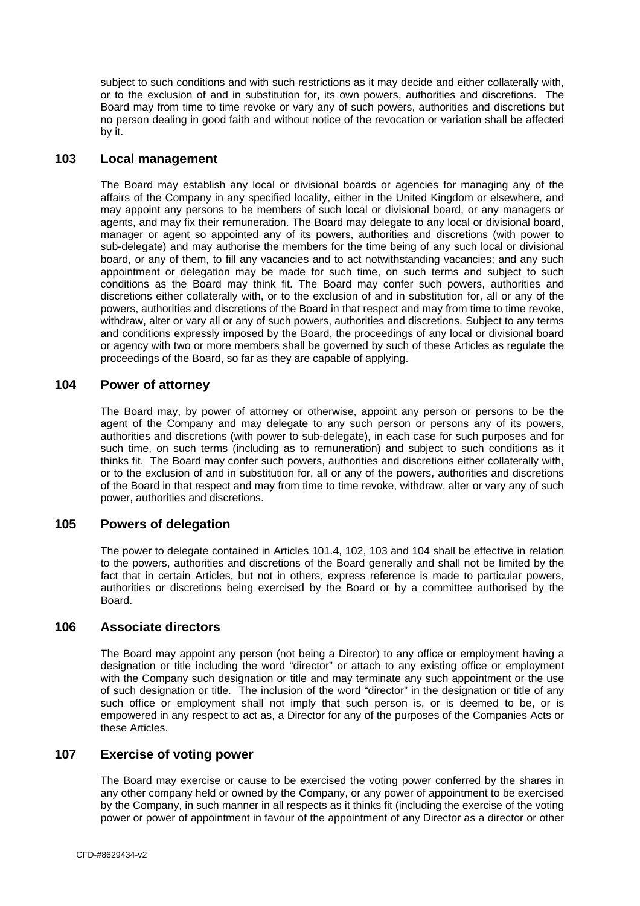<span id="page-37-0"></span>subject to such conditions and with such restrictions as it may decide and either collaterally with, or to the exclusion of and in substitution for, its own powers, authorities and discretions. The Board may from time to time revoke or vary any of such powers, authorities and discretions but no person dealing in good faith and without notice of the revocation or variation shall be affected by it.

#### <span id="page-37-1"></span>**103 Local management**

The Board may establish any local or divisional boards or agencies for managing any of the affairs of the Company in any specified locality, either in the United Kingdom or elsewhere, and may appoint any persons to be members of such local or divisional board, or any managers or agents, and may fix their remuneration. The Board may delegate to any local or divisional board, manager or agent so appointed any of its powers, authorities and discretions (with power to sub-delegate) and may authorise the members for the time being of any such local or divisional board, or any of them, to fill any vacancies and to act notwithstanding vacancies; and any such appointment or delegation may be made for such time, on such terms and subject to such conditions as the Board may think fit. The Board may confer such powers, authorities and discretions either collaterally with, or to the exclusion of and in substitution for, all or any of the powers, authorities and discretions of the Board in that respect and may from time to time revoke, withdraw, alter or vary all or any of such powers, authorities and discretions. Subject to any terms and conditions expressly imposed by the Board, the proceedings of any local or divisional board or agency with two or more members shall be governed by such of these Articles as regulate the proceedings of the Board, so far as they are capable of applying.

# <span id="page-37-2"></span>**104 Power of attorney**

The Board may, by power of attorney or otherwise, appoint any person or persons to be the agent of the Company and may delegate to any such person or persons any of its powers, authorities and discretions (with power to sub-delegate), in each case for such purposes and for such time, on such terms (including as to remuneration) and subject to such conditions as it thinks fit. The Board may confer such powers, authorities and discretions either collaterally with, or to the exclusion of and in substitution for, all or any of the powers, authorities and discretions of the Board in that respect and may from time to time revoke, withdraw, alter or vary any of such power, authorities and discretions.

# **105 Powers of delegation**

The power to delegate contained in Articles [101.4](#page-36-3), [102,](#page-36-4) [103](#page-37-1) and [104](#page-37-2) shall be effective in relation to the powers, authorities and discretions of the Board generally and shall not be limited by the fact that in certain Articles, but not in others, express reference is made to particular powers, authorities or discretions being exercised by the Board or by a committee authorised by the Board.

### **106 Associate directors**

The Board may appoint any person (not being a Director) to any office or employment having a designation or title including the word "director" or attach to any existing office or employment with the Company such designation or title and may terminate any such appointment or the use of such designation or title. The inclusion of the word "director" in the designation or title of any such office or employment shall not imply that such person is, or is deemed to be, or is empowered in any respect to act as, a Director for any of the purposes of the Companies Acts or these Articles.

# **107 Exercise of voting power**

The Board may exercise or cause to be exercised the voting power conferred by the shares in any other company held or owned by the Company, or any power of appointment to be exercised by the Company, in such manner in all respects as it thinks fit (including the exercise of the voting power or power of appointment in favour of the appointment of any Director as a director or other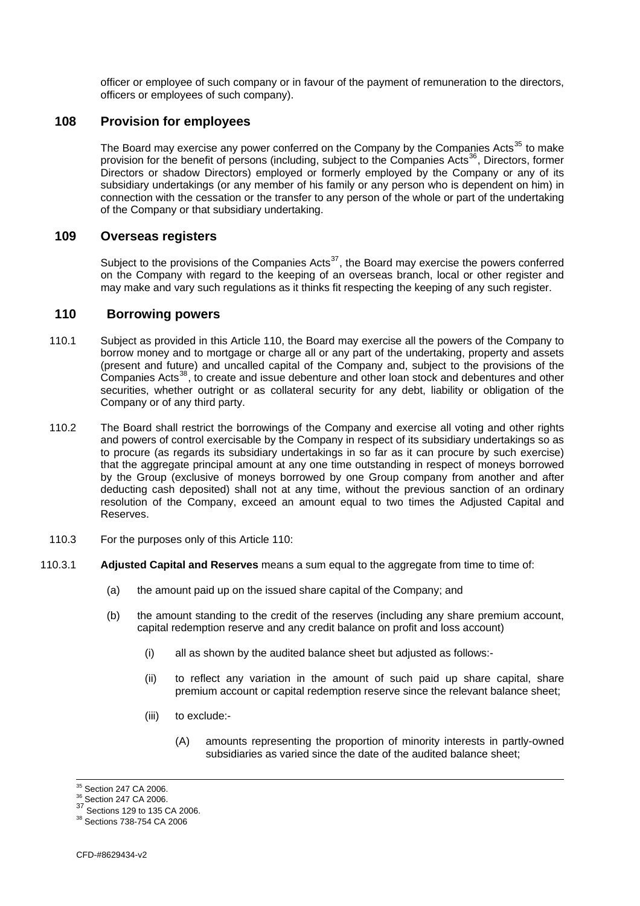<span id="page-38-0"></span>officer or employee of such company or in favour of the payment of remuneration to the directors, officers or employees of such company).

### **108 Provision for employees**

The Board may exercise any power conferred on the Company by the Companies Acts<sup>[35](#page-38-0)</sup> to make provision for the benefit of persons (including, subject to the Companies Acts<sup>[36](#page-38-0)</sup>, Directors, former Directors or shadow Directors) employed or formerly employed by the Company or any of its subsidiary undertakings (or any member of his family or any person who is dependent on him) in connection with the cessation or the transfer to any person of the whole or part of the undertaking of the Company or that subsidiary undertaking.

#### <span id="page-38-1"></span>**109 Overseas registers**

Subject to the provisions of the Companies Acts<sup>[37](#page-38-0)</sup>, the Board may exercise the powers conferred on the Company with regard to the keeping of an overseas branch, local or other register and may make and vary such regulations as it thinks fit respecting the keeping of any such register.

# **110 Borrowing powers**

- 110.1 Subject as provided in this Article 110, the Board may exercise all the powers of the Company to borrow money and to mortgage or charge all or any part of the undertaking, property and assets (present and future) and uncalled capital of the Company and, subject to the provisions of the Companies Acts<sup>[38](#page-38-0)</sup>, to create and issue debenture and other loan stock and debentures and other securities, whether outright or as collateral security for any debt, liability or obligation of the Company or of any third party.
- 110.2 The Board shall restrict the borrowings of the Company and exercise all voting and other rights and powers of control exercisable by the Company in respect of its subsidiary undertakings so as to procure (as regards its subsidiary undertakings in so far as it can procure by such exercise) that the aggregate principal amount at any one time outstanding in respect of moneys borrowed by the Group (exclusive of moneys borrowed by one Group company from another and after deducting cash deposited) shall not at any time, without the previous sanction of an ordinary resolution of the Company, exceed an amount equal to two times the Adjusted Capital and Reserves.
- 110.3 For the purposes only of this Article 110:
- 110.3.1 **Adjusted Capital and Reserves** means a sum equal to the aggregate from time to time of:
	- (a) the amount paid up on the issued share capital of the Company; and
	- (b) the amount standing to the credit of the reserves (including any share premium account, capital redemption reserve and any credit balance on profit and loss account)
		- (i) all as shown by the audited balance sheet but adjusted as follows:-
		- (ii) to reflect any variation in the amount of such paid up share capital, share premium account or capital redemption reserve since the relevant balance sheet;
		- (iii) to exclude:-
			- (A) amounts representing the proportion of minority interests in partly-owned subsidiaries as varied since the date of the audited balance sheet;

<sup>&</sup>lt;sup>35</sup> Section 247 CA 2006.

<sup>35</sup> Section 247 CA 2006. 36 Section 247 CA 2006.

<sup>37&</sup>lt;br>Sections 129 to 135 CA 2006.<br><sup>38</sup> Sections 738-754 CA 2006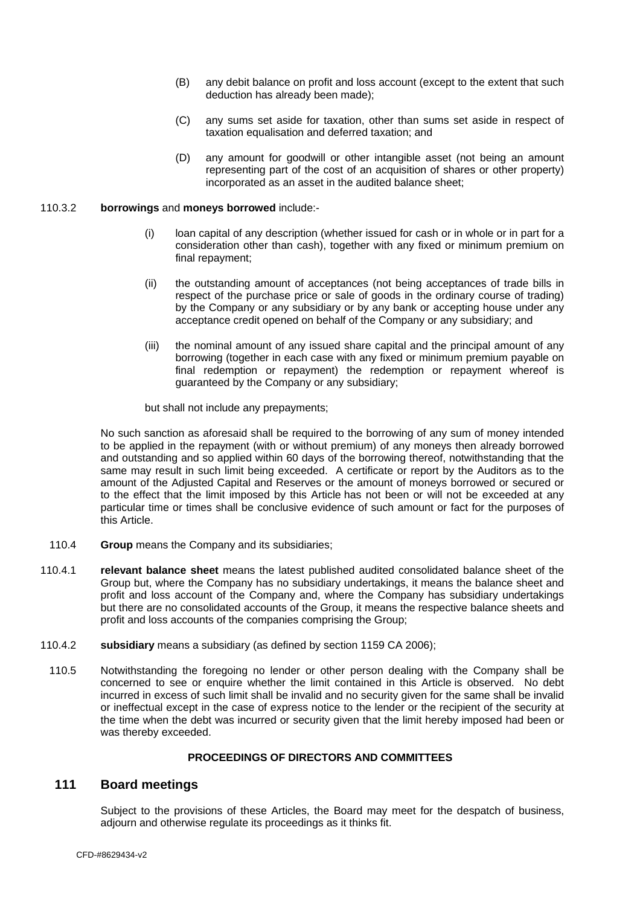- <span id="page-39-0"></span>(B) any debit balance on profit and loss account (except to the extent that such deduction has already been made);
- (C) any sums set aside for taxation, other than sums set aside in respect of taxation equalisation and deferred taxation; and
- (D) any amount for goodwill or other intangible asset (not being an amount representing part of the cost of an acquisition of shares or other property) incorporated as an asset in the audited balance sheet;

#### 110.3.2 **borrowings** and **moneys borrowed** include:-

- (i) loan capital of any description (whether issued for cash or in whole or in part for a consideration other than cash), together with any fixed or minimum premium on final repayment;
- (ii) the outstanding amount of acceptances (not being acceptances of trade bills in respect of the purchase price or sale of goods in the ordinary course of trading) by the Company or any subsidiary or by any bank or accepting house under any acceptance credit opened on behalf of the Company or any subsidiary; and
- (iii) the nominal amount of any issued share capital and the principal amount of any borrowing (together in each case with any fixed or minimum premium payable on final redemption or repayment) the redemption or repayment whereof is guaranteed by the Company or any subsidiary;

but shall not include any prepayments;

No such sanction as aforesaid shall be required to the borrowing of any sum of money intended to be applied in the repayment (with or without premium) of any moneys then already borrowed and outstanding and so applied within 60 days of the borrowing thereof, notwithstanding that the same may result in such limit being exceeded. A certificate or report by the Auditors as to the amount of the Adjusted Capital and Reserves or the amount of moneys borrowed or secured or to the effect that the limit imposed by this Article has not been or will not be exceeded at any particular time or times shall be conclusive evidence of such amount or fact for the purposes of this Article.

- 110.4 **Group** means the Company and its subsidiaries;
- 110.4.1 **relevant balance sheet** means the latest published audited consolidated balance sheet of the Group but, where the Company has no subsidiary undertakings, it means the balance sheet and profit and loss account of the Company and, where the Company has subsidiary undertakings but there are no consolidated accounts of the Group, it means the respective balance sheets and profit and loss accounts of the companies comprising the Group;
- 110.4.2 **subsidiary** means a subsidiary (as defined by section 1159 CA 2006);
	- 110.5 Notwithstanding the foregoing no lender or other person dealing with the Company shall be concerned to see or enquire whether the limit contained in this Article is observed. No debt incurred in excess of such limit shall be invalid and no security given for the same shall be invalid or ineffectual except in the case of express notice to the lender or the recipient of the security at the time when the debt was incurred or security given that the limit hereby imposed had been or was thereby exceeded.

#### **PROCEEDINGS OF DIRECTORS AND COMMITTEES**

## **111 Board meetings**

Subject to the provisions of these Articles, the Board may meet for the despatch of business, adjourn and otherwise regulate its proceedings as it thinks fit.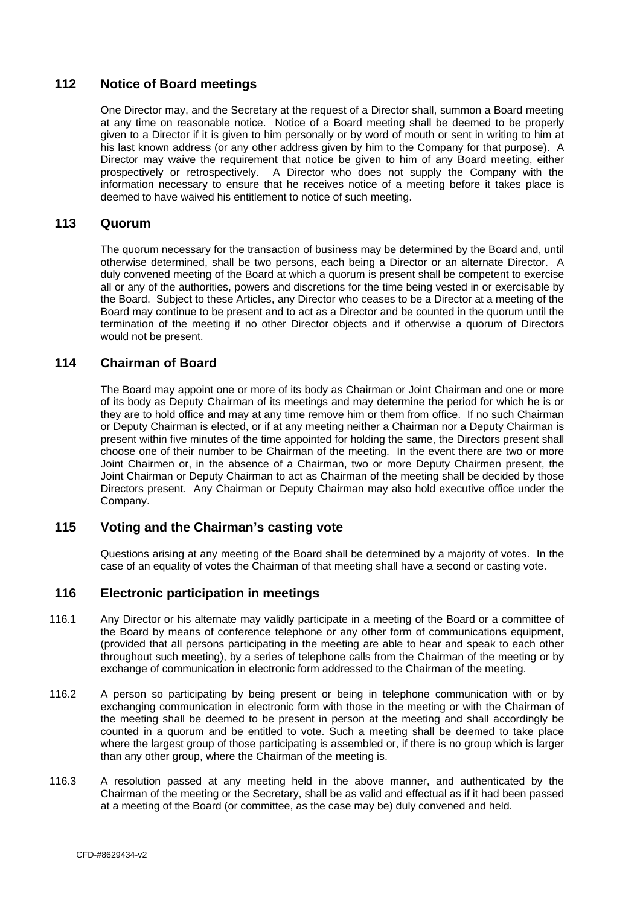### <span id="page-40-0"></span>**112 Notice of Board meetings**

One Director may, and the Secretary at the request of a Director shall, summon a Board meeting at any time on reasonable notice. Notice of a Board meeting shall be deemed to be properly given to a Director if it is given to him personally or by word of mouth or sent in writing to him at his last known address (or any other address given by him to the Company for that purpose). A Director may waive the requirement that notice be given to him of any Board meeting, either prospectively or retrospectively. A Director who does not supply the Company with the information necessary to ensure that he receives notice of a meeting before it takes place is deemed to have waived his entitlement to notice of such meeting.

#### **113 Quorum**

The quorum necessary for the transaction of business may be determined by the Board and, until otherwise determined, shall be two persons, each being a Director or an alternate Director. A duly convened meeting of the Board at which a quorum is present shall be competent to exercise all or any of the authorities, powers and discretions for the time being vested in or exercisable by the Board. Subject to these Articles, any Director who ceases to be a Director at a meeting of the Board may continue to be present and to act as a Director and be counted in the quorum until the termination of the meeting if no other Director objects and if otherwise a quorum of Directors would not be present.

### **114 Chairman of Board**

The Board may appoint one or more of its body as Chairman or Joint Chairman and one or more of its body as Deputy Chairman of its meetings and may determine the period for which he is or they are to hold office and may at any time remove him or them from office. If no such Chairman or Deputy Chairman is elected, or if at any meeting neither a Chairman nor a Deputy Chairman is present within five minutes of the time appointed for holding the same, the Directors present shall choose one of their number to be Chairman of the meeting. In the event there are two or more Joint Chairmen or, in the absence of a Chairman, two or more Deputy Chairmen present, the Joint Chairman or Deputy Chairman to act as Chairman of the meeting shall be decided by those Directors present. Any Chairman or Deputy Chairman may also hold executive office under the Company.

# **115 Voting and the Chairman's casting vote**

Questions arising at any meeting of the Board shall be determined by a majority of votes. In the case of an equality of votes the Chairman of that meeting shall have a second or casting vote.

# **116 Electronic participation in meetings**

- 116.1 Any Director or his alternate may validly participate in a meeting of the Board or a committee of the Board by means of conference telephone or any other form of communications equipment, (provided that all persons participating in the meeting are able to hear and speak to each other throughout such meeting), by a series of telephone calls from the Chairman of the meeting or by exchange of communication in electronic form addressed to the Chairman of the meeting.
- 116.2 A person so participating by being present or being in telephone communication with or by exchanging communication in electronic form with those in the meeting or with the Chairman of the meeting shall be deemed to be present in person at the meeting and shall accordingly be counted in a quorum and be entitled to vote. Such a meeting shall be deemed to take place where the largest group of those participating is assembled or, if there is no group which is larger than any other group, where the Chairman of the meeting is.
- 116.3 A resolution passed at any meeting held in the above manner, and authenticated by the Chairman of the meeting or the Secretary, shall be as valid and effectual as if it had been passed at a meeting of the Board (or committee, as the case may be) duly convened and held.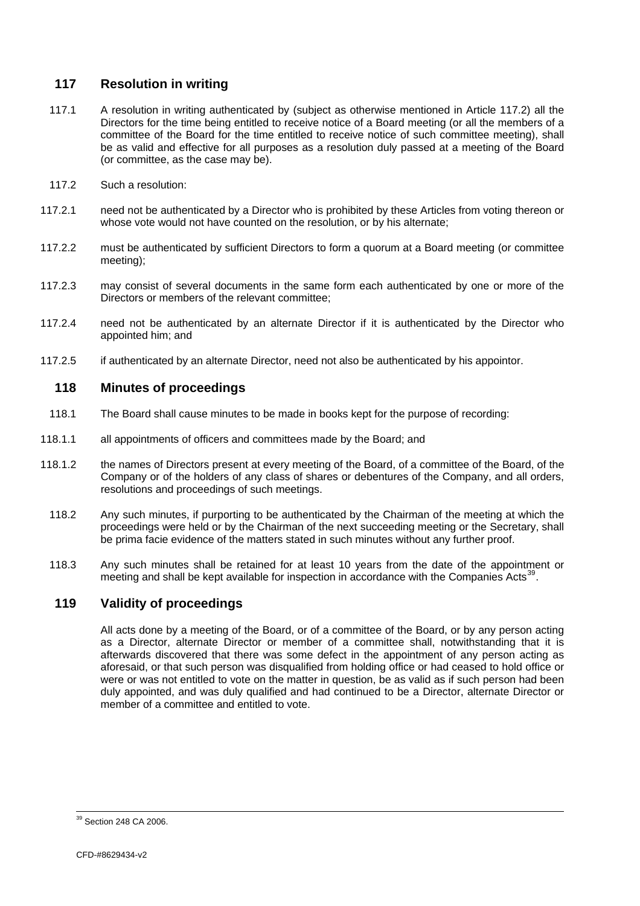## <span id="page-41-0"></span>**117 Resolution in writing**

- 117.1 A resolution in writing authenticated by (subject as otherwise mentioned in Article [117.2\)](#page-41-1) all the Directors for the time being entitled to receive notice of a Board meeting (or all the members of a committee of the Board for the time entitled to receive notice of such committee meeting), shall be as valid and effective for all purposes as a resolution duly passed at a meeting of the Board (or committee, as the case may be).
- <span id="page-41-1"></span>117.2 Such a resolution:
- 117.2.1 need not be authenticated by a Director who is prohibited by these Articles from voting thereon or whose vote would not have counted on the resolution, or by his alternate;
- 117.2.2 must be authenticated by sufficient Directors to form a quorum at a Board meeting (or committee meeting);
- 117.2.3 may consist of several documents in the same form each authenticated by one or more of the Directors or members of the relevant committee;
- 117.2.4 need not be authenticated by an alternate Director if it is authenticated by the Director who appointed him; and
- 117.2.5 if authenticated by an alternate Director, need not also be authenticated by his appointor.

# **118 Minutes of proceedings**

- 118.1 The Board shall cause minutes to be made in books kept for the purpose of recording:
- 118.1.1 all appointments of officers and committees made by the Board; and
- 118.1.2 the names of Directors present at every meeting of the Board, of a committee of the Board, of the Company or of the holders of any class of shares or debentures of the Company, and all orders, resolutions and proceedings of such meetings.
	- 118.2 Any such minutes, if purporting to be authenticated by the Chairman of the meeting at which the proceedings were held or by the Chairman of the next succeeding meeting or the Secretary, shall be prima facie evidence of the matters stated in such minutes without any further proof.
	- 118.3 Any such minutes shall be retained for at least 10 years from the date of the appointment or meeting and shall be kept available for inspection in accordance with the Companies Acts<sup>[39](#page-41-0)</sup>.

# **119 Validity of proceedings**

All acts done by a meeting of the Board, or of a committee of the Board, or by any person acting as a Director, alternate Director or member of a committee shall, notwithstanding that it is afterwards discovered that there was some defect in the appointment of any person acting as aforesaid, or that such person was disqualified from holding office or had ceased to hold office or were or was not entitled to vote on the matter in question, be as valid as if such person had been duly appointed, and was duly qualified and had continued to be a Director, alternate Director or member of a committee and entitled to vote.

 $39$  Section 248 CA 2006.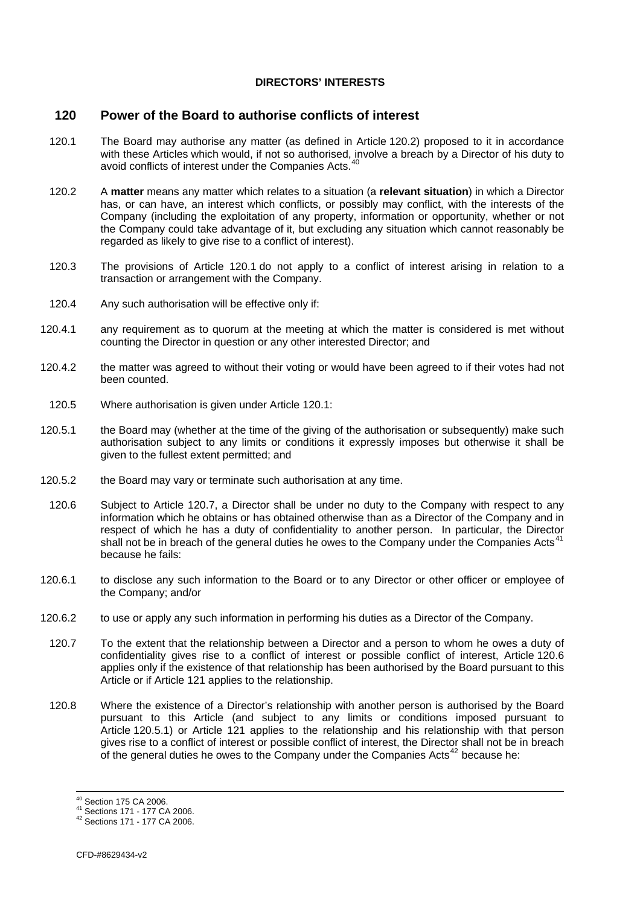#### **DIRECTORS' INTERESTS**

#### <span id="page-42-1"></span><span id="page-42-0"></span>**120 Power of the Board to authorise conflicts of interest**

- <span id="page-42-3"></span>120.1 The Board may authorise any matter (as defined in Article [120.2\)](#page-42-2) proposed to it in accordance with these Articles which would, if not so authorised, involve a breach by a Director of his duty to avoid conflicts of interest under the Companies Acts.<sup>4</sup>
- <span id="page-42-2"></span>120.2 A **matter** means any matter which relates to a situation (a **relevant situation**) in which a Director has, or can have, an interest which conflicts, or possibly may conflict, with the interests of the Company (including the exploitation of any property, information or opportunity, whether or not the Company could take advantage of it, but excluding any situation which cannot reasonably be regarded as likely to give rise to a conflict of interest).
- 120.3 The provisions of Article [120.1](#page-42-3) do not apply to a conflict of interest arising in relation to a transaction or arrangement with the Company.
- 120.4 Any such authorisation will be effective only if:
- 120.4.1 any requirement as to quorum at the meeting at which the matter is considered is met without counting the Director in question or any other interested Director; and
- 120.4.2 the matter was agreed to without their voting or would have been agreed to if their votes had not been counted.
- 120.5 Where authorisation is given under Article [120.1:](#page-42-3)
- <span id="page-42-6"></span>120.5.1 the Board may (whether at the time of the giving of the authorisation or subsequently) make such authorisation subject to any limits or conditions it expressly imposes but otherwise it shall be given to the fullest extent permitted; and
- 120.5.2 the Board may vary or terminate such authorisation at any time.
- <span id="page-42-5"></span>120.6 Subject to Article [120.7,](#page-42-4) a Director shall be under no duty to the Company with respect to any information which he obtains or has obtained otherwise than as a Director of the Company and in respect of which he has a duty of confidentiality to another person. In particular, the Director shall not be in breach of the general duties he owes to the Company under the Companies Acts<sup>4</sup> because he fails:
- 120.6.1 to disclose any such information to the Board or to any Director or other officer or employee of the Company; and/or
- <span id="page-42-7"></span><span id="page-42-4"></span>120.6.2 to use or apply any such information in performing his duties as a Director of the Company.
	- 120.7 To the extent that the relationship between a Director and a person to whom he owes a duty of confidentiality gives rise to a conflict of interest or possible conflict of interest, Article [120.6](#page-42-5) applies only if the existence of that relationship has been authorised by the Board pursuant to this Article or if Article [121](#page-43-1) applies to the relationship.
	- 120.8 Where the existence of a Director's relationship with another person is authorised by the Board pursuant to this Article (and subject to any limits or conditions imposed pursuant to Article [120.5.1\)](#page-42-6) or Article [121](#page-43-1) applies to the relationship and his relationship with that person gives rise to a conflict of interest or possible conflict of interest, the Director shall not be in breach of the general duties he owes to the Company under the Companies Acts<sup>[42](#page-42-0)</sup> because he:

<sup>&</sup>lt;sup>40</sup> Section 175 CA 2006.

<sup>41</sup> Sections 171 - 177 CA 2006.<br><sup>42</sup> Sections 171 - 177 CA 2006.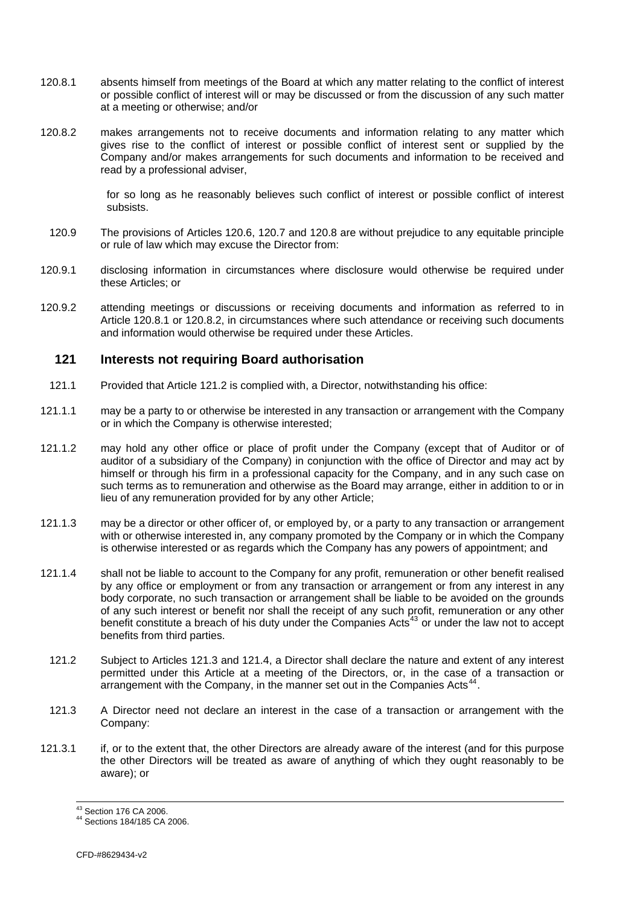- <span id="page-43-2"></span><span id="page-43-0"></span>120.8.1 absents himself from meetings of the Board at which any matter relating to the conflict of interest or possible conflict of interest will or may be discussed or from the discussion of any such matter at a meeting or otherwise; and/or
- <span id="page-43-3"></span>120.8.2 makes arrangements not to receive documents and information relating to any matter which gives rise to the conflict of interest or possible conflict of interest sent or supplied by the Company and/or makes arrangements for such documents and information to be received and read by a professional adviser,

for so long as he reasonably believes such conflict of interest or possible conflict of interest subsists.

- 120.9 The provisions of Articles [120.6](#page-42-5), [120.7](#page-42-4) and [120.8](#page-42-7) are without prejudice to any equitable principle or rule of law which may excuse the Director from:
- 120.9.1 disclosing information in circumstances where disclosure would otherwise be required under these Articles; or
- 120.9.2 attending meetings or discussions or receiving documents and information as referred to in Article [120.8.1](#page-43-2) or [120.8.2,](#page-43-3) in circumstances where such attendance or receiving such documents and information would otherwise be required under these Articles.

#### <span id="page-43-1"></span>**121 Interests not requiring Board authorisation**

- 121.1 Provided that Article [121.2](#page-43-4) is complied with, a Director, notwithstanding his office:
- 121.1.1 may be a party to or otherwise be interested in any transaction or arrangement with the Company or in which the Company is otherwise interested;
- 121.1.2 may hold any other office or place of profit under the Company (except that of Auditor or of auditor of a subsidiary of the Company) in conjunction with the office of Director and may act by himself or through his firm in a professional capacity for the Company, and in any such case on such terms as to remuneration and otherwise as the Board may arrange, either in addition to or in lieu of any remuneration provided for by any other Article;
- 121.1.3 may be a director or other officer of, or employed by, or a party to any transaction or arrangement with or otherwise interested in, any company promoted by the Company or in which the Company is otherwise interested or as regards which the Company has any powers of appointment; and
- 121.1.4 shall not be liable to account to the Company for any profit, remuneration or other benefit realised by any office or employment or from any transaction or arrangement or from any interest in any body corporate, no such transaction or arrangement shall be liable to be avoided on the grounds of any such interest or benefit nor shall the receipt of any such profit, remuneration or any other benefit constitute a breach of his duty under the Companies Acts<sup>[43](#page-43-0)</sup> or under the law not to accept benefits from third parties.
	- 121.2 Subject to Articles [121.3](#page-43-5) and [121.4](#page-44-1), a Director shall declare the nature and extent of any interest permitted under this Article at a meeting of the Directors, or, in the case of a transaction or arrangement with the Company, in the manner set out in the Companies Acts<sup>[44](#page-43-0)</sup>.
- <span id="page-43-5"></span><span id="page-43-4"></span>121.3 A Director need not declare an interest in the case of a transaction or arrangement with the Company:
- 121.3.1 if, or to the extent that, the other Directors are already aware of the interest (and for this purpose the other Directors will be treated as aware of anything of which they ought reasonably to be aware); or

<sup>&</sup>lt;sup>43</sup> Section 176 CA 2006.

<sup>44</sup> Sections 184/185 CA 2006.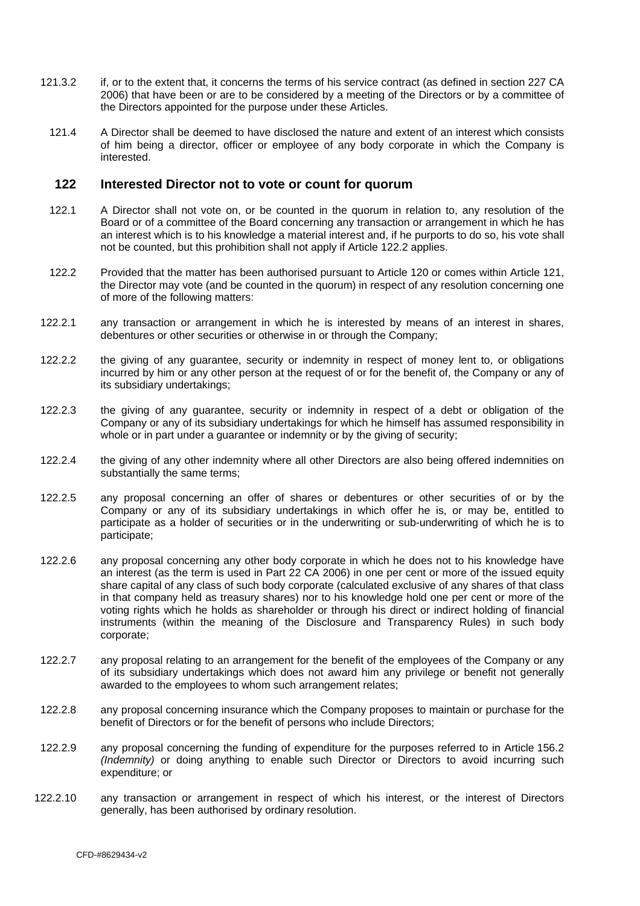- <span id="page-44-1"></span><span id="page-44-0"></span>121.3.2 if, or to the extent that, it concerns the terms of his service contract (as defined in section 227 CA 2006) that have been or are to be considered by a meeting of the Directors or by a committee of the Directors appointed for the purpose under these Articles.
	- 121.4 A Director shall be deemed to have disclosed the nature and extent of an interest which consists of him being a director, officer or employee of any body corporate in which the Company is interested.

#### <span id="page-44-3"></span>**122 Interested Director not to vote or count for quorum**

- 122.1 A Director shall not vote on, or be counted in the quorum in relation to, any resolution of the Board or of a committee of the Board concerning any transaction or arrangement in which he has an interest which is to his knowledge a material interest and, if he purports to do so, his vote shall not be counted, but this prohibition shall not apply if Article [122.2](#page-44-2) applies.
- <span id="page-44-2"></span>122.2 Provided that the matter has been authorised pursuant to Article [120](#page-42-1) or comes within Article [121,](#page-43-1) the Director may vote (and be counted in the quorum) in respect of any resolution concerning one of more of the following matters:
- 122.2.1 any transaction or arrangement in which he is interested by means of an interest in shares, debentures or other securities or otherwise in or through the Company;
- 122.2.2 the giving of any guarantee, security or indemnity in respect of money lent to, or obligations incurred by him or any other person at the request of or for the benefit of, the Company or any of its subsidiary undertakings;
- 122.2.3 the giving of any guarantee, security or indemnity in respect of a debt or obligation of the Company or any of its subsidiary undertakings for which he himself has assumed responsibility in whole or in part under a guarantee or indemnity or by the giving of security;
- 122.2.4 the giving of any other indemnity where all other Directors are also being offered indemnities on substantially the same terms;
- 122.2.5 any proposal concerning an offer of shares or debentures or other securities of or by the Company or any of its subsidiary undertakings in which offer he is, or may be, entitled to participate as a holder of securities or in the underwriting or sub-underwriting of which he is to participate;
- 122.2.6 any proposal concerning any other body corporate in which he does not to his knowledge have an interest (as the term is used in Part 22 CA 2006) in one per cent or more of the issued equity share capital of any class of such body corporate (calculated exclusive of any shares of that class in that company held as treasury shares) nor to his knowledge hold one per cent or more of the voting rights which he holds as shareholder or through his direct or indirect holding of financial instruments (within the meaning of the Disclosure and Transparency Rules) in such body corporate;
- 122.2.7 any proposal relating to an arrangement for the benefit of the employees of the Company or any of its subsidiary undertakings which does not award him any privilege or benefit not generally awarded to the employees to whom such arrangement relates;
- 122.2.8 any proposal concerning insurance which the Company proposes to maintain or purchase for the benefit of Directors or for the benefit of persons who include Directors;
- 122.2.9 any proposal concerning the funding of expenditure for the purposes referred to in Article [156.2](#page-56-3) *(Indemnity)* or doing anything to enable such Director or Directors to avoid incurring such expenditure; or
- 122.2.10 any transaction or arrangement in respect of which his interest, or the interest of Directors generally, has been authorised by ordinary resolution.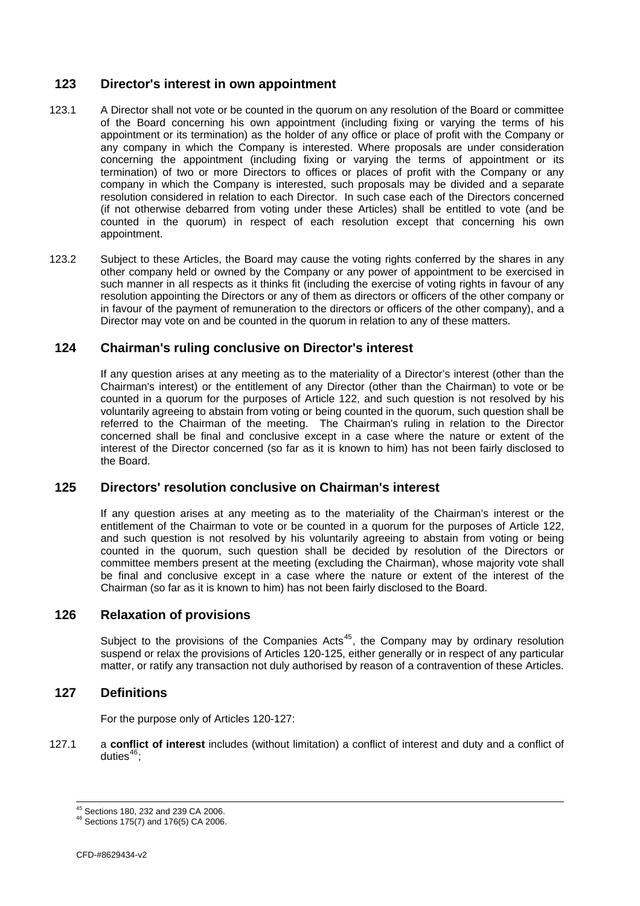# <span id="page-45-0"></span>**123 Director's interest in own appointment**

- 123.1 A Director shall not vote or be counted in the quorum on any resolution of the Board or committee of the Board concerning his own appointment (including fixing or varying the terms of his appointment or its termination) as the holder of any office or place of profit with the Company or any company in which the Company is interested. Where proposals are under consideration concerning the appointment (including fixing or varying the terms of appointment or its termination) of two or more Directors to offices or places of profit with the Company or any company in which the Company is interested, such proposals may be divided and a separate resolution considered in relation to each Director. In such case each of the Directors concerned (if not otherwise debarred from voting under these Articles) shall be entitled to vote (and be counted in the quorum) in respect of each resolution except that concerning his own appointment.
- 123.2 Subject to these Articles, the Board may cause the voting rights conferred by the shares in any other company held or owned by the Company or any power of appointment to be exercised in such manner in all respects as it thinks fit (including the exercise of voting rights in favour of any resolution appointing the Directors or any of them as directors or officers of the other company or in favour of the payment of remuneration to the directors or officers of the other company), and a Director may vote on and be counted in the quorum in relation to any of these matters.

# **124 Chairman's ruling conclusive on Director's interest**

If any question arises at any meeting as to the materiality of a Director's interest (other than the Chairman's interest) or the entitlement of any Director (other than the Chairman) to vote or be counted in a quorum for the purposes of Article [122,](#page-44-3) and such question is not resolved by his voluntarily agreeing to abstain from voting or being counted in the quorum, such question shall be referred to the Chairman of the meeting. The Chairman's ruling in relation to the Director concerned shall be final and conclusive except in a case where the nature or extent of the interest of the Director concerned (so far as it is known to him) has not been fairly disclosed to the Board.

# <span id="page-45-2"></span>**125 Directors' resolution conclusive on Chairman's interest**

If any question arises at any meeting as to the materiality of the Chairman's interest or the entitlement of the Chairman to vote or be counted in a quorum for the purposes of Article [122,](#page-44-3) and such question is not resolved by his voluntarily agreeing to abstain from voting or being counted in the quorum, such question shall be decided by resolution of the Directors or committee members present at the meeting (excluding the Chairman), whose majority vote shall be final and conclusive except in a case where the nature or extent of the interest of the Chairman (so far as it is known to him) has not been fairly disclosed to the Board.

#### **126 Relaxation of provisions**

Subject to the provisions of the Companies Acts<sup>[45](#page-45-0)</sup>, the Company may by ordinary resolution suspend or relax the provisions of Articles [120](#page-42-1)-[125](#page-45-2), either generally or in respect of any particular matter, or ratify any transaction not duly authorised by reason of a contravention of these Articles.

#### <span id="page-45-1"></span>**127 Definitions**

For the purpose only of Articles [120-](#page-42-1)[127](#page-45-1):

127.1 a **conflict of interest** includes (without limitation) a conflict of interest and duty and a conflict of duties $46$ :

<sup>&</sup>lt;sup>45</sup> Sections 180, 232 and 239 CA 2006.

<sup>45</sup> Sections 180, 232 and 239 CA 2006. 46 Sections 175(7) and 176(5) CA 2006.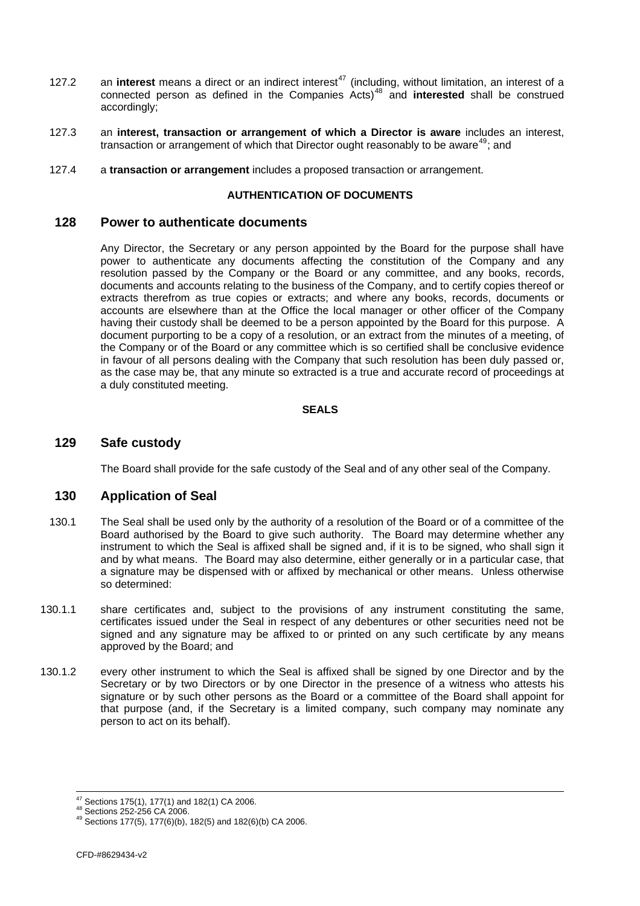- <span id="page-46-0"></span>127.2 an **interest** means a direct or an indirect interest<sup>[47](#page-46-0)</sup> (including, without limitation, an interest of a connected person as defined in the Companies Acts)[48](#page-46-0) and **interested** shall be construed accordingly;
- 127.3 an **interest, transaction or arrangement of which a Director is aware** includes an interest, transaction or arrangement of which that Director ought reasonably to be aware<sup>[49](#page-46-0)</sup>; and
- 127.4 a **transaction or arrangement** includes a proposed transaction or arrangement.

# **AUTHENTICATION OF DOCUMENTS**

#### **128 Power to authenticate documents**

Any Director, the Secretary or any person appointed by the Board for the purpose shall have power to authenticate any documents affecting the constitution of the Company and any resolution passed by the Company or the Board or any committee, and any books, records, documents and accounts relating to the business of the Company, and to certify copies thereof or extracts therefrom as true copies or extracts; and where any books, records, documents or accounts are elsewhere than at the Office the local manager or other officer of the Company having their custody shall be deemed to be a person appointed by the Board for this purpose. A document purporting to be a copy of a resolution, or an extract from the minutes of a meeting, of the Company or of the Board or any committee which is so certified shall be conclusive evidence in favour of all persons dealing with the Company that such resolution has been duly passed or, as the case may be, that any minute so extracted is a true and accurate record of proceedings at a duly constituted meeting.

#### **SEALS**

# **129 Safe custody**

The Board shall provide for the safe custody of the Seal and of any other seal of the Company.

### <span id="page-46-1"></span>**130 Application of Seal**

- 130.1 The Seal shall be used only by the authority of a resolution of the Board or of a committee of the Board authorised by the Board to give such authority. The Board may determine whether any instrument to which the Seal is affixed shall be signed and, if it is to be signed, who shall sign it and by what means. The Board may also determine, either generally or in a particular case, that a signature may be dispensed with or affixed by mechanical or other means. Unless otherwise so determined:
- 130.1.1 share certificates and, subject to the provisions of any instrument constituting the same, certificates issued under the Seal in respect of any debentures or other securities need not be signed and any signature may be affixed to or printed on any such certificate by any means approved by the Board; and
- 130.1.2 every other instrument to which the Seal is affixed shall be signed by one Director and by the Secretary or by two Directors or by one Director in the presence of a witness who attests his signature or by such other persons as the Board or a committee of the Board shall appoint for that purpose (and, if the Secretary is a limited company, such company may nominate any person to act on its behalf).

 $47$  Sections 175(1), 177(1) and 182(1) CA 2006.

<sup>&</sup>lt;sup>48</sup> Sections 252-256 CA 2006.<br><sup>49</sup> Sections 177(5), 177(6)(b), 182(5) and 182(6)(b) CA 2006.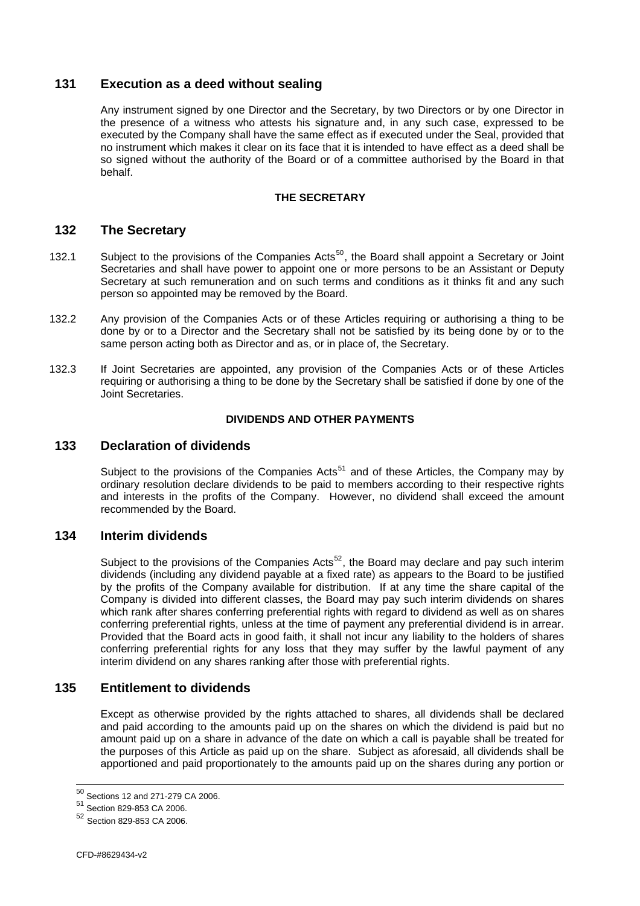# <span id="page-47-0"></span>**131 Execution as a deed without sealing**

Any instrument signed by one Director and the Secretary, by two Directors or by one Director in the presence of a witness who attests his signature and, in any such case, expressed to be executed by the Company shall have the same effect as if executed under the Seal, provided that no instrument which makes it clear on its face that it is intended to have effect as a deed shall be so signed without the authority of the Board or of a committee authorised by the Board in that behalf.

#### **THE SECRETARY**

### **132 The Secretary**

- 132.1 Subject to the provisions of the Companies Acts<sup>[50](#page-47-0)</sup>, the Board shall appoint a Secretary or Joint Secretaries and shall have power to appoint one or more persons to be an Assistant or Deputy Secretary at such remuneration and on such terms and conditions as it thinks fit and any such person so appointed may be removed by the Board.
- 132.2 Any provision of the Companies Acts or of these Articles requiring or authorising a thing to be done by or to a Director and the Secretary shall not be satisfied by its being done by or to the same person acting both as Director and as, or in place of, the Secretary.
- 132.3 If Joint Secretaries are appointed, any provision of the Companies Acts or of these Articles requiring or authorising a thing to be done by the Secretary shall be satisfied if done by one of the Joint Secretaries.

#### **DIVIDENDS AND OTHER PAYMENTS**

### **133 Declaration of dividends**

Subject to the provisions of the Companies Acts<sup>[51](#page-47-0)</sup> and of these Articles, the Company may by ordinary resolution declare dividends to be paid to members according to their respective rights and interests in the profits of the Company. However, no dividend shall exceed the amount recommended by the Board.

### **134 Interim dividends**

Subject to the provisions of the Companies Acts<sup>[52](#page-47-0)</sup>, the Board may declare and pay such interim dividends (including any dividend payable at a fixed rate) as appears to the Board to be justified by the profits of the Company available for distribution. If at any time the share capital of the Company is divided into different classes, the Board may pay such interim dividends on shares which rank after shares conferring preferential rights with regard to dividend as well as on shares conferring preferential rights, unless at the time of payment any preferential dividend is in arrear. Provided that the Board acts in good faith, it shall not incur any liability to the holders of shares conferring preferential rights for any loss that they may suffer by the lawful payment of any interim dividend on any shares ranking after those with preferential rights.

# **135 Entitlement to dividends**

Except as otherwise provided by the rights attached to shares, all dividends shall be declared and paid according to the amounts paid up on the shares on which the dividend is paid but no amount paid up on a share in advance of the date on which a call is payable shall be treated for the purposes of this Article as paid up on the share. Subject as aforesaid, all dividends shall be apportioned and paid proportionately to the amounts paid up on the shares during any portion or

 $^{50}$  Sections 12 and 271-279 CA 2006.

<sup>51</sup> Section 829-853 CA 2006.

<sup>52</sup> Section 829-853 CA 2006.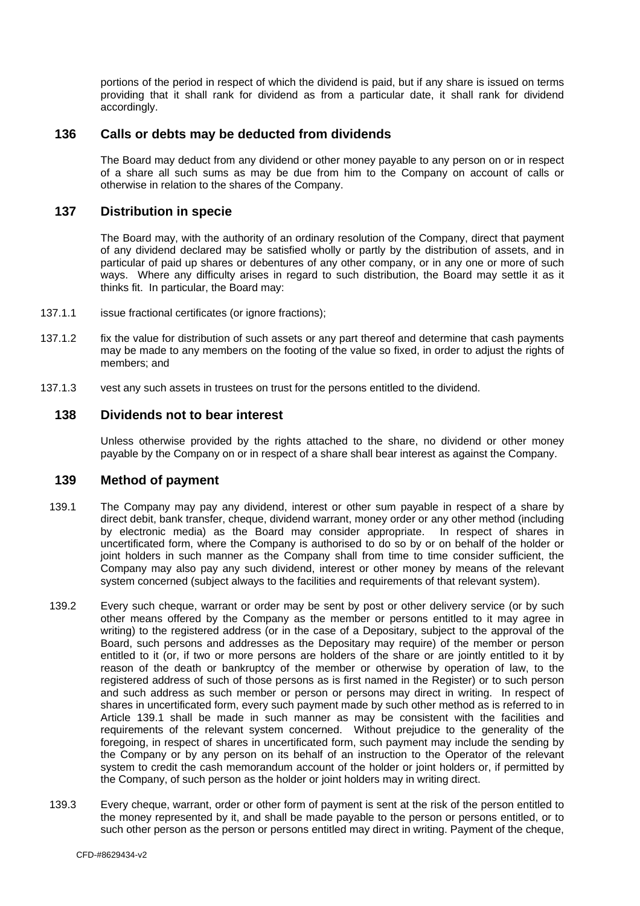<span id="page-48-0"></span>portions of the period in respect of which the dividend is paid, but if any share is issued on terms providing that it shall rank for dividend as from a particular date, it shall rank for dividend accordingly.

#### **136 Calls or debts may be deducted from dividends**

The Board may deduct from any dividend or other money payable to any person on or in respect of a share all such sums as may be due from him to the Company on account of calls or otherwise in relation to the shares of the Company.

## **137 Distribution in specie**

The Board may, with the authority of an ordinary resolution of the Company, direct that payment of any dividend declared may be satisfied wholly or partly by the distribution of assets, and in particular of paid up shares or debentures of any other company, or in any one or more of such ways. Where any difficulty arises in regard to such distribution, the Board may settle it as it thinks fit. In particular, the Board may:

- 137.1.1 issue fractional certificates (or ignore fractions);
- 137.1.2 fix the value for distribution of such assets or any part thereof and determine that cash payments may be made to any members on the footing of the value so fixed, in order to adjust the rights of members; and
- 137.1.3 vest any such assets in trustees on trust for the persons entitled to the dividend.

### **138 Dividends not to bear interest**

Unless otherwise provided by the rights attached to the share, no dividend or other money payable by the Company on or in respect of a share shall bear interest as against the Company.

#### <span id="page-48-2"></span>**139 Method of payment**

- <span id="page-48-1"></span>139.1 The Company may pay any dividend, interest or other sum payable in respect of a share by direct debit, bank transfer, cheque, dividend warrant, money order or any other method (including by electronic media) as the Board may consider appropriate. In respect of shares in uncertificated form, where the Company is authorised to do so by or on behalf of the holder or joint holders in such manner as the Company shall from time to time consider sufficient, the Company may also pay any such dividend, interest or other money by means of the relevant system concerned (subject always to the facilities and requirements of that relevant system).
- 139.2 Every such cheque, warrant or order may be sent by post or other delivery service (or by such other means offered by the Company as the member or persons entitled to it may agree in writing) to the registered address (or in the case of a Depositary, subject to the approval of the Board, such persons and addresses as the Depositary may require) of the member or person entitled to it (or, if two or more persons are holders of the share or are jointly entitled to it by reason of the death or bankruptcy of the member or otherwise by operation of law, to the registered address of such of those persons as is first named in the Register) or to such person and such address as such member or person or persons may direct in writing. In respect of shares in uncertificated form, every such payment made by such other method as is referred to in Article [139.1](#page-48-1) shall be made in such manner as may be consistent with the facilities and requirements of the relevant system concerned. Without prejudice to the generality of the foregoing, in respect of shares in uncertificated form, such payment may include the sending by the Company or by any person on its behalf of an instruction to the Operator of the relevant system to credit the cash memorandum account of the holder or joint holders or, if permitted by the Company, of such person as the holder or joint holders may in writing direct.
- 139.3 Every cheque, warrant, order or other form of payment is sent at the risk of the person entitled to the money represented by it, and shall be made payable to the person or persons entitled, or to such other person as the person or persons entitled may direct in writing. Payment of the cheque,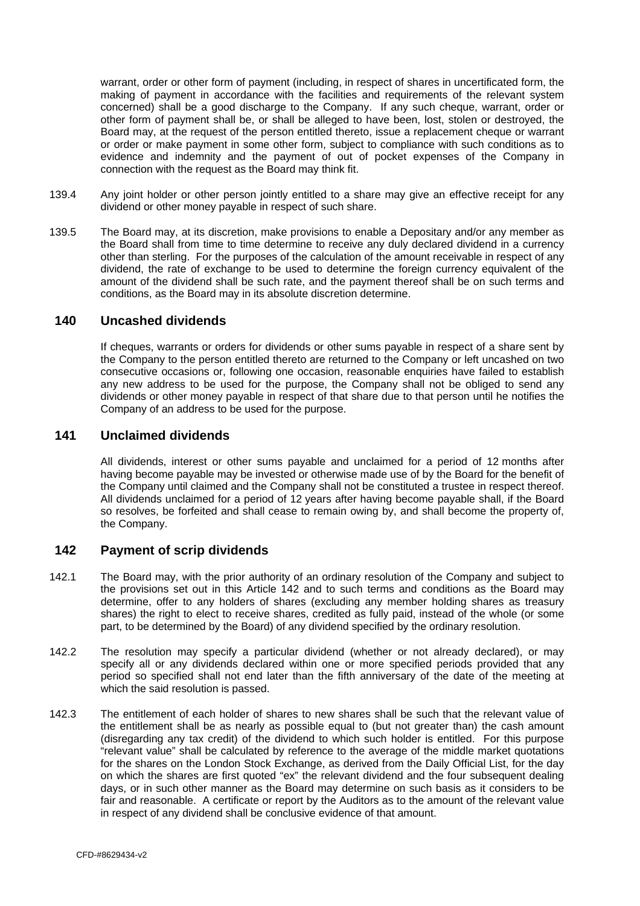<span id="page-49-0"></span>warrant, order or other form of payment (including, in respect of shares in uncertificated form, the making of payment in accordance with the facilities and requirements of the relevant system concerned) shall be a good discharge to the Company. If any such cheque, warrant, order or other form of payment shall be, or shall be alleged to have been, lost, stolen or destroyed, the Board may, at the request of the person entitled thereto, issue a replacement cheque or warrant or order or make payment in some other form, subject to compliance with such conditions as to evidence and indemnity and the payment of out of pocket expenses of the Company in connection with the request as the Board may think fit.

- 139.4 Any joint holder or other person jointly entitled to a share may give an effective receipt for any dividend or other money payable in respect of such share.
- 139.5 The Board may, at its discretion, make provisions to enable a Depositary and/or any member as the Board shall from time to time determine to receive any duly declared dividend in a currency other than sterling. For the purposes of the calculation of the amount receivable in respect of any dividend, the rate of exchange to be used to determine the foreign currency equivalent of the amount of the dividend shall be such rate, and the payment thereof shall be on such terms and conditions, as the Board may in its absolute discretion determine.

#### **140 Uncashed dividends**

If cheques, warrants or orders for dividends or other sums payable in respect of a share sent by the Company to the person entitled thereto are returned to the Company or left uncashed on two consecutive occasions or, following one occasion, reasonable enquiries have failed to establish any new address to be used for the purpose, the Company shall not be obliged to send any dividends or other money payable in respect of that share due to that person until he notifies the Company of an address to be used for the purpose.

### **141 Unclaimed dividends**

All dividends, interest or other sums payable and unclaimed for a period of 12 months after having become payable may be invested or otherwise made use of by the Board for the benefit of the Company until claimed and the Company shall not be constituted a trustee in respect thereof. All dividends unclaimed for a period of 12 years after having become payable shall, if the Board so resolves, be forfeited and shall cease to remain owing by, and shall become the property of, the Company.

# <span id="page-49-1"></span>**142 Payment of scrip dividends**

- 142.1 The Board may, with the prior authority of an ordinary resolution of the Company and subject to the provisions set out in this Article [142](#page-49-1) and to such terms and conditions as the Board may determine, offer to any holders of shares (excluding any member holding shares as treasury shares) the right to elect to receive shares, credited as fully paid, instead of the whole (or some part, to be determined by the Board) of any dividend specified by the ordinary resolution.
- 142.2 The resolution may specify a particular dividend (whether or not already declared), or may specify all or any dividends declared within one or more specified periods provided that any period so specified shall not end later than the fifth anniversary of the date of the meeting at which the said resolution is passed.
- 142.3 The entitlement of each holder of shares to new shares shall be such that the relevant value of the entitlement shall be as nearly as possible equal to (but not greater than) the cash amount (disregarding any tax credit) of the dividend to which such holder is entitled. For this purpose "relevant value" shall be calculated by reference to the average of the middle market quotations for the shares on the London Stock Exchange, as derived from the Daily Official List, for the day on which the shares are first quoted "ex" the relevant dividend and the four subsequent dealing days, or in such other manner as the Board may determine on such basis as it considers to be fair and reasonable. A certificate or report by the Auditors as to the amount of the relevant value in respect of any dividend shall be conclusive evidence of that amount.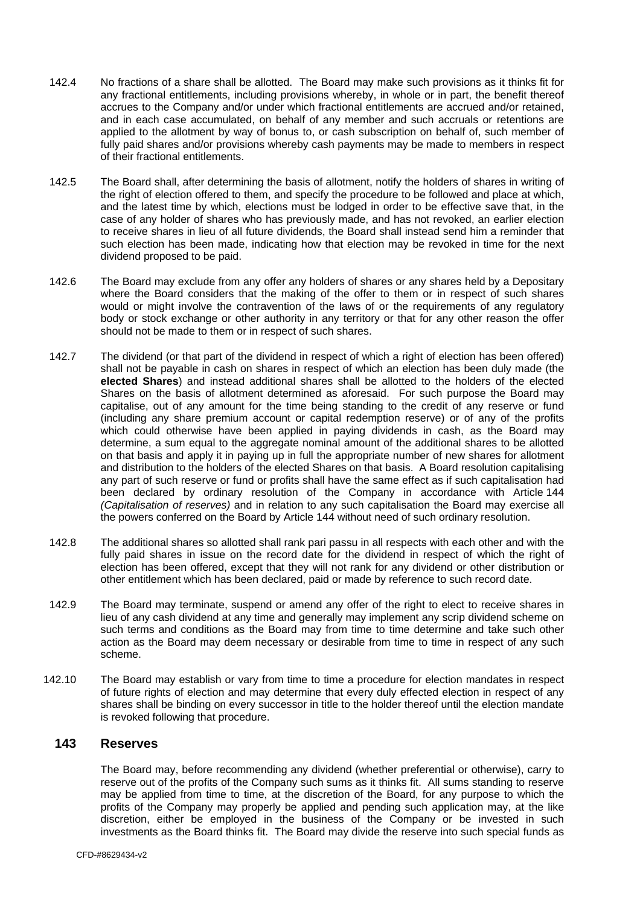- <span id="page-50-0"></span>142.4 No fractions of a share shall be allotted. The Board may make such provisions as it thinks fit for any fractional entitlements, including provisions whereby, in whole or in part, the benefit thereof accrues to the Company and/or under which fractional entitlements are accrued and/or retained, and in each case accumulated, on behalf of any member and such accruals or retentions are applied to the allotment by way of bonus to, or cash subscription on behalf of, such member of fully paid shares and/or provisions whereby cash payments may be made to members in respect of their fractional entitlements.
- 142.5 The Board shall, after determining the basis of allotment, notify the holders of shares in writing of the right of election offered to them, and specify the procedure to be followed and place at which, and the latest time by which, elections must be lodged in order to be effective save that, in the case of any holder of shares who has previously made, and has not revoked, an earlier election to receive shares in lieu of all future dividends, the Board shall instead send him a reminder that such election has been made, indicating how that election may be revoked in time for the next dividend proposed to be paid.
- 142.6 The Board may exclude from any offer any holders of shares or any shares held by a Depositary where the Board considers that the making of the offer to them or in respect of such shares would or might involve the contravention of the laws of or the requirements of any regulatory body or stock exchange or other authority in any territory or that for any other reason the offer should not be made to them or in respect of such shares.
- 142.7 The dividend (or that part of the dividend in respect of which a right of election has been offered) shall not be payable in cash on shares in respect of which an election has been duly made (the **elected Shares**) and instead additional shares shall be allotted to the holders of the elected Shares on the basis of allotment determined as aforesaid. For such purpose the Board may capitalise, out of any amount for the time being standing to the credit of any reserve or fund (including any share premium account or capital redemption reserve) or of any of the profits which could otherwise have been applied in paying dividends in cash, as the Board may determine, a sum equal to the aggregate nominal amount of the additional shares to be allotted on that basis and apply it in paying up in full the appropriate number of new shares for allotment and distribution to the holders of the elected Shares on that basis. A Board resolution capitalising any part of such reserve or fund or profits shall have the same effect as if such capitalisation had been declared by ordinary resolution of the Company in accordance with Article [144](#page-51-1) *(Capitalisation of reserves)* and in relation to any such capitalisation the Board may exercise all the powers conferred on the Board by Article [144](#page-51-1) without need of such ordinary resolution.
- 142.8 The additional shares so allotted shall rank pari passu in all respects with each other and with the fully paid shares in issue on the record date for the dividend in respect of which the right of election has been offered, except that they will not rank for any dividend or other distribution or other entitlement which has been declared, paid or made by reference to such record date.
- 142.9 The Board may terminate, suspend or amend any offer of the right to elect to receive shares in lieu of any cash dividend at any time and generally may implement any scrip dividend scheme on such terms and conditions as the Board may from time to time determine and take such other action as the Board may deem necessary or desirable from time to time in respect of any such scheme.
- 142.10 The Board may establish or vary from time to time a procedure for election mandates in respect of future rights of election and may determine that every duly effected election in respect of any shares shall be binding on every successor in title to the holder thereof until the election mandate is revoked following that procedure.

### **143 Reserves**

The Board may, before recommending any dividend (whether preferential or otherwise), carry to reserve out of the profits of the Company such sums as it thinks fit. All sums standing to reserve may be applied from time to time, at the discretion of the Board, for any purpose to which the profits of the Company may properly be applied and pending such application may, at the like discretion, either be employed in the business of the Company or be invested in such investments as the Board thinks fit. The Board may divide the reserve into such special funds as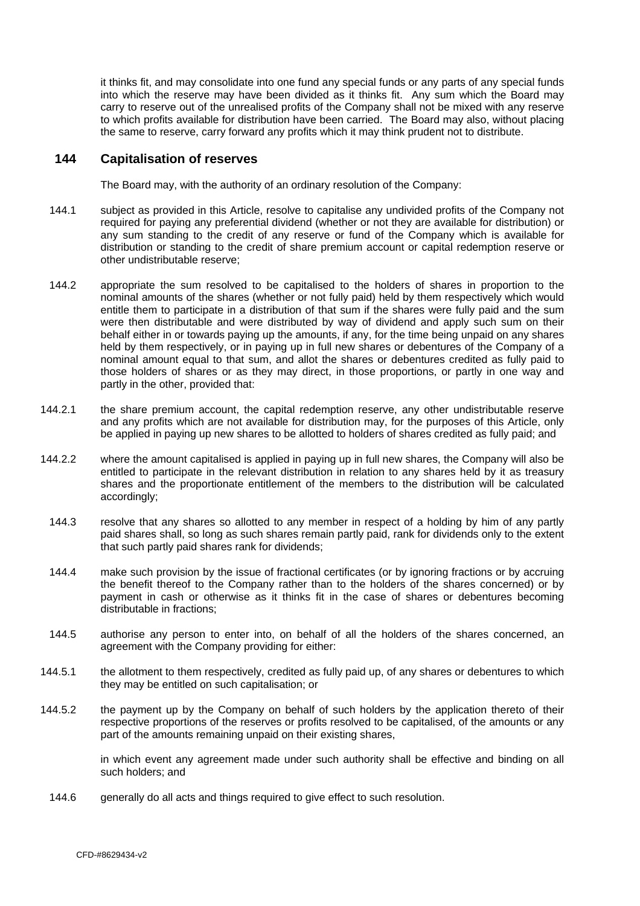<span id="page-51-0"></span>it thinks fit, and may consolidate into one fund any special funds or any parts of any special funds into which the reserve may have been divided as it thinks fit. Any sum which the Board may carry to reserve out of the unrealised profits of the Company shall not be mixed with any reserve to which profits available for distribution have been carried. The Board may also, without placing the same to reserve, carry forward any profits which it may think prudent not to distribute.

#### <span id="page-51-1"></span>**144 Capitalisation of reserves**

The Board may, with the authority of an ordinary resolution of the Company:

- 144.1 subject as provided in this Article, resolve to capitalise any undivided profits of the Company not required for paying any preferential dividend (whether or not they are available for distribution) or any sum standing to the credit of any reserve or fund of the Company which is available for distribution or standing to the credit of share premium account or capital redemption reserve or other undistributable reserve;
- 144.2 appropriate the sum resolved to be capitalised to the holders of shares in proportion to the nominal amounts of the shares (whether or not fully paid) held by them respectively which would entitle them to participate in a distribution of that sum if the shares were fully paid and the sum were then distributable and were distributed by way of dividend and apply such sum on their behalf either in or towards paying up the amounts, if any, for the time being unpaid on any shares held by them respectively, or in paying up in full new shares or debentures of the Company of a nominal amount equal to that sum, and allot the shares or debentures credited as fully paid to those holders of shares or as they may direct, in those proportions, or partly in one way and partly in the other, provided that:
- 144.2.1 the share premium account, the capital redemption reserve, any other undistributable reserve and any profits which are not available for distribution may, for the purposes of this Article, only be applied in paying up new shares to be allotted to holders of shares credited as fully paid; and
- 144.2.2 where the amount capitalised is applied in paying up in full new shares, the Company will also be entitled to participate in the relevant distribution in relation to any shares held by it as treasury shares and the proportionate entitlement of the members to the distribution will be calculated accordingly;
	- 144.3 resolve that any shares so allotted to any member in respect of a holding by him of any partly paid shares shall, so long as such shares remain partly paid, rank for dividends only to the extent that such partly paid shares rank for dividends;
	- 144.4 make such provision by the issue of fractional certificates (or by ignoring fractions or by accruing the benefit thereof to the Company rather than to the holders of the shares concerned) or by payment in cash or otherwise as it thinks fit in the case of shares or debentures becoming distributable in fractions;
	- 144.5 authorise any person to enter into, on behalf of all the holders of the shares concerned, an agreement with the Company providing for either:
- 144.5.1 the allotment to them respectively, credited as fully paid up, of any shares or debentures to which they may be entitled on such capitalisation; or
- 144.5.2 the payment up by the Company on behalf of such holders by the application thereto of their respective proportions of the reserves or profits resolved to be capitalised, of the amounts or any part of the amounts remaining unpaid on their existing shares,

in which event any agreement made under such authority shall be effective and binding on all such holders; and

144.6 generally do all acts and things required to give effect to such resolution.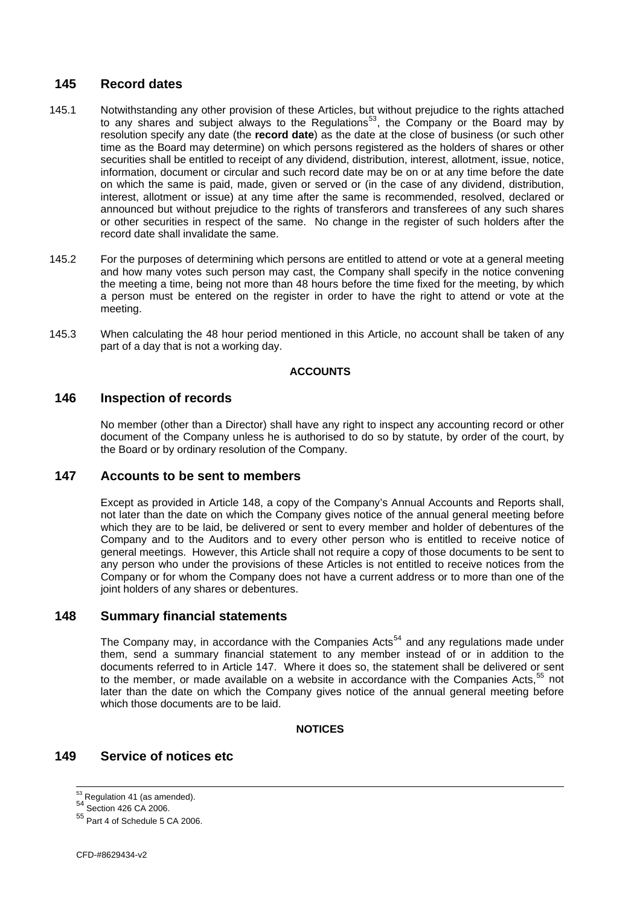# <span id="page-52-0"></span>**145 Record dates**

- 145.1 Notwithstanding any other provision of these Articles, but without prejudice to the rights attached to any shares and subject always to the Regulations<sup>[53](#page-52-0)</sup>, the Company or the Board may by resolution specify any date (the **record date**) as the date at the close of business (or such other time as the Board may determine) on which persons registered as the holders of shares or other securities shall be entitled to receipt of any dividend, distribution, interest, allotment, issue, notice, information, document or circular and such record date may be on or at any time before the date on which the same is paid, made, given or served or (in the case of any dividend, distribution, interest, allotment or issue) at any time after the same is recommended, resolved, declared or announced but without prejudice to the rights of transferors and transferees of any such shares or other securities in respect of the same. No change in the register of such holders after the record date shall invalidate the same.
- 145.2 For the purposes of determining which persons are entitled to attend or vote at a general meeting and how many votes such person may cast, the Company shall specify in the notice convening the meeting a time, being not more than 48 hours before the time fixed for the meeting, by which a person must be entered on the register in order to have the right to attend or vote at the meeting.
- 145.3 When calculating the 48 hour period mentioned in this Article, no account shall be taken of any part of a day that is not a working day.

#### **ACCOUNTS**

### **146 Inspection of records**

No member (other than a Director) shall have any right to inspect any accounting record or other document of the Company unless he is authorised to do so by statute, by order of the court, by the Board or by ordinary resolution of the Company.

#### <span id="page-52-2"></span>**147 Accounts to be sent to members**

Except as provided in Article [148](#page-52-1), a copy of the Company's Annual Accounts and Reports shall, not later than the date on which the Company gives notice of the annual general meeting before which they are to be laid, be delivered or sent to every member and holder of debentures of the Company and to the Auditors and to every other person who is entitled to receive notice of general meetings. However, this Article shall not require a copy of those documents to be sent to any person who under the provisions of these Articles is not entitled to receive notices from the Company or for whom the Company does not have a current address or to more than one of the joint holders of any shares or debentures.

#### <span id="page-52-1"></span>**148 Summary financial statements**

The Company may, in accordance with the Companies  $Acts<sup>54</sup>$  $Acts<sup>54</sup>$  $Acts<sup>54</sup>$  and any regulations made under them, send a summary financial statement to any member instead of or in addition to the documents referred to in Article [147.](#page-52-2) Where it does so, the statement shall be delivered or sent to the member, or made available on a website in accordance with the Companies Acts,<sup>[55](#page-52-0)</sup> not later than the date on which the Company gives notice of the annual general meeting before which those documents are to be laid.

#### **NOTICES**

# **149 Service of notices etc**

 $53$  Regulation 41 (as amended).

<sup>54</sup> Section 426 CA 2006.

<sup>55</sup> Part 4 of Schedule 5 CA 2006.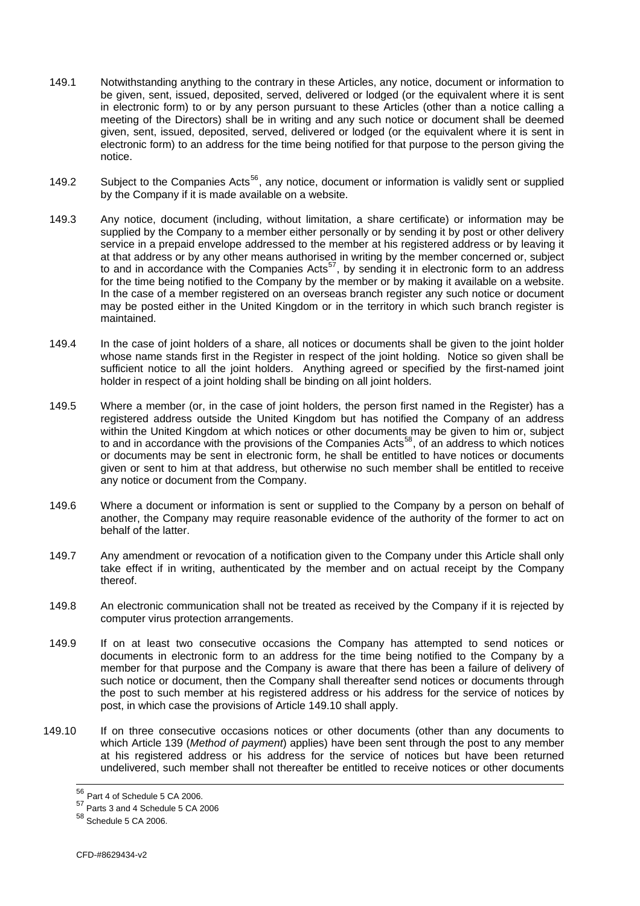- <span id="page-53-1"></span>149.1 Notwithstanding anything to the contrary in these Articles, any notice, document or information to be given, sent, issued, deposited, served, delivered or lodged (or the equivalent where it is sent in electronic form) to or by any person pursuant to these Articles (other than a notice calling a meeting of the Directors) shall be in writing and any such notice or document shall be deemed given, sent, issued, deposited, served, delivered or lodged (or the equivalent where it is sent in electronic form) to an address for the time being notified for that purpose to the person giving the notice.
- 149.2 Subject to the Companies Acts<sup>[56](#page-53-1)</sup>, any notice, document or information is validly sent or supplied by the Company if it is made available on a website.
- 149.3 Any notice, document (including, without limitation, a share certificate) or information may be supplied by the Company to a member either personally or by sending it by post or other delivery service in a prepaid envelope addressed to the member at his registered address or by leaving it at that address or by any other means authorised in writing by the member concerned or, subject to and in accordance with the Companies Acts<sup>[57](#page-53-1)</sup>, by sending it in electronic form to an address for the time being notified to the Company by the member or by making it available on a website. In the case of a member registered on an overseas branch register any such notice or document may be posted either in the United Kingdom or in the territory in which such branch register is maintained.
- 149.4 In the case of joint holders of a share, all notices or documents shall be given to the joint holder whose name stands first in the Register in respect of the joint holding. Notice so given shall be sufficient notice to all the joint holders. Anything agreed or specified by the first-named joint holder in respect of a joint holding shall be binding on all joint holders.
- <span id="page-53-0"></span>149.5 Where a member (or, in the case of joint holders, the person first named in the Register) has a registered address outside the United Kingdom but has notified the Company of an address within the United Kingdom at which notices or other documents may be given to him or, subject to and in accordance with the provisions of the Companies Acts<sup>[58](#page-53-1)</sup>, of an address to which notices or documents may be sent in electronic form, he shall be entitled to have notices or documents given or sent to him at that address, but otherwise no such member shall be entitled to receive any notice or document from the Company.
- 149.6 Where a document or information is sent or supplied to the Company by a person on behalf of another, the Company may require reasonable evidence of the authority of the former to act on behalf of the latter.
- 149.7 Any amendment or revocation of a notification given to the Company under this Article shall only take effect if in writing, authenticated by the member and on actual receipt by the Company thereof.
- 149.8 An electronic communication shall not be treated as received by the Company if it is rejected by computer virus protection arrangements.
- 149.9 If on at least two consecutive occasions the Company has attempted to send notices or documents in electronic form to an address for the time being notified to the Company by a member for that purpose and the Company is aware that there has been a failure of delivery of such notice or document, then the Company shall thereafter send notices or documents through the post to such member at his registered address or his address for the service of notices by post, in which case the provisions of Article [149.10](#page-54-1) shall apply.
- 149.10 If on three consecutive occasions notices or other documents (other than any documents to which Article [139](#page-48-2) (*Method of payment*) applies) have been sent through the post to any member at his registered address or his address for the service of notices but have been returned undelivered, such member shall not thereafter be entitled to receive notices or other documents

 $56$  Part 4 of Schedule 5 CA 2006.

<sup>57</sup> Parts 3 and 4 Schedule 5 CA 2006

<sup>58</sup> Schedule 5 CA 2006.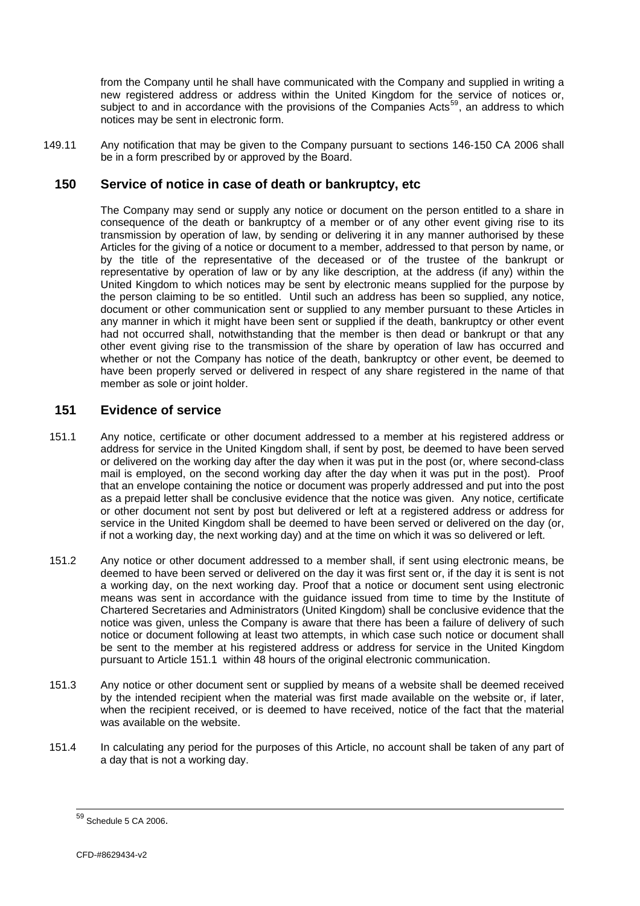<span id="page-54-0"></span>from the Company until he shall have communicated with the Company and supplied in writing a new registered address or address within the United Kingdom for the service of notices or, subject to and in accordance with the provisions of the Companies Acts<sup>59</sup>, an address to which notices may be sent in electronic form.

149.11 Any notification that may be given to the Company pursuant to sections 146-150 CA 2006 shall be in a form prescribed by or approved by the Board.

### **150 Service of notice in case of death or bankruptcy, etc**

The Company may send or supply any notice or document on the person entitled to a share in consequence of the death or bankruptcy of a member or of any other event giving rise to its transmission by operation of law, by sending or delivering it in any manner authorised by these Articles for the giving of a notice or document to a member, addressed to that person by name, or by the title of the representative of the deceased or of the trustee of the bankrupt or representative by operation of law or by any like description, at the address (if any) within the United Kingdom to which notices may be sent by electronic means supplied for the purpose by the person claiming to be so entitled. Until such an address has been so supplied, any notice, document or other communication sent or supplied to any member pursuant to these Articles in any manner in which it might have been sent or supplied if the death, bankruptcy or other event had not occurred shall, notwithstanding that the member is then dead or bankrupt or that any other event giving rise to the transmission of the share by operation of law has occurred and whether or not the Company has notice of the death, bankruptcy or other event, be deemed to have been properly served or delivered in respect of any share registered in the name of that member as sole or joint holder.

# **151 Evidence of service**

- <span id="page-54-2"></span>151.1 Any notice, certificate or other document addressed to a member at his registered address or address for service in the United Kingdom shall, if sent by post, be deemed to have been served or delivered on the working day after the day when it was put in the post (or, where second-class mail is employed, on the second working day after the day when it was put in the post). Proof that an envelope containing the notice or document was properly addressed and put into the post as a prepaid letter shall be conclusive evidence that the notice was given. Any notice, certificate or other document not sent by post but delivered or left at a registered address or address for service in the United Kingdom shall be deemed to have been served or delivered on the day (or, if not a working day, the next working day) and at the time on which it was so delivered or left.
- 151.2 Any notice or other document addressed to a member shall, if sent using electronic means, be deemed to have been served or delivered on the day it was first sent or, if the day it is sent is not a working day, on the next working day. Proof that a notice or document sent using electronic means was sent in accordance with the guidance issued from time to time by the Institute of Chartered Secretaries and Administrators (United Kingdom) shall be conclusive evidence that the notice was given, unless the Company is aware that there has been a failure of delivery of such notice or document following at least two attempts, in which case such notice or document shall be sent to the member at his registered address or address for service in the United Kingdom pursuant to Article [151.1](#page-54-2) within 48 hours of the original electronic communication.
- 151.3 Any notice or other document sent or supplied by means of a website shall be deemed received by the intended recipient when the material was first made available on the website or, if later, when the recipient received, or is deemed to have received, notice of the fact that the material was available on the website.
- <span id="page-54-1"></span>151.4 In calculating any period for the purposes of this Article, no account shall be taken of any part of a day that is not a working day.

 $^{59}$  Schedule 5 CA 2006.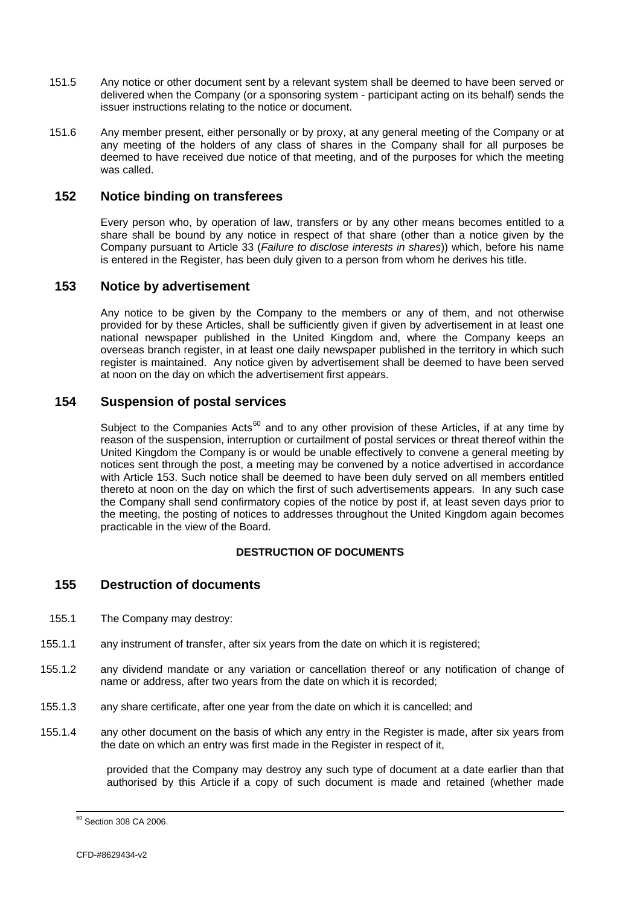- <span id="page-55-0"></span>151.5 Any notice or other document sent by a relevant system shall be deemed to have been served or delivered when the Company (or a sponsoring system - participant acting on its behalf) sends the issuer instructions relating to the notice or document.
- 151.6 Any member present, either personally or by proxy, at any general meeting of the Company or at any meeting of the holders of any class of shares in the Company shall for all purposes be deemed to have received due notice of that meeting, and of the purposes for which the meeting was called.

### **152 Notice binding on transferees**

Every person who, by operation of law, transfers or by any other means becomes entitled to a share shall be bound by any notice in respect of that share (other than a notice given by the Company pursuant to Article [33](#page-15-2) (*Failure to disclose interests in shares*)) which, before his name is entered in the Register, has been duly given to a person from whom he derives his title.

### <span id="page-55-1"></span>**153 Notice by advertisement**

Any notice to be given by the Company to the members or any of them, and not otherwise provided for by these Articles, shall be sufficiently given if given by advertisement in at least one national newspaper published in the United Kingdom and, where the Company keeps an overseas branch register, in at least one daily newspaper published in the territory in which such register is maintained. Any notice given by advertisement shall be deemed to have been served at noon on the day on which the advertisement first appears.

### **154 Suspension of postal services**

Subject to the Companies Acts<sup>[60](#page-55-0)</sup> and to any other provision of these Articles, if at any time by reason of the suspension, interruption or curtailment of postal services or threat thereof within the United Kingdom the Company is or would be unable effectively to convene a general meeting by notices sent through the post, a meeting may be convened by a notice advertised in accordance with Article [153](#page-55-1). Such notice shall be deemed to have been duly served on all members entitled thereto at noon on the day on which the first of such advertisements appears. In any such case the Company shall send confirmatory copies of the notice by post if, at least seven days prior to the meeting, the posting of notices to addresses throughout the United Kingdom again becomes practicable in the view of the Board.

#### **DESTRUCTION OF DOCUMENTS**

# <span id="page-55-2"></span>**155 Destruction of documents**

- 155.1 The Company may destroy:
- 155.1.1 any instrument of transfer, after six years from the date on which it is registered;
- 155.1.2 any dividend mandate or any variation or cancellation thereof or any notification of change of name or address, after two years from the date on which it is recorded;
- 155.1.3 any share certificate, after one year from the date on which it is cancelled; and
- 155.1.4 any other document on the basis of which any entry in the Register is made, after six years from the date on which an entry was first made in the Register in respect of it,

provided that the Company may destroy any such type of document at a date earlier than that authorised by this Article if a copy of such document is made and retained (whether made

 $60$  Section 308 CA 2006.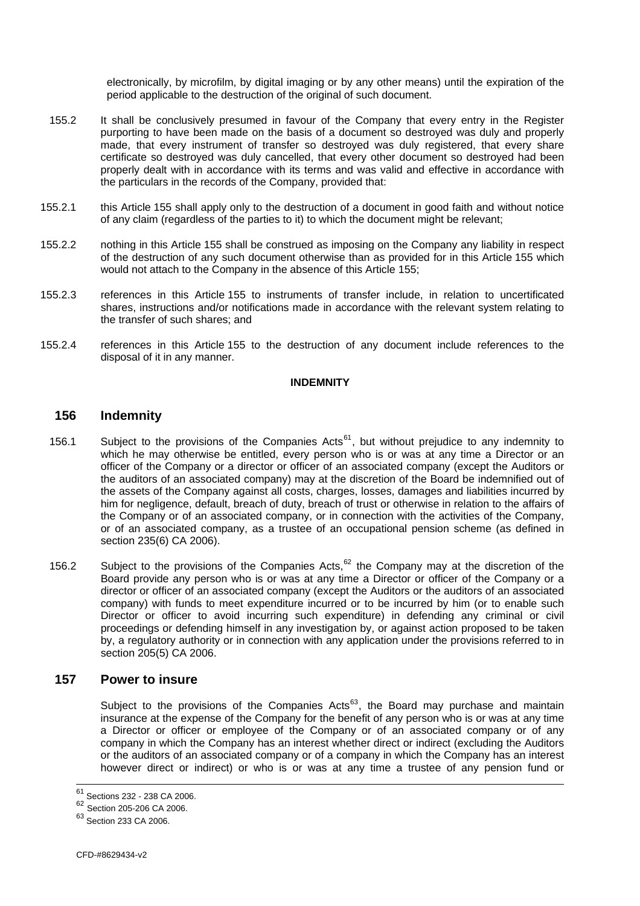electronically, by microfilm, by digital imaging or by any other means) until the expiration of the period applicable to the destruction of the original of such document.

- <span id="page-56-0"></span>155.2 It shall be conclusively presumed in favour of the Company that every entry in the Register purporting to have been made on the basis of a document so destroyed was duly and properly made, that every instrument of transfer so destroyed was duly registered, that every share certificate so destroyed was duly cancelled, that every other document so destroyed had been properly dealt with in accordance with its terms and was valid and effective in accordance with the particulars in the records of the Company, provided that:
- 155.2.1 this Article [155](#page-55-2) shall apply only to the destruction of a document in good faith and without notice of any claim (regardless of the parties to it) to which the document might be relevant;
- 155.2.2 nothing in this Article [155](#page-55-2) shall be construed as imposing on the Company any liability in respect of the destruction of any such document otherwise than as provided for in this Article [155](#page-55-2) which would not attach to the Company in the absence of this Article [155](#page-55-2);
- 155.2.3 references in this Article [155](#page-55-2) to instruments of transfer include, in relation to uncertificated shares, instructions and/or notifications made in accordance with the relevant system relating to the transfer of such shares; and
- 155.2.4 references in this Article [155](#page-55-2) to the destruction of any document include references to the disposal of it in any manner.

#### **INDEMNITY**

#### <span id="page-56-1"></span>**156 Indemnity**

- 156.1 Subject to the provisions of the Companies Acts<sup>[61](#page-56-0)</sup>, but without prejudice to any indemnity to which he may otherwise be entitled, every person who is or was at any time a Director or an officer of the Company or a director or officer of an associated company (except the Auditors or the auditors of an associated company) may at the discretion of the Board be indemnified out of the assets of the Company against all costs, charges, losses, damages and liabilities incurred by him for negligence, default, breach of duty, breach of trust or otherwise in relation to the affairs of the Company or of an associated company, or in connection with the activities of the Company, or of an associated company, as a trustee of an occupational pension scheme (as defined in section 235(6) CA 2006).
- <span id="page-56-3"></span>156.2 Subject to the provisions of the Companies Acts.<sup>[62](#page-56-0)</sup> the Company may at the discretion of the Board provide any person who is or was at any time a Director or officer of the Company or a director or officer of an associated company (except the Auditors or the auditors of an associated company) with funds to meet expenditure incurred or to be incurred by him (or to enable such Director or officer to avoid incurring such expenditure) in defending any criminal or civil proceedings or defending himself in any investigation by, or against action proposed to be taken by, a regulatory authority or in connection with any application under the provisions referred to in section 205(5) CA 2006.

#### <span id="page-56-2"></span>**157 Power to insure**

Subject to the provisions of the Companies Acts<sup>[63](#page-56-0)</sup>, the Board may purchase and maintain insurance at the expense of the Company for the benefit of any person who is or was at any time a Director or officer or employee of the Company or of an associated company or of any company in which the Company has an interest whether direct or indirect (excluding the Auditors or the auditors of an associated company or of a company in which the Company has an interest however direct or indirect) or who is or was at any time a trustee of any pension fund or

<sup>&</sup>lt;sup>61</sup> Sections 232 - 238 CA 2006.

<sup>62</sup> Section 205-206 CA 2006.

<sup>63</sup> Section 233 CA 2006.